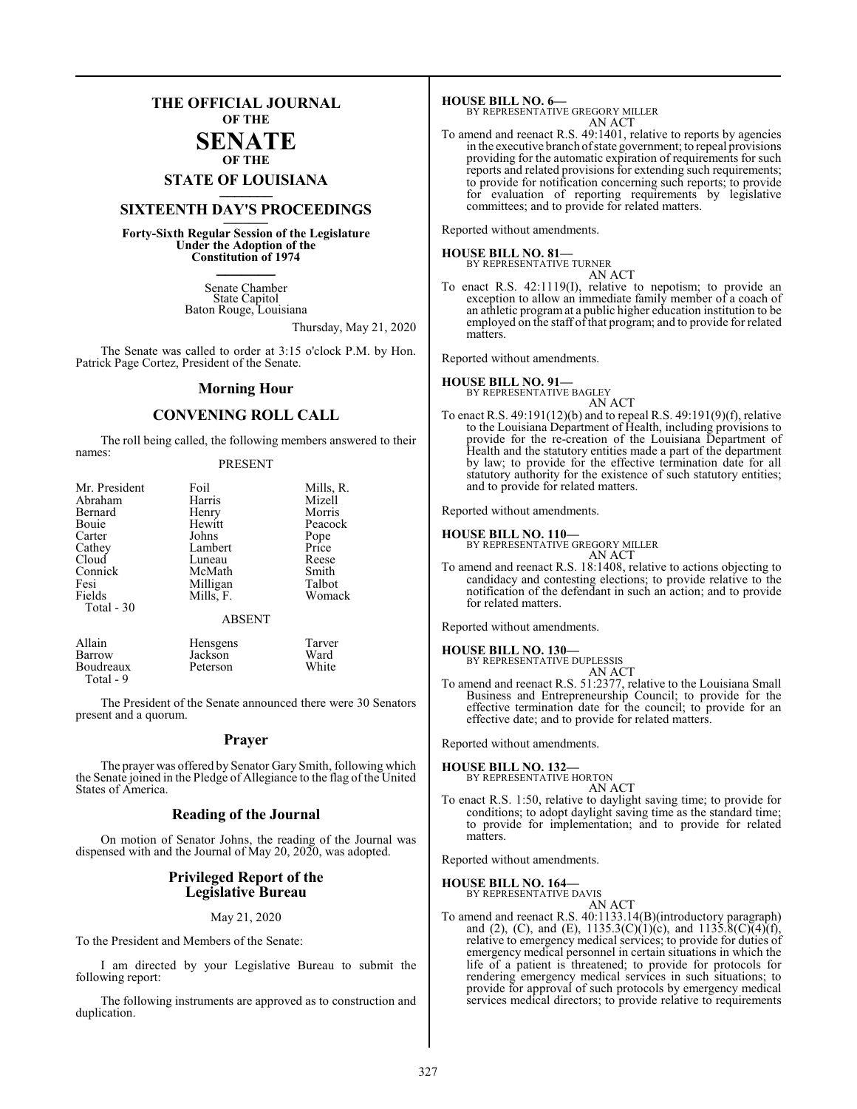### **THE OFFICIAL JOURNAL OF THE**

#### **SENATE OF THE**

# **STATE OF LOUISIANA \_\_\_\_\_\_\_**

### **SIXTEENTH DAY'S PROCEEDINGS \_\_\_\_\_\_\_**

**Forty-Sixth Regular Session of the Legislature Under the Adoption of the Constitution of 1974 \_\_\_\_\_\_\_**

> Senate Chamber State Capitol Baton Rouge, Louisiana

> > Thursday, May 21, 2020

The Senate was called to order at 3:15 o'clock P.M. by Hon. Patrick Page Cortez, President of the Senate.

#### **Morning Hour**

### **CONVENING ROLL CALL**

The roll being called, the following members answered to their names:

#### PRESENT

| Mr. President    | Foil            | Mills, R. |
|------------------|-----------------|-----------|
| Abraham          | Harris          | Mizell    |
| Bernard          | Henry           | Morris    |
| Bouie            | Hewitt          | Peacock   |
| Carter           | Johns           | Pope      |
| Cathey           | Lambert         | Price     |
| Cloud            | Luneau          | Reese     |
| Connick          | McMath          | Smith     |
| Fesi             | Milligan        | Talbot    |
| Fields           | Mills, F.       | Womack    |
| Total - 30       |                 |           |
|                  | <b>ABSENT</b>   |           |
| Allain           | <b>Hensgens</b> | Tarver    |
| Barrow           | Jackson         | Ward      |
| <b>Boudreaux</b> | Peterson        | White     |

The President of the Senate announced there were 30 Senators present and a quorum.

#### **Prayer**

The prayer was offered by Senator Gary Smith, following which the Senate joined in the Pledge of Allegiance to the flag of the United States of America.

#### **Reading of the Journal**

On motion of Senator Johns, the reading of the Journal was dispensed with and the Journal of May 20, 2020, was adopted.

#### **Privileged Report of the Legislative Bureau**

#### May 21, 2020

To the President and Members of the Senate:

**Boudreaux** Total - 9

I am directed by your Legislative Bureau to submit the following report:

The following instruments are approved as to construction and duplication.

**HOUSE BILL NO. 6—** BY REPRESENTATIVE GREGORY MILLER

AN ACT

To amend and reenact R.S. 49:1401, relative to reports by agencies in the executive branch ofstate government; to repeal provisions providing for the automatic expiration of requirements for such reports and related provisions for extending such requirements; to provide for notification concerning such reports; to provide for evaluation of reporting requirements by legislative committees; and to provide for related matters.

Reported without amendments.

#### **HOUSE BILL NO. 81—** BY REPRESENTATIVE TURNER

AN ACT

To enact R.S. 42:1119(I), relative to nepotism; to provide an exception to allow an immediate family member of a coach of an athletic programat a public higher education institution to be employed on the staff of that program; and to provide for related matters.

Reported without amendments.

#### **HOUSE BILL NO. 91—** BY REPRESENTATIVE BAGLEY

AN ACT

To enact R.S. 49:191(12)(b) and to repeal R.S. 49:191(9)(f), relative to the Louisiana Department of Health, including provisions to provide for the re-creation of the Louisiana Department of Health and the statutory entities made a part of the department by law; to provide for the effective termination date for all statutory authority for the existence of such statutory entities; and to provide for related matters.

Reported without amendments.

#### **HOUSE BILL NO. 110—**

BY REPRESENTATIVE GREGORY MILLER

AN ACT To amend and reenact R.S. 18:1408, relative to actions objecting to candidacy and contesting elections; to provide relative to the notification of the defendant in such an action; and to provide for related matters.

Reported without amendments.

#### **HOUSE BILL NO. 130—**

BY REPRESENTATIVE DUPLESSIS

AN ACT To amend and reenact R.S. 51:2377, relative to the Louisiana Small Business and Entrepreneurship Council; to provide for the effective termination date for the council; to provide for an effective date; and to provide for related matters.

Reported without amendments.

**HOUSE BILL NO. 132—** BY REPRESENTATIVE HORTON

AN ACT

To enact R.S. 1:50, relative to daylight saving time; to provide for conditions; to adopt daylight saving time as the standard time; to provide for implementation; and to provide for related matters.

Reported without amendments.

#### **HOUSE BILL NO. 164—**

BY REPRESENTATIVE DAVIS AN ACT

To amend and reenact R.S. 40:1133.14(B)(introductory paragraph) and (2), (C), and (E),  $1135.3(C)(1)(c)$ , and  $1135.8(C)(4)(f)$ , relative to emergency medical services; to provide for duties of emergency medical personnel in certain situations in which the life of a patient is threatened; to provide for protocols for rendering emergency medical services in such situations; to provide for approval of such protocols by emergency medical services medical directors; to provide relative to requirements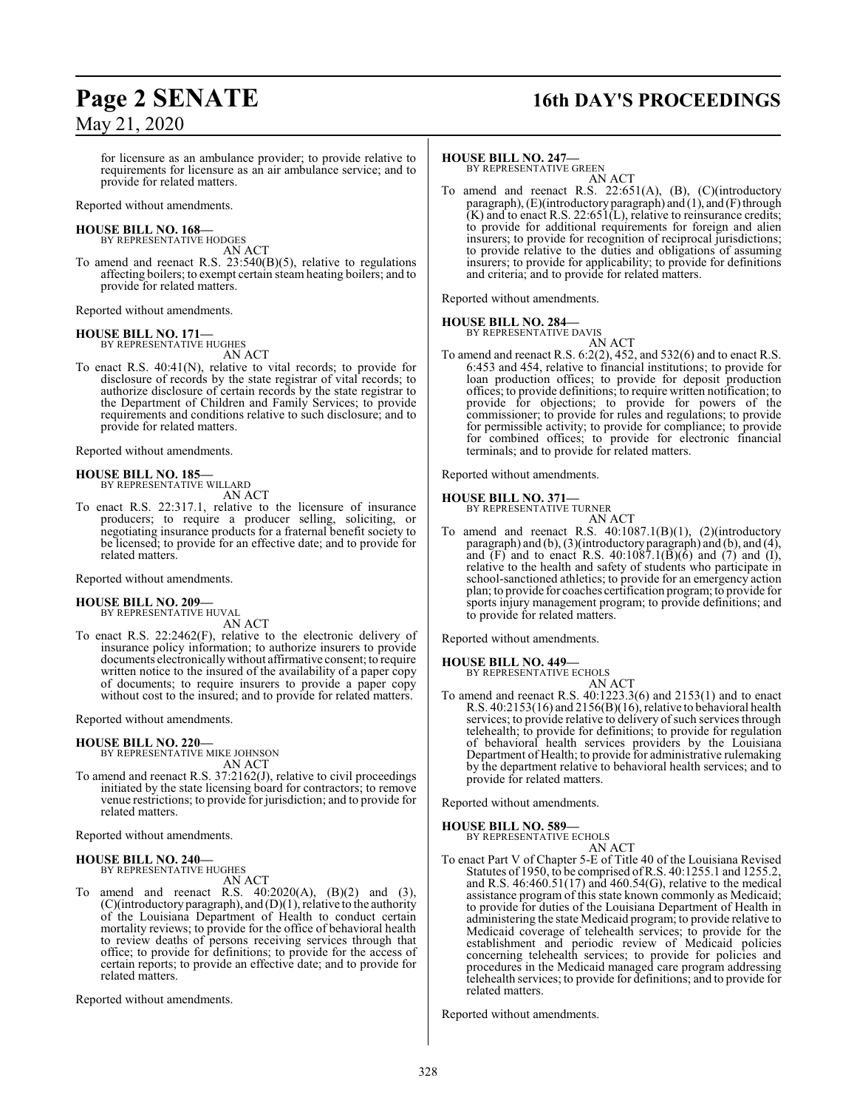# **Page 2 SENATE 16th DAY'S PROCEEDINGS**

for licensure as an ambulance provider; to provide relative to requirements for licensure as an air ambulance service; and to provide for related matters.

Reported without amendments.

## **HOUSE BILL NO. 168—** BY REPRESENTATIVE HODGES

AN ACT

To amend and reenact R.S. 23:540(B)(5), relative to regulations affecting boilers; to exempt certain steam heating boilers; and to provide for related matters.

Reported without amendments.

## **HOUSE BILL NO. 171—** BY REPRESENTATIVE HUGHES

AN ACT

To enact R.S. 40:41(N), relative to vital records; to provide for disclosure of records by the state registrar of vital records; to authorize disclosure of certain records by the state registrar to the Department of Children and Family Services; to provide requirements and conditions relative to such disclosure; and to provide for related matters.

Reported without amendments.

## **HOUSE BILL NO. 185—** BY REPRESENTATIVE WILLARD

AN ACT

To enact R.S. 22:317.1, relative to the licensure of insurance producers; to require a producer selling, soliciting, or negotiating insurance products for a fraternal benefit society to be licensed; to provide for an effective date; and to provide for related matters.

Reported without amendments.

#### **HOUSE BILL NO. 209—** BY REPRESENTATIVE HUVAL

AN ACT

To enact R.S. 22:2462(F), relative to the electronic delivery of insurance policy information; to authorize insurers to provide documents electronicallywithout affirmative consent; to require written notice to the insured of the availability of a paper copy of documents; to require insurers to provide a paper copy without cost to the insured; and to provide for related matters.

#### Reported without amendments.

#### **HOUSE BILL NO. 220—**

BY REPRESENTATIVE MIKE JOHNSON AN ACT

To amend and reenact R.S. 37:2162(J), relative to civil proceedings initiated by the state licensing board for contractors; to remove venue restrictions; to provide for jurisdiction; and to provide for related matters.

Reported without amendments.

#### **HOUSE BILL NO. 240—**

BY REPRESENTATIVE HUGHES

- AN ACT
- To amend and reenact R.S. 40:2020(A), (B)(2) and (3),  $(C)($ introductory paragraph), and  $(D)(1)$ , relative to the authority of the Louisiana Department of Health to conduct certain mortality reviews; to provide for the office of behavioral health to review deaths of persons receiving services through that office; to provide for definitions; to provide for the access of certain reports; to provide an effective date; and to provide for related matters.

Reported without amendments.

#### **HOUSE BILL NO. 247—**

BY REPRESENTATIVE GREEN AN ACT

To amend and reenact R.S. 22:651(A), (B), (C)(introductory paragraph),  $(E)$ (introductory paragraph) and  $(1)$ , and  $(F)$  through  $(K)$  and to enact R.S. 22:651(L), relative to reinsurance credits; to provide for additional requirements for foreign and alien insurers; to provide for recognition of reciprocal jurisdictions; to provide relative to the duties and obligations of assuming insurers; to provide for applicability; to provide for definitions and criteria; and to provide for related matters.

Reported without amendments.

#### **HOUSE BILL NO. 284—**

BY REPRESENTATIVE DAVIS AN ACT

To amend and reenact R.S. 6:2(2), 452, and 532(6) and to enact R.S. 6:453 and 454, relative to financial institutions; to provide for loan production offices; to provide for deposit production offices; to provide definitions; to require written notification; to provide for objections; to provide for powers of the commissioner; to provide for rules and regulations; to provide for permissible activity; to provide for compliance; to provide for combined offices; to provide for electronic financial terminals; and to provide for related matters.

Reported without amendments.

#### **HOUSE BILL NO. 371—**

BY REPRESENTATIVE TURNER AN ACT

To amend and reenact R.S. 40:1087.1(B)(1), (2)(introductory paragraph) and (b), (3)(introductory paragraph) and (b), and (4), and  $(F)$  and to enact R.S. 40:1087.1 $(\overline{B})(\overline{6})$  and  $(\overline{7})$  and  $(\overline{1})$ , relative to the health and safety of students who participate in school-sanctioned athletics; to provide for an emergency action plan; to provide for coaches certification program; to provide for sports injury management program; to provide definitions; and to provide for related matters.

Reported without amendments.

#### **HOUSE BILL NO. 449—**

BY REPRESENTATIVE ECHOLS AN ACT

To amend and reenact R.S. 40:1223.3(6) and 2153(1) and to enact R.S. 40:2153(16) and 2156(B)(16), relative to behavioral health services; to provide relative to delivery of such services through telehealth; to provide for definitions; to provide for regulation of behavioral health services providers by the Louisiana Department of Health; to provide for administrative rulemaking by the department relative to behavioral health services; and to provide for related matters.

Reported without amendments.

#### **HOUSE BILL NO. 589—**

BY REPRESENTATIVE ECHOLS AN ACT

To enact Part V of Chapter 5-E of Title 40 of the Louisiana Revised Statutes of 1950, to be comprised ofR.S. 40:1255.1 and 1255.2, and R.S.  $46:460.51(17)$  and  $460.54(G)$ , relative to the medical assistance program of this state known commonly as Medicaid; to provide for duties of the Louisiana Department of Health in administering the state Medicaid program; to provide relative to Medicaid coverage of telehealth services; to provide for the establishment and periodic review of Medicaid policies concerning telehealth services; to provide for policies and procedures in the Medicaid managed care program addressing telehealth services; to provide for definitions; and to provide for related matters.

Reported without amendments.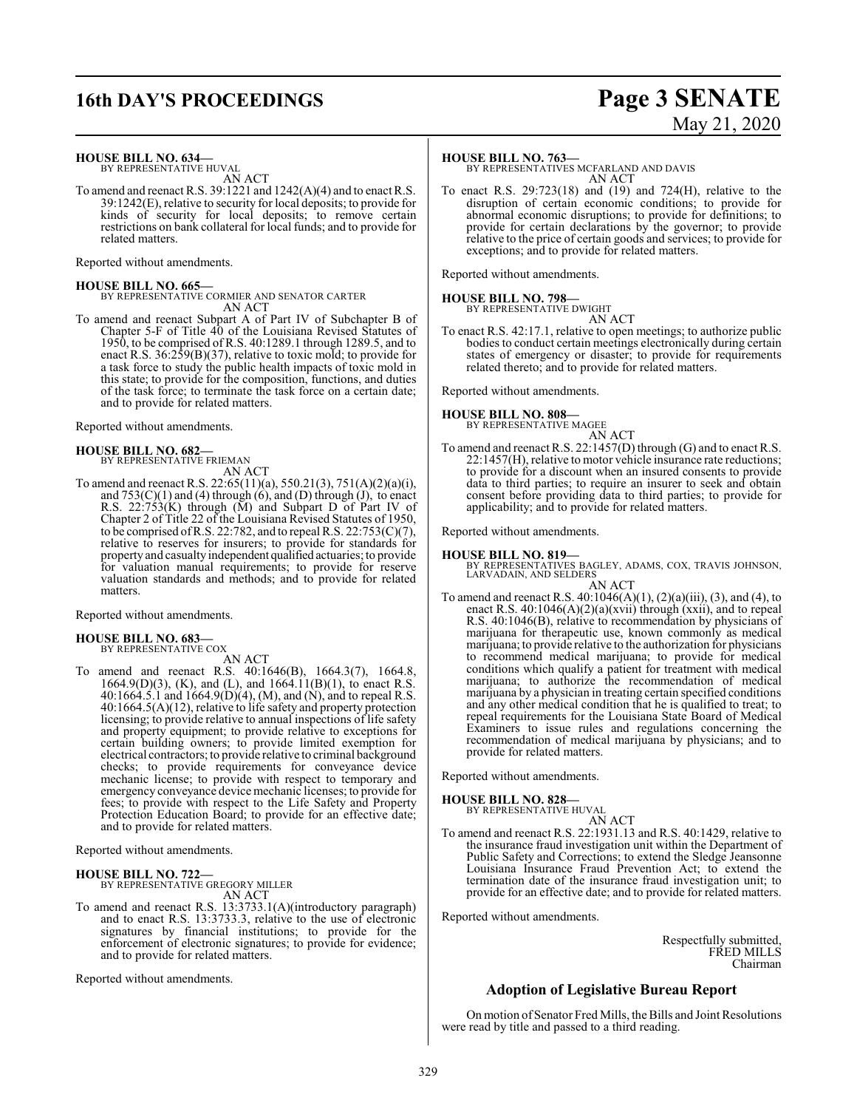### **16th DAY'S PROCEEDINGS Page 3 SENATE**

# May 21, 2020

#### **HOUSE BILL NO. 634—**

BY REPRESENTATIVE HUVAL AN ACT

To amend and reenact R.S. 39:1221 and 1242(A)(4) and to enact R.S. 39:1242(E), relative to security for local deposits; to provide for kinds of security for local deposits; to remove certain restrictions on bank collateral for local funds; and to provide for related matters.

Reported without amendments.

**HOUSE BILL NO. 665—** BY REPRESENTATIVE CORMIER AND SENATOR CARTER AN ACT

To amend and reenact Subpart A of Part IV of Subchapter B of Chapter 5-F of Title 40 of the Louisiana Revised Statutes of 1950, to be comprised of R.S. 40:1289.1 through 1289.5, and to enact R.S. 36:259(B)(37), relative to toxic mold; to provide for a task force to study the public health impacts of toxic mold in this state; to provide for the composition, functions, and duties of the task force; to terminate the task force on a certain date; and to provide for related matters.

Reported without amendments.

#### **HOUSE BILL NO. 682—** BY REPRESENTATIVE FRIEMAN

AN ACT

To amend and reenact R.S. 22:65(11)(a), 550.21(3), 751(A)(2)(a)(i), and  $753(C)(1)$  and  $(4)$  through  $(6)$ , and  $(D)$  through  $(J)$ , to enact R.S. 22:753(K) through (M) and Subpart D of Part IV of Chapter 2 of Title 22 of the Louisiana Revised Statutes of 1950, to be comprised of R.S. 22:782, and to repeal R.S.  $22:753(C)(7)$ , relative to reserves for insurers; to provide for standards for property and casualty independent qualified actuaries; to provide for valuation manual requirements; to provide for reserve valuation standards and methods; and to provide for related matters.

Reported without amendments.

#### **HOUSE BILL NO. 683—** BY REPRESENTATIVE COX

AN ACT

To amend and reenact R.S. 40:1646(B), 1664.3(7), 1664.8, 1664.9(D)(3), (K), and (L), and  $1664.11(B)(1)$ , to enact R.S. 40:1664.5.1 and 1664.9(D)(4), (M), and (N), and to repeal R.S. 40:1664.5(A)(12), relative to life safety and property protection licensing; to provide relative to annual inspections of life safety and property equipment; to provide relative to exceptions for certain building owners; to provide limited exemption for electrical contractors; to provide relative to criminal background checks; to provide requirements for conveyance device mechanic license; to provide with respect to temporary and emergency conveyance device mechanic licenses; to provide for fees; to provide with respect to the Life Safety and Property Protection Education Board; to provide for an effective date; and to provide for related matters.

Reported without amendments.

#### **HOUSE BILL NO. 722—**

BY REPRESENTATIVE GREGORY MILLER AN ACT

To amend and reenact R.S. 13:3733.1(A)(introductory paragraph) and to enact R.S. 13:3733.3, relative to the use of electronic signatures by financial institutions; to provide for the enforcement of electronic signatures; to provide for evidence; and to provide for related matters.

Reported without amendments.

#### **HOUSE BILL NO. 763—**

BY REPRESENTATIVES MCFARLAND AND DAVIS AN ACT

To enact R.S. 29:723(18) and (19) and 724(H), relative to the disruption of certain economic conditions; to provide for abnormal economic disruptions; to provide for definitions; to provide for certain declarations by the governor; to provide relative to the price of certain goods and services; to provide for exceptions; and to provide for related matters.

Reported without amendments.

#### **HOUSE BILL NO. 798—** BY REPRESENTATIVE DWIGHT

AN ACT

To enact R.S. 42:17.1, relative to open meetings; to authorize public bodies to conduct certain meetings electronically during certain states of emergency or disaster; to provide for requirements related thereto; and to provide for related matters.

Reported without amendments.

#### **HOUSE BILL NO. 808—**

BY REPRESENTATIVE MAGEE AN ACT

To amend and reenact R.S. 22:1457(D) through (G) and to enact R.S. 22:1457(H), relative to motor vehicle insurance rate reductions; to provide for a discount when an insured consents to provide data to third parties; to require an insurer to seek and obtain consent before providing data to third parties; to provide for applicability; and to provide for related matters.

Reported without amendments.

#### **HOUSE BILL NO. 819—**

BY REPRESENTATIVES BAGLEY, ADAMS, COX, TRAVIS JOHNSON, LARVADAIN, AND SELDERS AN ACT

To amend and reenact R.S. 40:1046(A)(1), (2)(a)(iii), (3), and (4), to enact R.S.  $40:1046(A)(2)(a)(xvii)$  through  $(xxii)$ , and to repeal R.S. 40:1046(B), relative to recommendation by physicians of marijuana for therapeutic use, known commonly as medical marijuana; to provide relative to the authorization for physicians to recommend medical marijuana; to provide for medical conditions which qualify a patient for treatment with medical marijuana; to authorize the recommendation of medical marijuana by a physician in treating certain specified conditions and any other medical condition that he is qualified to treat; to repeal requirements for the Louisiana State Board of Medical Examiners to issue rules and regulations concerning the recommendation of medical marijuana by physicians; and to provide for related matters.

Reported without amendments.

### **HOUSE BILL NO. 828—** BY REPRESENTATIVE HUVAL

AN ACT To amend and reenact R.S. 22:1931.13 and R.S. 40:1429, relative to the insurance fraud investigation unit within the Department of Public Safety and Corrections; to extend the Sledge Jeansonne Louisiana Insurance Fraud Prevention Act; to extend the termination date of the insurance fraud investigation unit; to provide for an effective date; and to provide for related matters.

Reported without amendments.

Respectfully submitted, FRED MILLS Chairman

### **Adoption of Legislative Bureau Report**

On motion of Senator Fred Mills, the Bills and Joint Resolutions were read by title and passed to a third reading.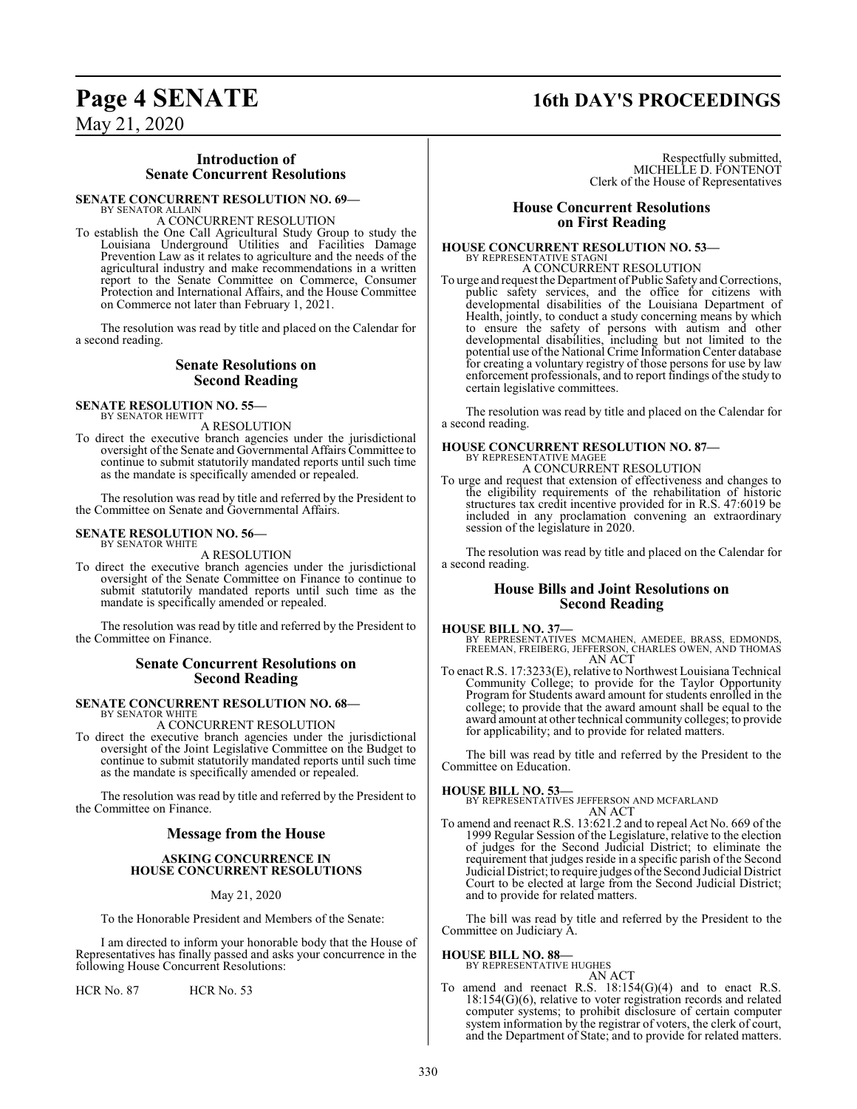### **Page 4 SENATE 16th DAY'S PROCEEDINGS**

May 21, 2020

#### **Introduction of Senate Concurrent Resolutions**

#### **SENATE CONCURRENT RESOLUTION NO. 69—**

BY SENATOR ALLAIN A CONCURRENT RESOLUTION

To establish the One Call Agricultural Study Group to study the Louisiana Underground Utilities and Facilities Damage Prevention Law as it relates to agriculture and the needs of the agricultural industry and make recommendations in a written report to the Senate Committee on Commerce, Consumer Protection and International Affairs, and the House Committee on Commerce not later than February 1, 2021.

The resolution was read by title and placed on the Calendar for a second reading.

#### **Senate Resolutions on Second Reading**

#### **SENATE RESOLUTION NO. 55—** BY SENATOR HEWITT

A RESOLUTION

To direct the executive branch agencies under the jurisdictional oversight of the Senate and Governmental Affairs Committee to continue to submit statutorily mandated reports until such time as the mandate is specifically amended or repealed.

The resolution was read by title and referred by the President to the Committee on Senate and Governmental Affairs.

#### **SENATE RESOLUTION NO. 56—** BY SENATOR WHITE

A RESOLUTION

To direct the executive branch agencies under the jurisdictional oversight of the Senate Committee on Finance to continue to submit statutorily mandated reports until such time as the mandate is specifically amended or repealed.

The resolution was read by title and referred by the President to the Committee on Finance.

#### **Senate Concurrent Resolutions on Second Reading**

# **SENATE CONCURRENT RESOLUTION NO. 68—** BY SENATOR WHITE

A CONCURRENT RESOLUTION

To direct the executive branch agencies under the jurisdictional oversight of the Joint Legislative Committee on the Budget to continue to submit statutorily mandated reports until such time as the mandate is specifically amended or repealed.

The resolution was read by title and referred by the President to the Committee on Finance.

#### **Message from the House**

#### **ASKING CONCURRENCE IN HOUSE CONCURRENT RESOLUTIONS**

#### May 21, 2020

To the Honorable President and Members of the Senate:

I am directed to inform your honorable body that the House of Representatives has finally passed and asks your concurrence in the following House Concurrent Resolutions:

HCR No. 87 HCR No. 53

Respectfully submitted, MICHELLE D. FONTENOT Clerk of the House of Representatives

#### **House Concurrent Resolutions on First Reading**

### **HOUSE CONCURRENT RESOLUTION NO. 53—** BY REPRESENTATIVE STAGNI A CONCURRENT RESOLUTION

To urge and request the Department of Public Safety and Corrections, public safety services, and the office for citizens with developmental disabilities of the Louisiana Department of Health, jointly, to conduct a study concerning means by which to ensure the safety of persons with autism and other developmental disabilities, including but not limited to the potential use ofthe National Crime InformationCenter database for creating a voluntary registry of those persons for use by law enforcement professionals, and to report findings of the study to certain legislative committees.

The resolution was read by title and placed on the Calendar for a second reading.

#### **HOUSE CONCURRENT RESOLUTION NO. 87—** BY REPRESENTATIVE MAGEE

A CONCURRENT RESOLUTION

To urge and request that extension of effectiveness and changes to the eligibility requirements of the rehabilitation of historic structures tax credit incentive provided for in R.S. 47:6019 be included in any proclamation convening an extraordinary session of the legislature in 2020.

The resolution was read by title and placed on the Calendar for a second reading.

#### **House Bills and Joint Resolutions on Second Reading**

#### **HOUSE BILL NO. 37—**

BY REPRESENTATIVES MCMAHEN, AMEDEE, BRASS, EDMONDS, FREEMAN, FREIBERG, JEFFERSON, CHARLES OWEN, AND THOMAS AN ACT

To enact R.S. 17:3233(E), relative to Northwest Louisiana Technical Community College; to provide for the Taylor Opportunity Program for Students award amount for students enrolled in the college; to provide that the award amount shall be equal to the award amount at other technical community colleges; to provide for applicability; and to provide for related matters.

The bill was read by title and referred by the President to the Committee on Education.

#### **HOUSE BILL NO. 53—**

BY REPRESENTATIVES JEFFERSON AND MCFARLAND AN ACT

To amend and reenact R.S. 13:621.2 and to repeal Act No. 669 of the 1999 Regular Session of the Legislature, relative to the election of judges for the Second Judicial District; to eliminate the requirement that judges reside in a specific parish of the Second Judicial District; to require judges ofthe Second Judicial District Court to be elected at large from the Second Judicial District; and to provide for related matters.

The bill was read by title and referred by the President to the Committee on Judiciary A.

**HOUSE BILL NO. 88—** BY REPRESENTATIVE HUGHES

AN ACT

To amend and reenact R.S. 18:154(G)(4) and to enact R.S. 18:154(G)(6), relative to voter registration records and related computer systems; to prohibit disclosure of certain computer system information by the registrar of voters, the clerk of court, and the Department of State; and to provide for related matters.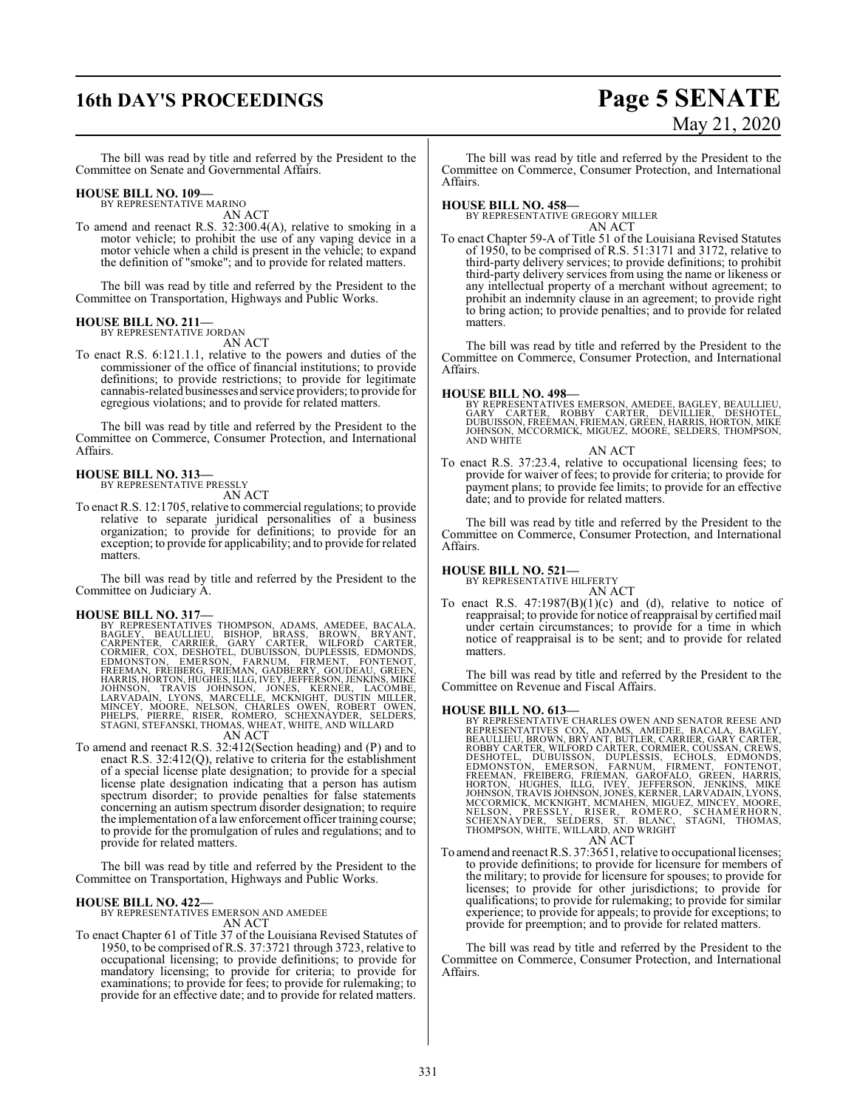# **16th DAY'S PROCEEDINGS Page 5 SENATE**

# May 21, 2020

The bill was read by title and referred by the President to the Committee on Senate and Governmental Affairs.

#### **HOUSE BILL NO. 109—**

BY REPRESENTATIVE MARINO AN ACT

To amend and reenact R.S. 32:300.4(A), relative to smoking in a motor vehicle; to prohibit the use of any vaping device in a motor vehicle when a child is present in the vehicle; to expand the definition of "smoke"; and to provide for related matters.

The bill was read by title and referred by the President to the Committee on Transportation, Highways and Public Works.

#### **HOUSE BILL NO. 211—** BY REPRESENTATIVE JORDAN

AN ACT

To enact R.S. 6:121.1.1, relative to the powers and duties of the commissioner of the office of financial institutions; to provide definitions; to provide restrictions; to provide for legitimate cannabis-related businesses and service providers; to provide for egregious violations; and to provide for related matters.

The bill was read by title and referred by the President to the Committee on Commerce, Consumer Protection, and International Affairs.

#### **HOUSE BILL NO. 313—** BY REPRESENTATIVE PRESSLY

AN ACT

To enact R.S. 12:1705, relative to commercial regulations; to provide relative to separate juridical personalities of a business organization; to provide for definitions; to provide for an exception; to provide for applicability; and to provide for related matters.

The bill was read by title and referred by the President to the Committee on Judiciary A.

HOUSE BILL NO. 317—<br>
BY REPRESENTATIVES THOMPSON, ADAMS, AMEDEE, BACALA,<br>
BAGLEY, BEAULLIEU, BISHOP, BRASS, BROWN, BRYANT,<br>
CARPENTER, CARRIER, GARY CARTER, WILFORD CARTER,<br>
CORMIER, COX, DESHOTEL, DUBUISSON, DUPLESSIS, ED

#### AN ACT

To amend and reenact R.S. 32:412(Section heading) and (P) and to enact R.S. 32:412(Q), relative to criteria for the establishment of a special license plate designation; to provide for a special license plate designation indicating that a person has autism spectrum disorder; to provide penalties for false statements concerning an autism spectrum disorder designation; to require the implementation of a lawenforcement officer training course; to provide for the promulgation of rules and regulations; and to provide for related matters.

The bill was read by title and referred by the President to the Committee on Transportation, Highways and Public Works.

#### **HOUSE BILL NO. 422—**

BY REPRESENTATIVES EMERSON AND AMEDEE AN ACT

To enact Chapter 61 of Title 37 of the Louisiana Revised Statutes of 1950, to be comprised ofR.S. 37:3721 through 3723, relative to occupational licensing; to provide definitions; to provide for mandatory licensing; to provide for criteria; to provide for examinations; to provide for fees; to provide for rulemaking; to provide for an effective date; and to provide for related matters.

The bill was read by title and referred by the President to the Committee on Commerce, Consumer Protection, and International Affairs.

**HOUSE BILL NO. 458—** BY REPRESENTATIVE GREGORY MILLER AN ACT

To enact Chapter 59-A of Title 51 of the Louisiana Revised Statutes of 1950, to be comprised of R.S. 51:3171 and 3172, relative to third-party delivery services; to provide definitions; to prohibit third-party delivery services from using the name or likeness or any intellectual property of a merchant without agreement; to prohibit an indemnity clause in an agreement; to provide right to bring action; to provide penalties; and to provide for related matters.

The bill was read by title and referred by the President to the Committee on Commerce, Consumer Protection, and International Affairs.

#### **HOUSE BILL NO. 498—**

BY REPRESENTATIVES EMERSON, AMEDEE, BAGLEY, BEAULLIEU,<br>GARY CARTER, ROBBY CARTER, DEVILLIER, DESHOTEL,<br>DUBUISSON, FREEMAN, FRIEMAN, GREEN, HARRIS, HORTON, MIKE<br>JOHNSON, MCCORMICK, MIGUEZ, MOORE, SELDERS, THOMPSON,<br>AND WHIT

#### AN ACT

To enact R.S. 37:23.4, relative to occupational licensing fees; to provide for waiver of fees; to provide for criteria; to provide for payment plans; to provide fee limits; to provide for an effective date; and to provide for related matters.

The bill was read by title and referred by the President to the Committee on Commerce, Consumer Protection, and International Affairs.

### **HOUSE BILL NO. 521—** BY REPRESENTATIVE HILFERTY

AN ACT

To enact R.S.  $47:1987(B)(1)(c)$  and (d), relative to notice of reappraisal; to provide for notice of reappraisal by certified mail under certain circumstances; to provide for a time in which notice of reappraisal is to be sent; and to provide for related matters.

The bill was read by title and referred by the President to the Committee on Revenue and Fiscal Affairs.

- **HOUSE BILL NO. 613—**<br>BY REPRESENTATIVES COX, ADAMS, AMEDEE, BACALA, BAGLEY, BEPRESENTATIVES COX, ADAMS, AMEDEE, BACALA, BAGLEY, BEAULLIEU, BROWN, BRYANT, BUTLER, CARRIER, GARY CARTER, ROBBY CARTER, WILFORD CARTER, DESHOTE
- To amend and reenact R.S. 37:3651, relative to occupational licenses; to provide definitions; to provide for licensure for members of the military; to provide for licensure for spouses; to provide for licenses; to provide for other jurisdictions; to provide for qualifications; to provide for rulemaking; to provide for similar experience; to provide for appeals; to provide for exceptions; to provide for preemption; and to provide for related matters.

The bill was read by title and referred by the President to the Committee on Commerce, Consumer Protection, and International Affairs.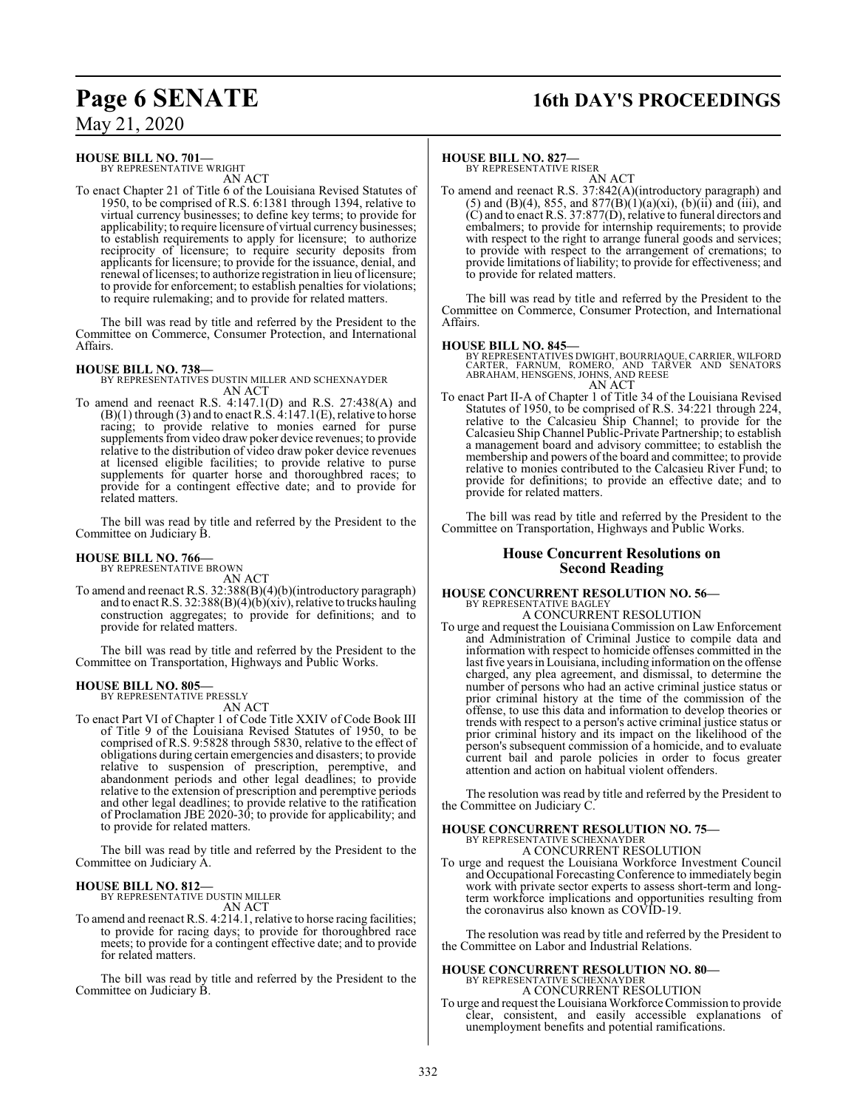# **Page 6 SENATE 16th DAY'S PROCEEDINGS**

May 21, 2020

#### **HOUSE BILL NO. 701—**

BY REPRESENTATIVE WRIGHT AN ACT

To enact Chapter 21 of Title 6 of the Louisiana Revised Statutes of 1950, to be comprised of R.S. 6:1381 through 1394, relative to virtual currency businesses; to define key terms; to provide for applicability; to require licensure of virtual currency businesses; to establish requirements to apply for licensure; to authorize reciprocity of licensure; to require security deposits from applicants for licensure; to provide for the issuance, denial, and renewal of licenses; to authorize registration in lieu of licensure; to provide for enforcement; to establish penalties for violations; to require rulemaking; and to provide for related matters.

The bill was read by title and referred by the President to the Committee on Commerce, Consumer Protection, and International Affairs.

#### **HOUSE BILL NO. 738—**

BY REPRESENTATIVES DUSTIN MILLER AND SCHEXNAYDER AN ACT

To amend and reenact R.S. 4:147.1(D) and R.S. 27:438(A) and  $(B)(1)$  through  $(3)$  and to enact R.S. 4:147.1 $(E)$ , relative to horse racing; to provide relative to monies earned for purse supplements from video draw poker device revenues; to provide relative to the distribution of video draw poker device revenues at licensed eligible facilities; to provide relative to purse supplements for quarter horse and thoroughbred races; to provide for a contingent effective date; and to provide for related matters.

The bill was read by title and referred by the President to the Committee on Judiciary B.

#### **HOUSE BILL NO. 766—**

BY REPRESENTATIVE BROWN

AN ACT To amend and reenact R.S. 32:388(B)(4)(b)(introductory paragraph) and to enact R.S. 32:388(B)(4)(b)(xiv), relative to trucks hauling construction aggregates; to provide for definitions; and to provide for related matters.

The bill was read by title and referred by the President to the Committee on Transportation, Highways and Public Works.

#### **HOUSE BILL NO. 805—**

BY REPRESENTATIVE PRESSLY AN ACT

To enact Part VI of Chapter 1 of Code Title XXIV of Code Book III of Title 9 of the Louisiana Revised Statutes of 1950, to be comprised of R.S. 9:5828 through 5830, relative to the effect of obligations during certain emergencies and disasters; to provide relative to suspension of prescription, peremptive, and abandonment periods and other legal deadlines; to provide relative to the extension of prescription and peremptive periods and other legal deadlines; to provide relative to the ratification of Proclamation JBE 2020-30; to provide for applicability; and to provide for related matters.

The bill was read by title and referred by the President to the Committee on Judiciary A.

#### **HOUSE BILL NO. 812—**

BY REPRESENTATIVE DUSTIN MILLER AN ACT

To amend and reenact R.S. 4:214.1, relative to horse racing facilities; to provide for racing days; to provide for thoroughbred race meets; to provide for a contingent effective date; and to provide for related matters.

The bill was read by title and referred by the President to the Committee on Judiciary B.

#### **HOUSE BILL NO. 827—**

BY REPRESENTATIVE RISER AN ACT

To amend and reenact R.S. 37:842(A)(introductory paragraph) and (5) and (B)(4), 855, and 877(B)(1)(a)(xi), (b)(ii) and (iii), and (C) and to enact R.S. 37:877(D), relative to funeral directors and embalmers; to provide for internship requirements; to provide with respect to the right to arrange funeral goods and services; to provide with respect to the arrangement of cremations; to provide limitations of liability; to provide for effectiveness; and to provide for related matters.

The bill was read by title and referred by the President to the Committee on Commerce, Consumer Protection, and International Affairs.

#### **HOUSE BILL NO. 845—**

BY REPRESENTATIVES DWIGHT, BOURRIAQUE, CARRIER, WILFORD<br>CARTER, FARNUM, ROMERO, AND TARVER AND SENATORS<br>ABRAHAM, HENSGENS, JOHNS, AND REESE AN ACT

To enact Part II-A of Chapter 1 of Title 34 of the Louisiana Revised Statutes of 1950, to be comprised of R.S. 34:221 through 224, relative to the Calcasieu Ship Channel; to provide for the Calcasieu Ship Channel Public-Private Partnership; to establish a management board and advisory committee; to establish the membership and powers of the board and committee; to provide relative to monies contributed to the Calcasieu River Fund; to provide for definitions; to provide an effective date; and to provide for related matters.

The bill was read by title and referred by the President to the Committee on Transportation, Highways and Public Works.

#### **House Concurrent Resolutions on Second Reading**

#### **HOUSE CONCURRENT RESOLUTION NO. 56—** BY REPRESENTATIVE BAGLEY A CONCURRENT RESOLUTION

To urge and request the Louisiana Commission on Law Enforcement and Administration of Criminal Justice to compile data and information with respect to homicide offenses committed in the last five years in Louisiana, including information on the offense charged, any plea agreement, and dismissal, to determine the number of persons who had an active criminal justice status or prior criminal history at the time of the commission of the offense, to use this data and information to develop theories or trends with respect to a person's active criminal justice status or prior criminal history and its impact on the likelihood of the person's subsequent commission of a homicide, and to evaluate current bail and parole policies in order to focus greater attention and action on habitual violent offenders.

The resolution was read by title and referred by the President to the Committee on Judiciary C.

# **HOUSE CONCURRENT RESOLUTION NO. 75—** BY REPRESENTATIVE SCHEXNAYDER

A CONCURRENT RESOLUTION

To urge and request the Louisiana Workforce Investment Council and Occupational Forecasting Conference to immediately begin work with private sector experts to assess short-term and longterm workforce implications and opportunities resulting from the coronavirus also known as COVID-19.

The resolution was read by title and referred by the President to the Committee on Labor and Industrial Relations.

# **HOUSE CONCURRENT RESOLUTION NO. 80—** BY REPRESENTATIVE SCHEXNAYDER

A CONCURRENT RESOLUTION

To urge and request the Louisiana Workforce Commission to provide clear, consistent, and easily accessible explanations of unemployment benefits and potential ramifications.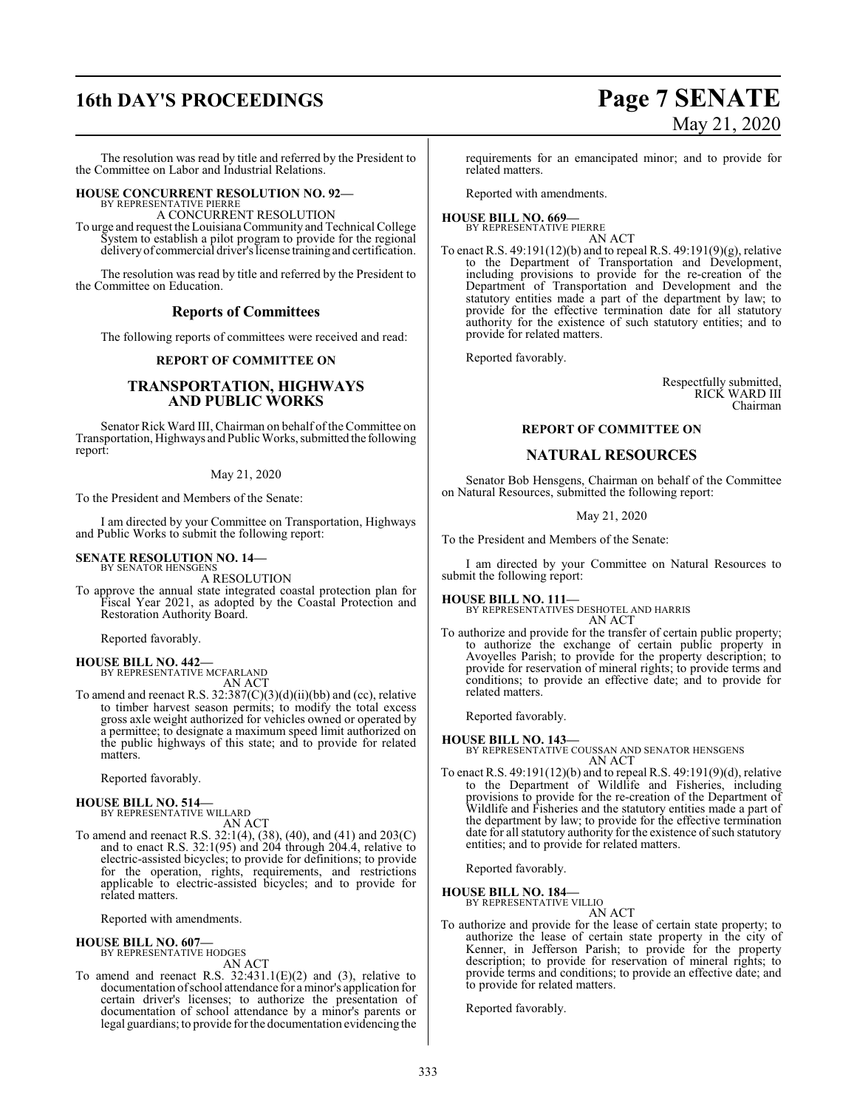# **16th DAY'S PROCEEDINGS Page 7 SENATE**

The resolution was read by title and referred by the President to the Committee on Labor and Industrial Relations.

#### **HOUSE CONCURRENT RESOLUTION NO. 92—** BY REPRESENTATIVE PIERRE

A CONCURRENT RESOLUTION

To urge and request the LouisianaCommunity and Technical College System to establish a pilot program to provide for the regional delivery of commercial driver's license training and certification.

The resolution was read by title and referred by the President to the Committee on Education.

#### **Reports of Committees**

The following reports of committees were received and read:

#### **REPORT OF COMMITTEE ON**

#### **TRANSPORTATION, HIGHWAYS AND PUBLIC WORKS**

Senator Rick Ward III, Chairman on behalf ofthe Committee on Transportation, Highways and Public Works, submitted the following report:

#### May 21, 2020

To the President and Members of the Senate:

I am directed by your Committee on Transportation, Highways and Public Works to submit the following report:

#### **SENATE RESOLUTION NO. 14—** BY SENATOR HENSGENS

A RESOLUTION

To approve the annual state integrated coastal protection plan for Fiscal Year 2021, as adopted by the Coastal Protection and Restoration Authority Board.

Reported favorably.

#### **HOUSE BILL NO. 442—** BY REPRESENTATIVE MCFARLAND

AN ACT

To amend and reenact R.S.  $32:387(C)(3)(d)(ii)(bb)$  and (cc), relative to timber harvest season permits; to modify the total excess gross axle weight authorized for vehicles owned or operated by a permittee; to designate a maximum speed limit authorized on the public highways of this state; and to provide for related matters.

Reported favorably.

#### **HOUSE BILL NO. 514—** BY REPRESENTATIVE WILLARD

AN ACT

To amend and reenact R.S. 32:1(4), (38), (40), and (41) and 203(C) and to enact R.S. 32:1(95) and 204 through 204.4, relative to electric-assisted bicycles; to provide for definitions; to provide for the operation, rights, requirements, and restrictions applicable to electric-assisted bicycles; and to provide for related matters.

Reported with amendments.

#### **HOUSE BILL NO. 607—** BY REPRESENTATIVE HODGES

AN ACT

To amend and reenact R.S.  $32:431.1(E)(2)$  and (3), relative to documentation ofschool attendance for a minor's application for certain driver's licenses; to authorize the presentation of documentation of school attendance by a minor's parents or legal guardians; to provide for the documentation evidencing the

requirements for an emancipated minor; and to provide for related matters.

Reported with amendments.

#### **HOUSE BILL NO. 669—** BY REPRESENTATIVE PIERRE

AN ACT

To enact R.S. 49:191(12)(b) and to repeal R.S. 49:191(9)(g), relative to the Department of Transportation and Development, including provisions to provide for the re-creation of the Department of Transportation and Development and the statutory entities made a part of the department by law; to provide for the effective termination date for all statutory authority for the existence of such statutory entities; and to provide for related matters.

Reported favorably.

Respectfully submitted, RICK WARD III Chairman

#### **REPORT OF COMMITTEE ON**

#### **NATURAL RESOURCES**

Senator Bob Hensgens, Chairman on behalf of the Committee on Natural Resources, submitted the following report:

#### May 21, 2020

To the President and Members of the Senate:

I am directed by your Committee on Natural Resources to submit the following report:

### **HOUSE BILL NO. 111—** BY REPRESENTATIVES DESHOTEL AND HARRIS

AN ACT

To authorize and provide for the transfer of certain public property; to authorize the exchange of certain public property in Avoyelles Parish; to provide for the property description; to provide for reservation of mineral rights; to provide terms and conditions; to provide an effective date; and to provide for related matters.

Reported favorably.

#### **HOUSE BILL NO. 143—**

BY REPRESENTATIVE COUSSAN AND SENATOR HENSGENS AN ACT

To enact R.S. 49:191(12)(b) and to repeal R.S. 49:191(9)(d), relative to the Department of Wildlife and Fisheries, including provisions to provide for the re-creation of the Department of Wildlife and Fisheries and the statutory entities made a part of the department by law; to provide for the effective termination date for all statutory authority for the existence of such statutory entities; and to provide for related matters.

Reported favorably.

#### **HOUSE BILL NO. 184—**

BY REPRESENTATIVE VILLIO AN ACT

To authorize and provide for the lease of certain state property; to authorize the lease of certain state property in the city of Kenner, in Jefferson Parish; to provide for the property description; to provide for reservation of mineral rights; to provide terms and conditions; to provide an effective date; and to provide for related matters.

Reported favorably.

# May 21, 2020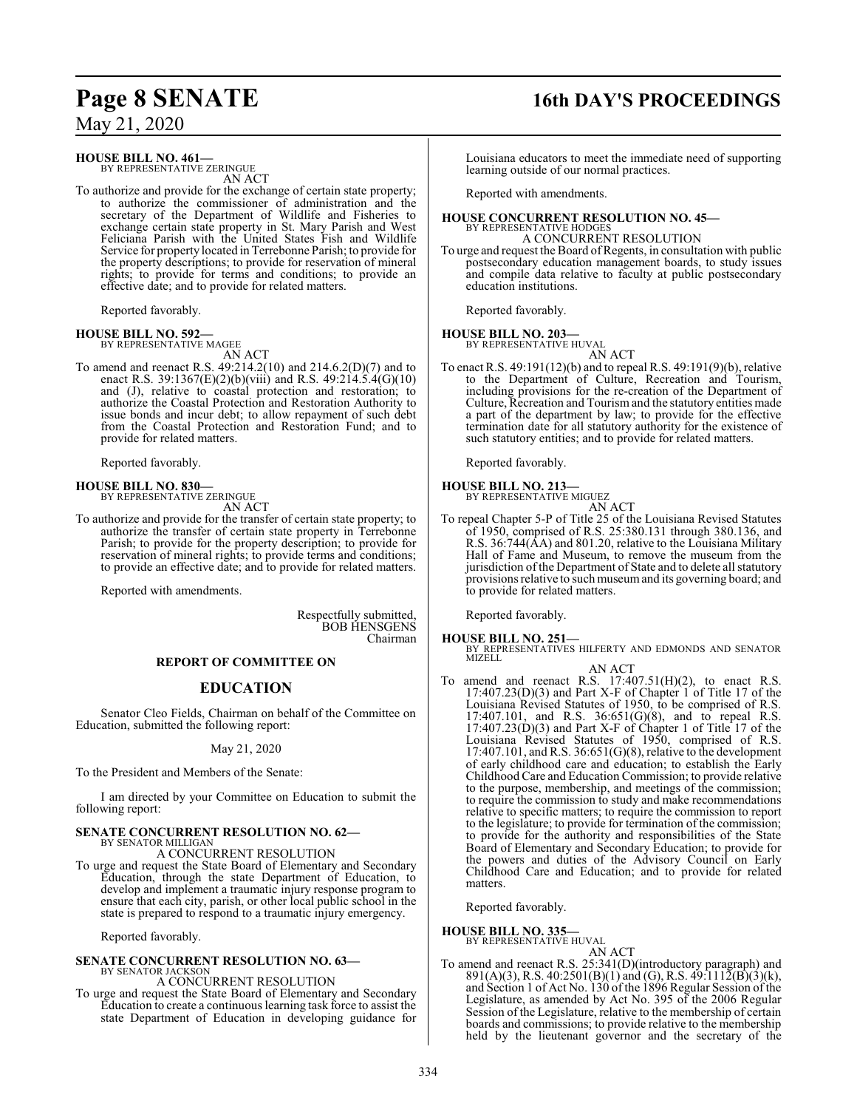#### **HOUSE BILL NO. 461—**

BY REPRESENTATIVE ZERINGUE AN ACT

To authorize and provide for the exchange of certain state property; to authorize the commissioner of administration and the secretary of the Department of Wildlife and Fisheries to exchange certain state property in St. Mary Parish and West Feliciana Parish with the United States Fish and Wildlife Service for property located in Terrebonne Parish; to provide for the property descriptions; to provide for reservation of mineral rights; to provide for terms and conditions; to provide an effective date; and to provide for related matters.

Reported favorably.

## **HOUSE BILL NO. 592—** BY REPRESENTATIVE MAGEE

AN ACT

To amend and reenact R.S. 49:214.2(10) and 214.6.2(D)(7) and to enact R.S. 39:1367(E)(2)(b)(viii) and R.S. 49:214.5.4(G)(10) and (J), relative to coastal protection and restoration; to authorize the Coastal Protection and Restoration Authority to issue bonds and incur debt; to allow repayment of such debt from the Coastal Protection and Restoration Fund; and to provide for related matters.

Reported favorably.

**HOUSE BILL NO. 830—** BY REPRESENTATIVE ZERINGUE AN ACT

To authorize and provide for the transfer of certain state property; to authorize the transfer of certain state property in Terrebonne Parish; to provide for the property description; to provide for reservation of mineral rights; to provide terms and conditions; to provide an effective date; and to provide for related matters.

Reported with amendments.

Respectfully submitted, BOB HENSGENS Chairman

#### **REPORT OF COMMITTEE ON**

### **EDUCATION**

Senator Cleo Fields, Chairman on behalf of the Committee on Education, submitted the following report:

May 21, 2020

To the President and Members of the Senate:

I am directed by your Committee on Education to submit the following report:

#### **SENATE CONCURRENT RESOLUTION NO. 62—** BY SENATOR MILLIGAN

A CONCURRENT RESOLUTION

To urge and request the State Board of Elementary and Secondary Education, through the state Department of Education, to develop and implement a traumatic injury response program to ensure that each city, parish, or other local public school in the state is prepared to respond to a traumatic injury emergency.

Reported favorably.

#### **SENATE CONCURRENT RESOLUTION NO. 63—** BY SENATOR JACKSON

A CONCURRENT RESOLUTION

To urge and request the State Board of Elementary and Secondary Education to create a continuous learning task force to assist the state Department of Education in developing guidance for

# **Page 8 SENATE 16th DAY'S PROCEEDINGS**

Louisiana educators to meet the immediate need of supporting learning outside of our normal practices.

Reported with amendments.

#### **HOUSE CONCURRENT RESOLUTION NO. 45—** BY REPRESENTATIVE HODGES A CONCURRENT RESOLUTION

To urge and request the Board of Regents, in consultation with public postsecondary education management boards, to study issues and compile data relative to faculty at public postsecondary education institutions.

Reported favorably.

## **HOUSE BILL NO. 203—** BY REPRESENTATIVE HUVAL

AN ACT

To enact R.S. 49:191(12)(b) and to repeal R.S. 49:191(9)(b), relative to the Department of Culture, Recreation and Tourism, including provisions for the re-creation of the Department of Culture, Recreation and Tourism and the statutory entities made a part of the department by law; to provide for the effective termination date for all statutory authority for the existence of such statutory entities; and to provide for related matters.

Reported favorably.

### **HOUSE BILL NO. 213—** BY REPRESENTATIVE MIGUEZ

AN ACT

To repeal Chapter 5-P of Title 25 of the Louisiana Revised Statutes of 1950, comprised of R.S. 25:380.131 through 380.136, and R.S. 36:744(AA) and 801.20, relative to the Louisiana Military Hall of Fame and Museum, to remove the museum from the jurisdiction of the Department of State and to delete all statutory provisions relative to such museumand its governing board; and to provide for related matters.

Reported favorably.

**HOUSE BILL NO. 251—** BY REPRESENTATIVES HILFERTY AND EDMONDS AND SENATOR **MIZELL** 

- AN ACT
- To amend and reenact R.S.  $17:407.51(H)(2)$ , to enact R.S. 17:407.23(D)(3) and Part X-F of Chapter 1 of Title 17 of the Louisiana Revised Statutes of 1950, to be comprised of R.S. 17:407.101, and R.S. 36:651(G)(8), and to repeal R.S.  $17:407.23(D)(3)$  and Part X-F of Chapter 1 of Title 17 of the Louisiana Revised Statutes of 1950, comprised of R.S. 17:407.101, and R.S. 36:651(G)(8), relative to the development of early childhood care and education; to establish the Early Childhood Care and Education Commission; to provide relative to the purpose, membership, and meetings of the commission; to require the commission to study and make recommendations relative to specific matters; to require the commission to report to the legislature; to provide for termination of the commission; to provide for the authority and responsibilities of the State Board of Elementary and Secondary Education; to provide for the powers and duties of the Advisory Council on Early Childhood Care and Education; and to provide for related matters.

Reported favorably.

**HOUSE BILL NO. 335—**

BY REPRESENTATIVE HUVAL

- AN ACT
- To amend and reenact R.S. 25:341(D)(introductory paragraph) and 891(A)(3), R.S. 40:2501(B)(1) and (G), R.S. 49:1112(B)(3)(k), and Section 1 of Act No. 130 of the 1896 Regular Session of the Legislature, as amended by Act No. 395 of the 2006 Regular Session of the Legislature, relative to the membership of certain boards and commissions; to provide relative to the membership held by the lieutenant governor and the secretary of the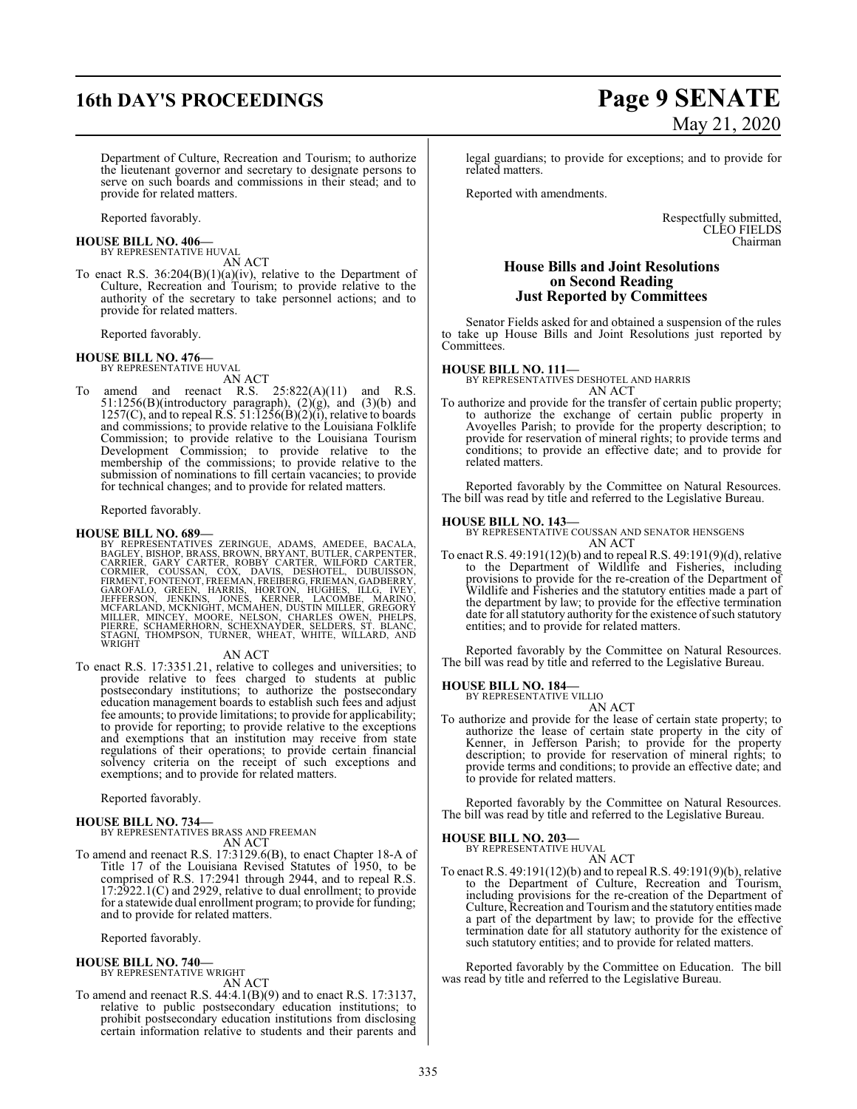# **16th DAY'S PROCEEDINGS Page 9 SENATE**

Department of Culture, Recreation and Tourism; to authorize the lieutenant governor and secretary to designate persons to serve on such boards and commissions in their stead; and to provide for related matters.

Reported favorably.

#### **HOUSE BILL NO. 406—** BY REPRESENTATIVE HUVAL

AN ACT

To enact R.S. 36:204(B)(1)(a)(iv), relative to the Department of Culture, Recreation and Tourism; to provide relative to the authority of the secretary to take personnel actions; and to provide for related matters.

Reported favorably.

#### **HOUSE BILL NO. 476—**

BY REPRESENTATIVE HUVAL AN ACT

To amend and reenact R.S. 25:822(A)(11) and R.S.  $51:1256(B)$ (introductory paragraph),  $(2)(g)$ , and  $(3)(b)$  and  $1257(C)$ , and to repeal R.S.  $51:1256(B)(2)(i)$ , relative to boards and commissions; to provide relative to the Louisiana Folklife Commission; to provide relative to the Louisiana Tourism Development Commission; to provide relative to the membership of the commissions; to provide relative to the submission of nominations to fill certain vacancies; to provide for technical changes; and to provide for related matters.

Reported favorably.

HOUSE BILL NO. 689-<br>BY REPRESENTATIVES ZERINGUE, ADAMS, AMEDEE, BACALA,<br>BAGLEY, BISHOP, BRASS, BROWN, BRYANT, BUTLER, CARPENTER,<br>CARRIER, GARY CARTER, ROBBY CARTER, WILFORD CARTER,<br>CORMIER, COUSSAN, COX, DAVIS, DESHOTEL, D

#### AN ACT

To enact R.S. 17:3351.21, relative to colleges and universities; to provide relative to fees charged to students at public postsecondary institutions; to authorize the postsecondary education management boards to establish such fees and adjust fee amounts; to provide limitations; to provide for applicability; to provide for reporting; to provide relative to the exceptions and exemptions that an institution may receive from state regulations of their operations; to provide certain financial solvency criteria on the receipt of such exceptions and exemptions; and to provide for related matters.

Reported favorably.

**HOUSE BILL NO. 734—** BY REPRESENTATIVES BRASS AND FREEMAN

AN ACT To amend and reenact R.S. 17:3129.6(B), to enact Chapter 18-A of Title 17 of the Louisiana Revised Statutes of 1950, to be comprised of R.S. 17:2941 through 2944, and to repeal R.S. 17:2922.1(C) and 2929, relative to dual enrollment; to provide for a statewide dual enrollment program; to provide for funding; and to provide for related matters.

Reported favorably.

#### **HOUSE BILL NO. 740—**

BY REPRESENTATIVE WRIGHT AN ACT

To amend and reenact R.S. 44:4.1(B)(9) and to enact R.S. 17:3137, relative to public postsecondary education institutions; to prohibit postsecondary education institutions from disclosing certain information relative to students and their parents and

# May 21, 2020

legal guardians; to provide for exceptions; and to provide for related matters.

Reported with amendments.

Respectfully submitted, CLEO FIELDS Chairman

#### **House Bills and Joint Resolutions on Second Reading Just Reported by Committees**

Senator Fields asked for and obtained a suspension of the rules to take up House Bills and Joint Resolutions just reported by Committees.

#### **HOUSE BILL NO. 111—**

BY REPRESENTATIVES DESHOTEL AND HARRIS AN ACT

To authorize and provide for the transfer of certain public property; to authorize the exchange of certain public property in Avoyelles Parish; to provide for the property description; to provide for reservation of mineral rights; to provide terms and conditions; to provide an effective date; and to provide for related matters.

Reported favorably by the Committee on Natural Resources. The bill was read by title and referred to the Legislative Bureau.

#### **HOUSE BILL NO. 143—**

BY REPRESENTATIVE COUSSAN AND SENATOR HENSGENS AN ACT

To enact R.S. 49:191(12)(b) and to repeal R.S. 49:191(9)(d), relative to the Department of Wildlife and Fisheries, including provisions to provide for the re-creation of the Department of Wildlife and Fisheries and the statutory entities made a part of the department by law; to provide for the effective termination date for all statutory authority for the existence of such statutory entities; and to provide for related matters.

Reported favorably by the Committee on Natural Resources. The bill was read by title and referred to the Legislative Bureau.

### **HOUSE BILL NO. 184—** BY REPRESENTATIVE VILLIO

AN ACT

To authorize and provide for the lease of certain state property; to authorize the lease of certain state property in the city of Kenner, in Jefferson Parish; to provide for the property description; to provide for reservation of mineral rights; to provide terms and conditions; to provide an effective date; and to provide for related matters.

Reported favorably by the Committee on Natural Resources. The bill was read by title and referred to the Legislative Bureau.

**HOUSE BILL NO. 203—**

BY REPRESENTATIVE HUVAL AN ACT

To enact R.S. 49:191(12)(b) and to repeal R.S. 49:191(9)(b), relative to the Department of Culture, Recreation and Tourism, including provisions for the re-creation of the Department of Culture, Recreation and Tourism and the statutory entities made a part of the department by law; to provide for the effective termination date for all statutory authority for the existence of such statutory entities; and to provide for related matters.

Reported favorably by the Committee on Education. The bill was read by title and referred to the Legislative Bureau.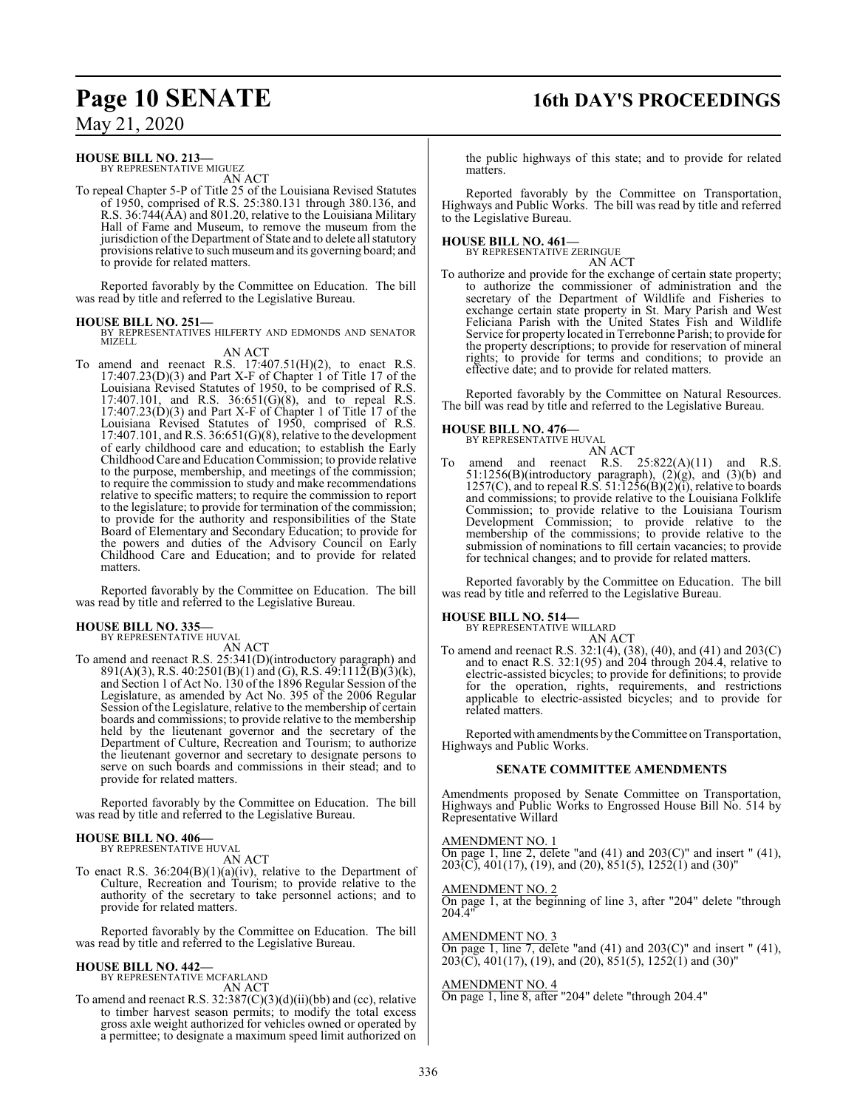## **Page 10 SENATE 16th DAY'S PROCEEDINGS**

May 21, 2020

#### **HOUSE BILL NO. 213—**

BY REPRESENTATIVE MIGUEZ AN ACT

To repeal Chapter 5-P of Title 25 of the Louisiana Revised Statutes of 1950, comprised of R.S. 25:380.131 through 380.136, and R.S. 36:744(AA) and 801.20, relative to the Louisiana Military Hall of Fame and Museum, to remove the museum from the jurisdiction of the Department of State and to delete all statutory provisions relative to such museumand its governing board; and to provide for related matters.

Reported favorably by the Committee on Education. The bill was read by title and referred to the Legislative Bureau.

**HOUSE BILL NO. 251—** BY REPRESENTATIVES HILFERTY AND EDMONDS AND SENATOR MIZELL

#### AN ACT

To amend and reenact R.S.  $17:407.51(H)(2)$ , to enact R.S. 17:407.23(D)(3) and Part X-F of Chapter 1 of Title 17 of the Louisiana Revised Statutes of 1950, to be comprised of R.S. 17:407.101, and R.S. 36:651(G)(8), and to repeal R.S. 17:407.23(D)(3) and Part X-F of Chapter 1 of Title 17 of the Louisiana Revised Statutes of 1950, comprised of R.S.  $17:407.101$ , and R.S.  $36:651(G)(8)$ , relative to the development of early childhood care and education; to establish the Early Childhood Care and Education Commission; to provide relative to the purpose, membership, and meetings of the commission; to require the commission to study and make recommendations relative to specific matters; to require the commission to report to the legislature; to provide for termination of the commission; to provide for the authority and responsibilities of the State Board of Elementary and Secondary Education; to provide for the powers and duties of the Advisory Council on Early Childhood Care and Education; and to provide for related matters.

Reported favorably by the Committee on Education. The bill was read by title and referred to the Legislative Bureau.

#### **HOUSE BILL NO. 335—**

BY REPRESENTATIVE HUVAL

AN ACT To amend and reenact R.S. 25:341(D)(introductory paragraph) and 891(A)(3), R.S.  $40:2501(B)(1)$  and (G), R.S.  $49:1112(B)(3)(k)$ , and Section 1 of Act No. 130 of the 1896 Regular Session of the Legislature, as amended by Act No. 395 of the 2006 Regular Session of the Legislature, relative to the membership of certain boards and commissions; to provide relative to the membership held by the lieutenant governor and the secretary of the Department of Culture, Recreation and Tourism; to authorize the lieutenant governor and secretary to designate persons to serve on such boards and commissions in their stead; and to provide for related matters.

Reported favorably by the Committee on Education. The bill was read by title and referred to the Legislative Bureau.

#### **HOUSE BILL NO. 406—**

BY REPRESENTATIVE HUVAL AN ACT

To enact R.S.  $36:204(B)(1)(a)(iv)$ , relative to the Department of Culture, Recreation and Tourism; to provide relative to the authority of the secretary to take personnel actions; and to provide for related matters.

Reported favorably by the Committee on Education. The bill was read by title and referred to the Legislative Bureau.

### **HOUSE BILL NO. 442—** BY REPRESENTATIVE MCFARLAND

AN ACT

To amend and reenact R.S. 32:387(C)(3)(d)(ii)(bb) and (cc), relative to timber harvest season permits; to modify the total excess gross axle weight authorized for vehicles owned or operated by a permittee; to designate a maximum speed limit authorized on

the public highways of this state; and to provide for related matters.

Reported favorably by the Committee on Transportation, Highways and Public Works. The bill was read by title and referred to the Legislative Bureau.

#### **HOUSE BILL NO. 461—**

BY REPRESENTATIVE ZERINGUE AN ACT

To authorize and provide for the exchange of certain state property; to authorize the commissioner of administration and the secretary of the Department of Wildlife and Fisheries to exchange certain state property in St. Mary Parish and West Feliciana Parish with the United States Fish and Wildlife Service for property located in Terrebonne Parish; to provide for the property descriptions; to provide for reservation of mineral rights; to provide for terms and conditions; to provide an effective date; and to provide for related matters.

Reported favorably by the Committee on Natural Resources. The bill was read by title and referred to the Legislative Bureau.

### **HOUSE BILL NO. 476—**

BY REPRESENTATIVE HUVAL AN ACT

To amend and reenact R.S.  $25:822(A)(11)$  and R.S. 51:1256(B)(introductory paragraph), (2)(g), and (3)(b) and 1257(C), and to repeal R.S. 51:1256(B)(2)(i), relative to boards and commissions; to provide relative to the Louisiana Folklife Commission; to provide relative to the Louisiana Tourism Development Commission; to provide relative to the membership of the commissions; to provide relative to the submission of nominations to fill certain vacancies; to provide for technical changes; and to provide for related matters.

Reported favorably by the Committee on Education. The bill was read by title and referred to the Legislative Bureau.

#### **HOUSE BILL NO. 514—**

BY REPRESENTATIVE WILLARD AN ACT

To amend and reenact R.S. 32:1(4), (38), (40), and (41) and 203(C) and to enact R.S. 32:1(95) and 204 through 204.4, relative to electric-assisted bicycles; to provide for definitions; to provide for the operation, rights, requirements, and restrictions applicable to electric-assisted bicycles; and to provide for related matters.

Reported with amendments by the Committee on Transportation, Highways and Public Works.

#### **SENATE COMMITTEE AMENDMENTS**

Amendments proposed by Senate Committee on Transportation, Highways and Public Works to Engrossed House Bill No. 514 by Representative Willard

#### AMENDMENT NO. 1

On page 1, line 2, delete "and  $(41)$  and  $203(C)$ " and insert " $(41)$ ,  $203(\overline{C})$ ,  $401(17)$ ,  $(19)$ , and  $(20)$ ,  $851(5)$ ,  $1252(1)$  and  $(30)$ "

#### AMENDMENT NO. 2

On page 1, at the beginning of line 3, after "204" delete "through 204.4"

AMENDMENT NO. 3

On page 1, line 7, delete "and  $(41)$  and  $203(C)$ " and insert " $(41)$ ,  $203(\overline{C})$ ,  $401(17)$ ,  $(19)$ , and  $(20)$ ,  $851(5)$ ,  $1252(1)$  and  $(30)$ "

#### AMENDMENT NO. 4

On page 1, line 8, after "204" delete "through 204.4"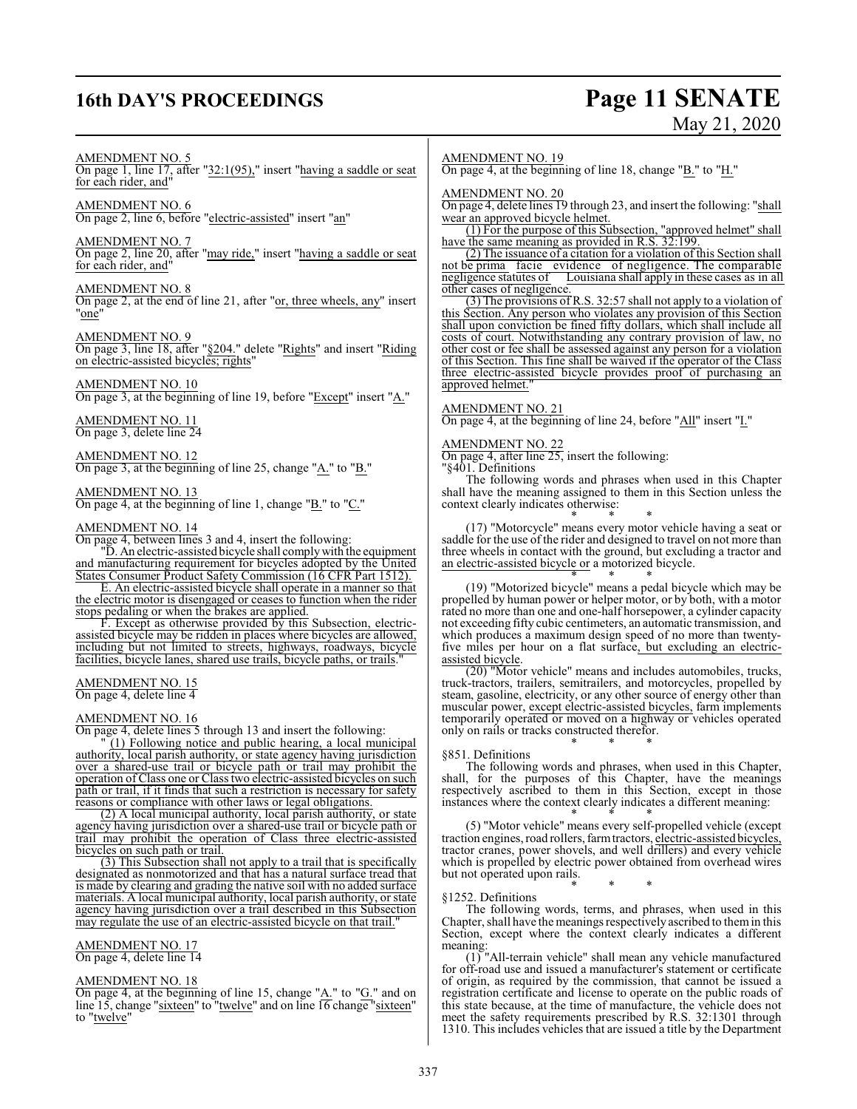# **16th DAY'S PROCEEDINGS Page 11 SENATE**

# May 21, 2020

#### AMENDMENT NO. 5

On page 1, line 17, after "32:1(95)," insert "having a saddle or seat for each rider, and"

AMENDMENT NO. 6 On page 2, line 6, before "electric-assisted" insert "an"

AMENDMENT NO. 7 On page 2, line 20, after "may ride," insert "having a saddle or seat for each rider, and"

#### AMENDMENT NO. 8

On page 2, at the end of line 21, after "or, three wheels, any" insert "one"

AMENDMENT NO. 9 On page 3, line 18, after "§204." delete "Rights" and insert "Riding on electric-assisted bicycles; rights"

#### AMENDMENT NO. 10

On page 3, at the beginning of line 19, before "Except" insert "A."

AMENDMENT NO. 11 On page 3, delete line 24

AMENDMENT NO. 12 On page 3, at the beginning of line 25, change "A." to "B."

AMENDMENT NO. 13 On page 4, at the beginning of line 1, change "B." to "C."

#### AMENDMENT NO. 14

On page 4, between lines 3 and 4, insert the following:

"D. An electric-assisted bicycle shall complywith the equipment and manufacturing requirement for bicycles adopted by the United States Consumer Product Safety Commission (16 CFR Part 1512).

E. An electric-assisted bicycle shall operate in a manner so that the electric motor is disengaged or ceases to function when the rider stops pedaling or when the brakes are applied.

F. Except as otherwise provided by this Subsection, electricassisted bicycle may be ridden in places where bicycles are allowed, including but not limited to streets, highways, roadways, bicycle facilities, bicycle lanes, shared use trails, bicycle paths, or trails."

#### AMENDMENT NO. 15

On page 4, delete line 4

#### AMENDMENT NO. 16

On page 4, delete lines 5 through 13 and insert the following:

 $(1)$  Following notice and public hearing, a local municipal authority, local parish authority, or state agency having jurisdiction over a shared-use trail or bicycle path or trail may prohibit the operation of Class one or Class two electric-assisted bicycles on such path or trail, if it finds that such a restriction is necessary for safety reasons or compliance with other laws or legal obligations.

(2) A local municipal authority, local parish authority, or state agency having jurisdiction over a shared-use trail or bicycle path or trail may prohibit the operation of Class three electric-assisted bicycles on such path or trail.

(3) This Subsection shall not apply to a trail that is specifically designated as nonmotorized and that has a natural surface tread that is made by clearing and grading the native soil with no added surface materials. A local municipal authority, local parish authority, or state agency having jurisdiction over a trail described in this Subsection may regulate the use of an electric-assisted bicycle on that trail."

#### AMENDMENT NO. 17

On page 4, delete line 14

### AMENDMENT NO. 18

On page 4, at the beginning of line 15, change " $\underline{A}$ ." to " $\underline{G}$ ." and on line 15, change "sixteen" to "twelve" and on line 16 change "sixteen" to "twelve"

#### AMENDMENT NO. 19

On page 4, at the beginning of line 18, change "B." to "H."

#### AMENDMENT NO. 20

On page 4, delete lines 19 through 23, and insert the following: "shall wear an approved bicycle helmet.

(1) For the purpose of this Subsection, "approved helmet" shall have the same meaning as provided in R.S. 32:199.

(2) The issuance of a citation for a violation of this Section shall not be prima facie evidence of negligence. The comparable negligence statutes of Louisiana shall apply in these cases as in all other cases of negligence.

(3) The provisions of R.S. 32:57 shall not apply to a violation of this Section. Any person who violates any provision of this Section shall upon conviction be fined fifty dollars, which shall include all costs of court. Notwithstanding any contrary provision of law, no other cost or fee shall be assessed against any person for a violation of this Section. This fine shall be waived if the operator of the Class three electric-assisted bicycle provides proof of purchasing an approved helmet.

#### AMENDMENT NO. 21

On page 4, at the beginning of line 24, before "All" insert "I."

#### AMENDMENT NO. 22

On page 4, after line  $25$ , insert the following:

"§401. Definitions

The following words and phrases when used in this Chapter shall have the meaning assigned to them in this Section unless the context clearly indicates otherwise:

\* \* \* (17) "Motorcycle" means every motor vehicle having a seat or saddle for the use of the rider and designed to travel on not more than three wheels in contact with the ground, but excluding a tractor and an electric-assisted bicycle or a motorized bicycle. \* \* \*

(19) "Motorized bicycle" means a pedal bicycle which may be propelled by human power or helper motor, or by both, with a motor rated no more than one and one-half horsepower, a cylinder capacity not exceeding fifty cubic centimeters, an automatic transmission, and which produces a maximum design speed of no more than twentyfive miles per hour on a flat surface, but excluding an electricassisted bicycle.

(20) "Motor vehicle" means and includes automobiles, trucks, truck-tractors, trailers, semitrailers, and motorcycles, propelled by steam, gasoline, electricity, or any other source of energy other than muscular power, except electric-assisted bicycles, farm implements temporarily operated or moved on a highway or vehicles operated only on rails or tracks constructed therefor. \* \* \*

#### §851. Definitions

The following words and phrases, when used in this Chapter, shall, for the purposes of this Chapter, have the meanings respectively ascribed to them in this Section, except in those instances where the context clearly indicates a different meaning:

\* \* \* (5) "Motor vehicle" means every self-propelled vehicle (except traction engines, road rollers, farmtractors, electric-assisted bicycles, tractor cranes, power shovels, and well drillers) and every vehicle which is propelled by electric power obtained from overhead wires but not operated upon rails.

\* \* \*

#### §1252. Definitions

The following words, terms, and phrases, when used in this Chapter, shall have the meaningsrespectively ascribed to themin this Section, except where the context clearly indicates a different meaning:

(1) "All-terrain vehicle" shall mean any vehicle manufactured for off-road use and issued a manufacturer's statement or certificate of origin, as required by the commission, that cannot be issued a registration certificate and license to operate on the public roads of this state because, at the time of manufacture, the vehicle does not meet the safety requirements prescribed by R.S. 32:1301 through 1310. This includes vehicles that are issued a title by the Department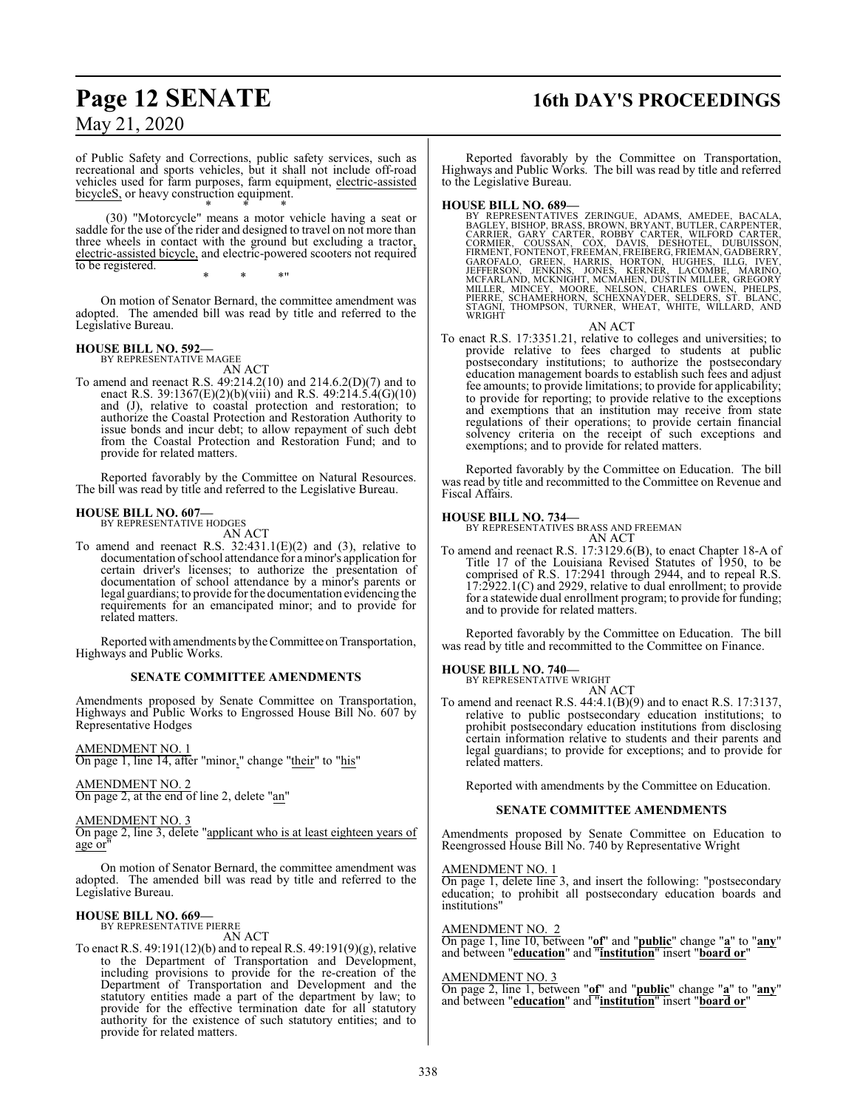## **Page 12 SENATE 16th DAY'S PROCEEDINGS**

May 21, 2020

of Public Safety and Corrections, public safety services, such as recreational and sports vehicles, but it shall not include off-road vehicles used for farm purposes, farm equipment, electric-assisted bicycleS, or heavy construction equipment. \* \* \*

(30) "Motorcycle" means a motor vehicle having a seat or saddle for the use of the rider and designed to travel on not more than three wheels in contact with the ground but excluding a tractor, electric-assisted bicycle, and electric-powered scooters not required to be registered.

\* \* \*"

On motion of Senator Bernard, the committee amendment was adopted. The amended bill was read by title and referred to the Legislative Bureau.

### **HOUSE BILL NO. 592—** BY REPRESENTATIVE MAGEE

AN ACT

To amend and reenact R.S. 49:214.2(10) and 214.6.2(D)(7) and to enact R.S. 39:1367(E)(2)(b)(viii) and R.S. 49:214.5.4(G)(10) and (J), relative to coastal protection and restoration; to authorize the Coastal Protection and Restoration Authority to issue bonds and incur debt; to allow repayment of such debt from the Coastal Protection and Restoration Fund; and to provide for related matters.

Reported favorably by the Committee on Natural Resources. The bill was read by title and referred to the Legislative Bureau.

#### **HOUSE BILL NO. 607—**

BY REPRESENTATIVE HODGES AN ACT

To amend and reenact R.S.  $32:431.1(E)(2)$  and (3), relative to documentation ofschool attendance for a minor's application for certain driver's licenses; to authorize the presentation of documentation of school attendance by a minor's parents or legal guardians; to provide for the documentation evidencing the requirements for an emancipated minor; and to provide for related matters.

Reported with amendments by the Committee on Transportation, Highways and Public Works.

#### **SENATE COMMITTEE AMENDMENTS**

Amendments proposed by Senate Committee on Transportation, Highways and Public Works to Engrossed House Bill No. 607 by Representative Hodges

AMENDMENT NO. 1

On page 1, line 14, after "minor," change "their" to "his"

AMENDMENT NO. 2 On page 2, at the end of line 2, delete "an"

#### AMENDMENT NO. 3

On page 2, line 3, delete "applicant who is at least eighteen years of age or

On motion of Senator Bernard, the committee amendment was adopted. The amended bill was read by title and referred to the Legislative Bureau.

#### **HOUSE BILL NO. 669—** BY REPRESENTATIVE PIERRE

AN ACT

To enact R.S. 49:191(12)(b) and to repeal R.S. 49:191(9)(g), relative to the Department of Transportation and Development, including provisions to provide for the re-creation of the Department of Transportation and Development and the statutory entities made a part of the department by law; to provide for the effective termination date for all statutory authority for the existence of such statutory entities; and to provide for related matters.

Reported favorably by the Committee on Transportation, Highways and Public Works. The bill was read by title and referred to the Legislative Bureau.

#### **HOUSE BILL NO. 689—**

BY REPRESENTATIVES ZERINGUE, ADAMS, AMEDEE, BACALA,<br>BAGLEY, BISHOP, BRASS, BROWN, BRYANT, BUTLER, CARRIER, GARY CARTER, ROBBY CARTER, WILFORD CARTER,<br>CORMIER, COUSSAN, COX, DAVIS, DESHOTEL, DUBUISSON,<br>FIRMENT, FONTENOT, FR

AN ACT

To enact R.S. 17:3351.21, relative to colleges and universities; to provide relative to fees charged to students at public postsecondary institutions; to authorize the postsecondary education management boards to establish such fees and adjust fee amounts; to provide limitations; to provide for applicability; to provide for reporting; to provide relative to the exceptions and exemptions that an institution may receive from state regulations of their operations; to provide certain financial solvency criteria on the receipt of such exceptions and exemptions; and to provide for related matters.

Reported favorably by the Committee on Education. The bill was read by title and recommitted to the Committee on Revenue and Fiscal Affairs.

#### **HOUSE BILL NO. 734—**

BY REPRESENTATIVES BRASS AND FREEMAN AN ACT

To amend and reenact R.S. 17:3129.6(B), to enact Chapter 18-A of Title 17 of the Louisiana Revised Statutes of 1950, to be comprised of R.S. 17:2941 through 2944, and to repeal R.S. 17:2922.1(C) and 2929, relative to dual enrollment; to provide for a statewide dual enrollment program; to provide for funding; and to provide for related matters.

Reported favorably by the Committee on Education. The bill was read by title and recommitted to the Committee on Finance.

#### **HOUSE BILL NO. 740—**

BY REPRESENTATIVE WRIGHT AN ACT

To amend and reenact R.S. 44:4.1(B)(9) and to enact R.S. 17:3137, relative to public postsecondary education institutions; to prohibit postsecondary education institutions from disclosing certain information relative to students and their parents and legal guardians; to provide for exceptions; and to provide for related matters.

Reported with amendments by the Committee on Education.

#### **SENATE COMMITTEE AMENDMENTS**

Amendments proposed by Senate Committee on Education to Reengrossed House Bill No. 740 by Representative Wright

#### AMENDMENT NO. 1

On page 1, delete line 3, and insert the following: "postsecondary education; to prohibit all postsecondary education boards and institutions"

#### AMEND<u>MENT NO. 2</u>

On page 1, line 10, between "**of**" and "**public**" change "**a**" to "**any**" and between "**education**" and "**institution**" insert "**board or**"

#### AMENDMENT NO. 3

On page 2, line 1, between "**of**" and "**public**" change "**a**" to "**any**" and between "**education**" and "**institution**" insert "**board or**"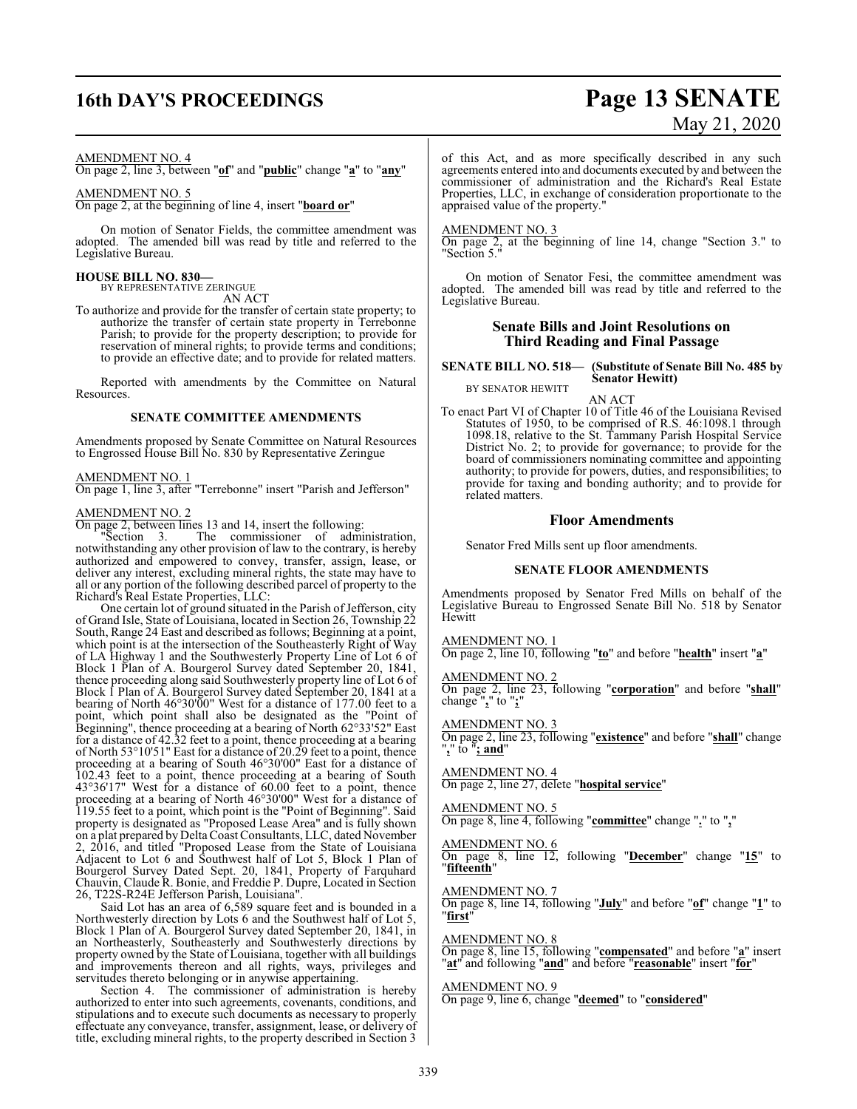## **16th DAY'S PROCEEDINGS Page 13 SENATE**

# May 21, 2020

#### AMENDMENT NO. 4

On page 2, line 3, between "**of**" and "**public**" change "**a**" to "**any**"

#### AMENDMENT NO. 5

On page 2, at the beginning of line 4, insert "**board or**"

On motion of Senator Fields, the committee amendment was adopted. The amended bill was read by title and referred to the Legislative Bureau.

#### **HOUSE BILL NO. 830—**

BY REPRESENTATIVE ZERINGUE

AN ACT

To authorize and provide for the transfer of certain state property; to authorize the transfer of certain state property in Terrebonne Parish; to provide for the property description; to provide for reservation of mineral rights; to provide terms and conditions; to provide an effective date; and to provide for related matters.

Reported with amendments by the Committee on Natural Resources.

#### **SENATE COMMITTEE AMENDMENTS**

Amendments proposed by Senate Committee on Natural Resources to Engrossed House Bill No. 830 by Representative Zeringue

#### AMENDMENT NO. 1

On page 1, line 3, after "Terrebonne" insert "Parish and Jefferson"

#### AMENDMENT NO. 2

On page 2, between lines 13 and 14, insert the following:<br>"Section 3. The commissioner of admi

The commissioner of administration, notwithstanding any other provision of law to the contrary, is hereby authorized and empowered to convey, transfer, assign, lease, or deliver any interest, excluding mineral rights, the state may have to all or any portion of the following described parcel of property to the Richard's Real Estate Properties, LLC:

One certain lot of ground situated in the Parish of Jefferson, city of Grand Isle, State of Louisiana, located in Section 26, Township 22 South, Range 24 East and described as follows; Beginning at a point, which point is at the intersection of the Southeasterly Right of Way of LA Highway 1 and the Southwesterly Property Line of Lot 6 of Block 1 Plan of A. Bourgerol Survey dated September 20, 1841, thence proceeding along said Southwesterly property line of Lot 6 of Block 1 Plan of A. Bourgerol Survey dated September 20, 1841 at a bearing of North 46°30'00" West for a distance of 177.00 feet to a point, which point shall also be designated as the "Point of Beginning", thence proceeding at a bearing of North 62°33'52" East for a distance of 42.32 feet to a point, thence proceeding at a bearing of North 53°10'51" East for a distance of 20.29 feet to a point, thence proceeding at a bearing of South 46°30'00" East for a distance of 102.43 feet to a point, thence proceeding at a bearing of South 43°36'17" West for a distance of 60.00 feet to a point, thence proceeding at a bearing of North 46°30'00" West for a distance of 119.55 feet to a point, which point is the "Point of Beginning". Said property is designated as "Proposed Lease Area" and is fully shown on a plat prepared by Delta Coast Consultants, LLC, dated November 2, 2016, and titled "Proposed Lease from the State of Louisiana Adjacent to Lot 6 and Southwest half of Lot 5, Block 1 Plan of Bourgerol Survey Dated Sept. 20, 1841, Property of Farquhard Chauvin, Claude R. Bonie, and Freddie P. Dupre, Located in Section 26, T22S-R24E Jefferson Parish, Louisiana".

Said Lot has an area of 6,589 square feet and is bounded in a Northwesterly direction by Lots 6 and the Southwest half of Lot 5, Block 1 Plan of A. Bourgerol Survey dated September 20, 1841, in an Northeasterly, Southeasterly and Southwesterly directions by property owned by the State of Louisiana, together with all buildings and improvements thereon and all rights, ways, privileges and servitudes thereto belonging or in anywise appertaining.

Section 4. The commissioner of administration is hereby authorized to enter into such agreements, covenants, conditions, and stipulations and to execute such documents as necessary to properly effectuate any conveyance, transfer, assignment, lease, or delivery of title, excluding mineral rights, to the property described in Section 3 of this Act, and as more specifically described in any such agreements entered into and documents executed by and between the commissioner of administration and the Richard's Real Estate Properties, LLC, in exchange of consideration proportionate to the appraised value of the property."

#### AMENDMENT NO. 3

On page 2, at the beginning of line 14, change "Section 3." to "Section 5."

On motion of Senator Fesi, the committee amendment was adopted. The amended bill was read by title and referred to the Legislative Bureau.

#### **Senate Bills and Joint Resolutions on Third Reading and Final Passage**

**SENATE BILL NO. 518— (Substitute of Senate Bill No. 485 by Senator Hewitt)** BY SENATOR HEWITT

AN ACT

To enact Part VI of Chapter 10 of Title 46 of the Louisiana Revised Statutes of 1950, to be comprised of R.S. 46:1098.1 through 1098.18, relative to the St. Tammany Parish Hospital Service District No. 2; to provide for governance; to provide for the board of commissioners nominating committee and appointing authority; to provide for powers, duties, and responsibilities; to provide for taxing and bonding authority; and to provide for related matters.

#### **Floor Amendments**

Senator Fred Mills sent up floor amendments.

#### **SENATE FLOOR AMENDMENTS**

Amendments proposed by Senator Fred Mills on behalf of the Legislative Bureau to Engrossed Senate Bill No. 518 by Senator **Hewitt** 

AMENDMENT NO. 1

On page 2, line 10, following "**to**" and before "**health**" insert "**a**"

AMENDMENT NO. 2

On page 2, line 23, following "**corporation**" and before "**shall**" change "**,**" to "**;**"

AMENDMENT NO. 3

On page 2, line 23, following "**existence**" and before "**shall**" change "**,**" to "**; and**"

#### AMENDMENT NO. 4

On page 2, line 27, delete "**hospital service**"

#### AMENDMENT NO. 5

On page 8, line 4, following "**committee**" change "**.**" to "**,**"

#### AMENDMENT NO. 6

On page 8, line 12, following "**December**" change "**15**" to "**fifteenth**"

#### AMENDMENT NO. 7

On page 8, line 14, following "**July**" and before "**of**" change "**1**" to "**first**"

#### AMENDMENT NO. 8

On page 8, line 15, following "**compensated**" and before "**a**" insert "**at**" and following "**and**" and before "**reasonable**" insert "**for**"

#### AMENDMENT NO. 9

On page 9, line 6, change "**deemed**" to "**considered**"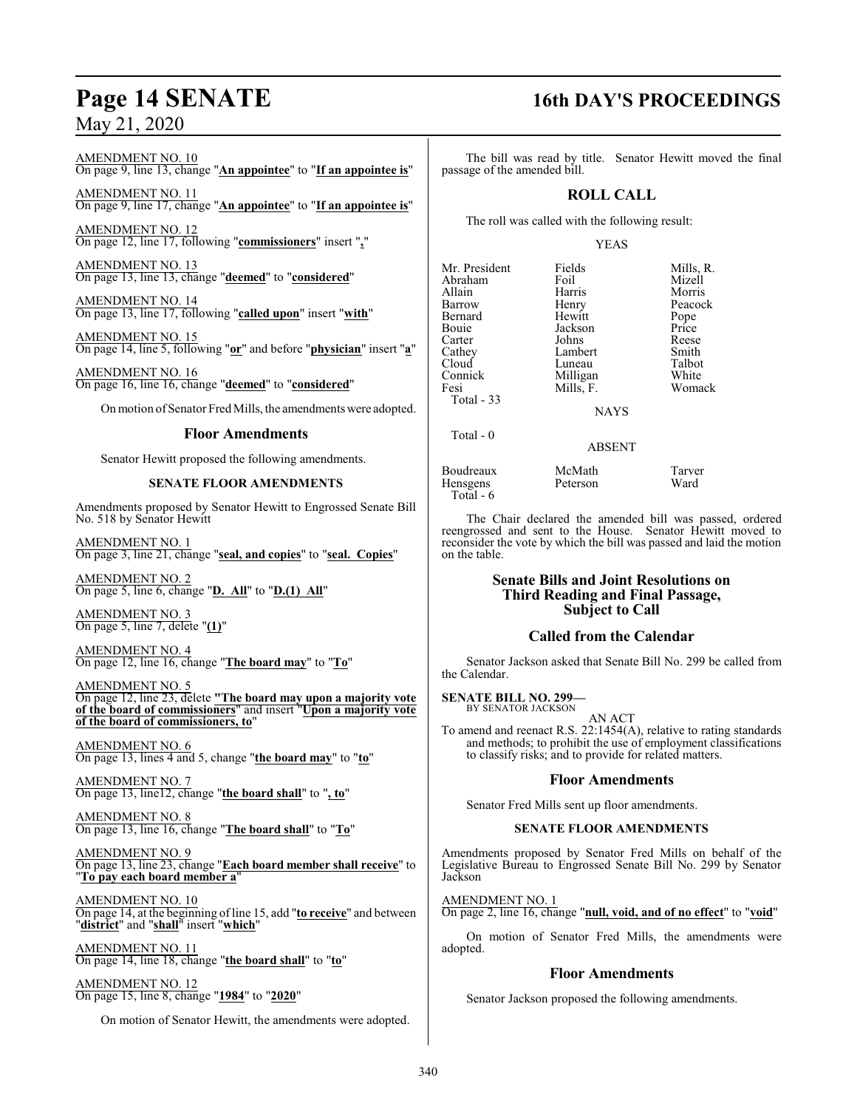AMENDMENT NO. 10 On page 9, line 13, change "**An appointee**" to "**If an appointee is**"

AMENDMENT NO. 11 On page 9, line 17, change "**An appointee**" to "**If an appointee is**"

AMENDMENT NO. 12 On page 12, line 17, following "**commissioners**" insert "**,**"

AMENDMENT NO. 13 On page 13, line 13, change "**deemed**" to "**considered**"

AMENDMENT NO. 14 On page 13, line 17, following "**called upon**" insert "**with**"

AMENDMENT NO. 15 On page 14, line 5, following "**or**" and before "**physician**" insert "**a**"

AMENDMENT NO. 16 On page 16, line 16, change "**deemed**" to "**considered**"

On motion of Senator Fred Mills, the amendments were adopted.

### **Floor Amendments**

Senator Hewitt proposed the following amendments.

#### **SENATE FLOOR AMENDMENTS**

Amendments proposed by Senator Hewitt to Engrossed Senate Bill No. 518 by Senator Hewitt

AMENDMENT NO. 1 On page 3, line 21, change "**seal, and copies**" to "**seal. Copies**"

AMENDMENT NO. 2 On page 5, line 6, change "**D. All**" to "**D.(1) All**"

AMENDMENT NO. 3 On page 5, line 7, delete "**(1)**"

AMENDMENT NO. 4 On page 12, line 16, change "**The board may**" to "**To**"

AMENDMENT NO. 5 On page 12, line 23, delete **"The board may upon a majority vote of the board of commissioners**" and insert "**Upon a majority vote of the board of commissioners, to**"

AMENDMENT NO. 6 On page 13, lines 4 and 5, change "**the board may**" to "**to**"

AMENDMENT NO. 7 On page 13, line12, change "**the board shall**" to "**, to**"

AMENDMENT NO. 8 On page 13, line 16, change "**The board shall**" to "**To**"

AMENDMENT NO. 9 On page 13, line 23, change "**Each board member shall receive**" to "**To pay each board member a**"

AMENDMENT NO. 10 On page 14, at the beginning ofline 15, add "**to receive**" and between "**district**" and "**shall**" insert "**which**"

AMENDMENT NO. 11 On page 14, line 18, change "**the board shall**" to "**to**"

AMENDMENT NO. 12 On page 15, line 8, change "**1984**" to "**2020**"

On motion of Senator Hewitt, the amendments were adopted.

# **Page 14 SENATE 16th DAY'S PROCEEDINGS**

The bill was read by title. Senator Hewitt moved the final passage of the amended bill.

### **ROLL CALL**

The roll was called with the following result:

#### YEAS

Mr. President Fields Mills, R.<br>Abraham Foil Mizell Abraham Foil<br>Allain Harris Allain Harris Morris Bernard Hewitt Pope Carter Johns Reese Cathey Lambert Smith<br>Cloud Luneau Talbot Cloud Luneau Talbot<br>
Connick Milligan White Connick Milligan<br>Fesi Mills, F. Total - 33

Henry Peacock<br>Hewitt Pope Jackson Price<br>Johns Reese Womack

**NAYS** 

#### ABSENT

Boudreaux McMath Tarver<br>Hensgens Peterson Ward Hensgens Total - 6

Total - 0

The Chair declared the amended bill was passed, ordered reengrossed and sent to the House. Senator Hewitt moved to reconsider the vote by which the bill was passed and laid the motion on the table.

#### **Senate Bills and Joint Resolutions on Third Reading and Final Passage, Subject to Call**

### **Called from the Calendar**

Senator Jackson asked that Senate Bill No. 299 be called from the Calendar.

**SENATE BILL NO. 299—** BY SENATOR JACKSON

AN ACT

To amend and reenact R.S. 22:1454(A), relative to rating standards and methods; to prohibit the use of employment classifications to classify risks; and to provide for related matters.

### **Floor Amendments**

Senator Fred Mills sent up floor amendments.

#### **SENATE FLOOR AMENDMENTS**

Amendments proposed by Senator Fred Mills on behalf of the Legislative Bureau to Engrossed Senate Bill No. 299 by Senator Jackson

AMENDMENT NO. 1 On page 2, line 16, change "**null, void, and of no effect**" to "**void**"

On motion of Senator Fred Mills, the amendments were adopted.

### **Floor Amendments**

Senator Jackson proposed the following amendments.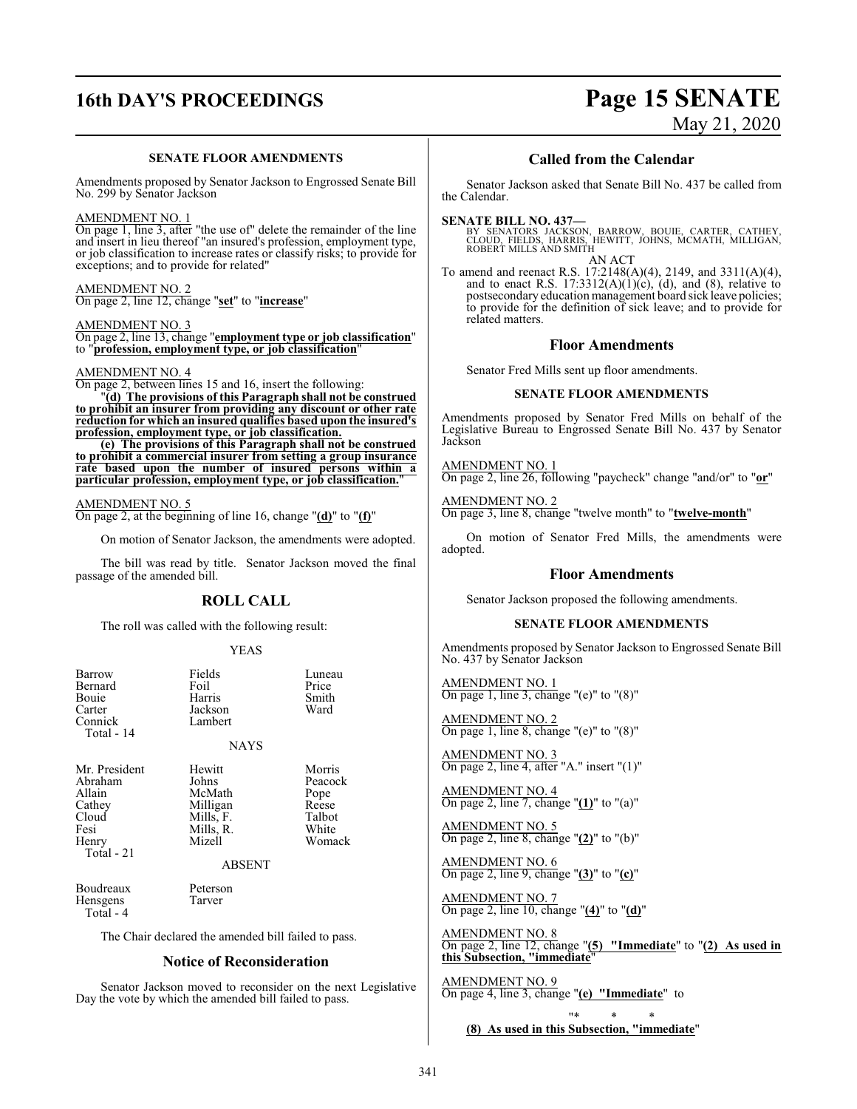# **16th DAY'S PROCEEDINGS Page 15 SENATE**

### **SENATE FLOOR AMENDMENTS**

Amendments proposed by Senator Jackson to Engrossed Senate Bill No. 299 by Senator Jackson

AMENDMENT NO. 1

On page 1, line 3, after "the use of" delete the remainder of the line and insert in lieu thereof "an insured's profession, employment type, or job classification to increase rates or classify risks; to provide for exceptions; and to provide for related"

AMENDMENT NO. 2 On page 2, line 12, change "**set**" to "**increase**"

AMENDMENT NO. 3 On page 2, line 13, change "**employment type or job classification**" to "**profession, employment type, or job classification**"

#### AMENDMENT NO. 4

On page 2, between lines 15 and 16, insert the following:

"**(d) The provisions of this Paragraph shall not be construed to prohibit an insurer from providing any discount or other rate reduction for which an insured qualifies based upon the insured's profession, employment type, or job classification.**

**(e) The provisions of this Paragraph shall not be construed to prohibit a commercial insurer from setting a group insurance rate based upon the number of insured persons within a particular profession, employment type, or job classification.**"

#### AMENDMENT NO. 5

On page 2, at the beginning of line 16, change "**(d)**" to "**(f)**"

On motion of Senator Jackson, the amendments were adopted.

The bill was read by title. Senator Jackson moved the final passage of the amended bill.

### **ROLL CALL**

The roll was called with the following result:

#### YEAS

| Barrow<br>Bernard<br>Bouie<br>Carter<br>Connick<br>Total - 14                           | Fields<br>Foil<br>Harris<br>Jackson<br>Lambert<br><b>NAYS</b>                              | Luneau<br>Price<br>Smith<br>Ward                                |
|-----------------------------------------------------------------------------------------|--------------------------------------------------------------------------------------------|-----------------------------------------------------------------|
| Mr. President<br>Abraham<br>Allain<br>Cathey<br>Cloud<br>Fesi<br>Henry<br>$Total - 21$  | Hewitt<br>Johns<br>McMath<br>Milligan<br>Mills, F.<br>Mills, R.<br>Mizell<br><b>ABSENT</b> | Morris<br>Peacock<br>Pope<br>Reese<br>Talbot<br>White<br>Womack |
| Boudreaux<br>Hensgens<br>Total - 4                                                      | Peterson<br>Tarver                                                                         |                                                                 |
| The Chair declared the amended bill failed to pass.<br><b>Notice of Reconsideration</b> |                                                                                            |                                                                 |

Senator Jackson moved to reconsider on the next Legislative Day the vote by which the amended bill failed to pass.

# May 21, 2020

#### **Called from the Calendar**

Senator Jackson asked that Senate Bill No. 437 be called from the Calendar.

**SENATE BILL NO. 437—**<br>BY SENATORS JACKSON, BARROW, BOUIE, CARTER, CATHEY,<br>CLOUD, FIELDS, HARRIS, HEWITT, JOHNS, MCMATH, MILLIGAN,<br>ROBERT MILLS AND SMITH AN ACT

To amend and reenact R.S. 17:2148(A)(4), 2149, and 3311(A)(4), and to enact R.S.  $17:3312(A)(1)(c)$ , (d), and (8), relative to postsecondary education management board sick leave policies; to provide for the definition of sick leave; and to provide for related matters.

#### **Floor Amendments**

Senator Fred Mills sent up floor amendments.

#### **SENATE FLOOR AMENDMENTS**

Amendments proposed by Senator Fred Mills on behalf of the Legislative Bureau to Engrossed Senate Bill No. 437 by Senator Jackson

#### AMENDMENT NO. 1

On page 2, line 26, following "paycheck" change "and/or" to "**or**"

#### AMENDMENT NO. 2

On page 3, line 8, change "twelve month" to "**twelve-month**"

On motion of Senator Fred Mills, the amendments were adopted.

#### **Floor Amendments**

Senator Jackson proposed the following amendments.

#### **SENATE FLOOR AMENDMENTS**

Amendments proposed by Senator Jackson to Engrossed Senate Bill No. 437 by Senator Jackson

AMENDMENT NO. 1 On page 1, line 3, change "(e)" to " $(8)$ "

AMENDMENT NO. 2 On page 1, line 8, change "(e)" to "(8)"

AMENDMENT NO. 3 On page 2, line 4, after "A." insert "(1)"

AMENDMENT NO. 4 On page 2, line 7, change "**(1)**" to "(a)"

AMENDMENT NO. 5 On page 2, line 8, change "**(2)**" to "(b)"

AMENDMENT NO. 6 On page 2, line 9, change "**(3)**" to "**(c)**"

AMENDMENT NO. 7 On page 2, line 10, change "**(4)**" to "**(d)**"

AMENDMENT NO. 8 On page 2, line 12, change "**(5) "Immediate**" to "**(2) As used in this Subsection, "immediate**"

AMENDMENT NO. 9 On page 4, line 3, change "**(e) "Immediate**" to

"\* \* \* **(8) As used in this Subsection, "immediate**"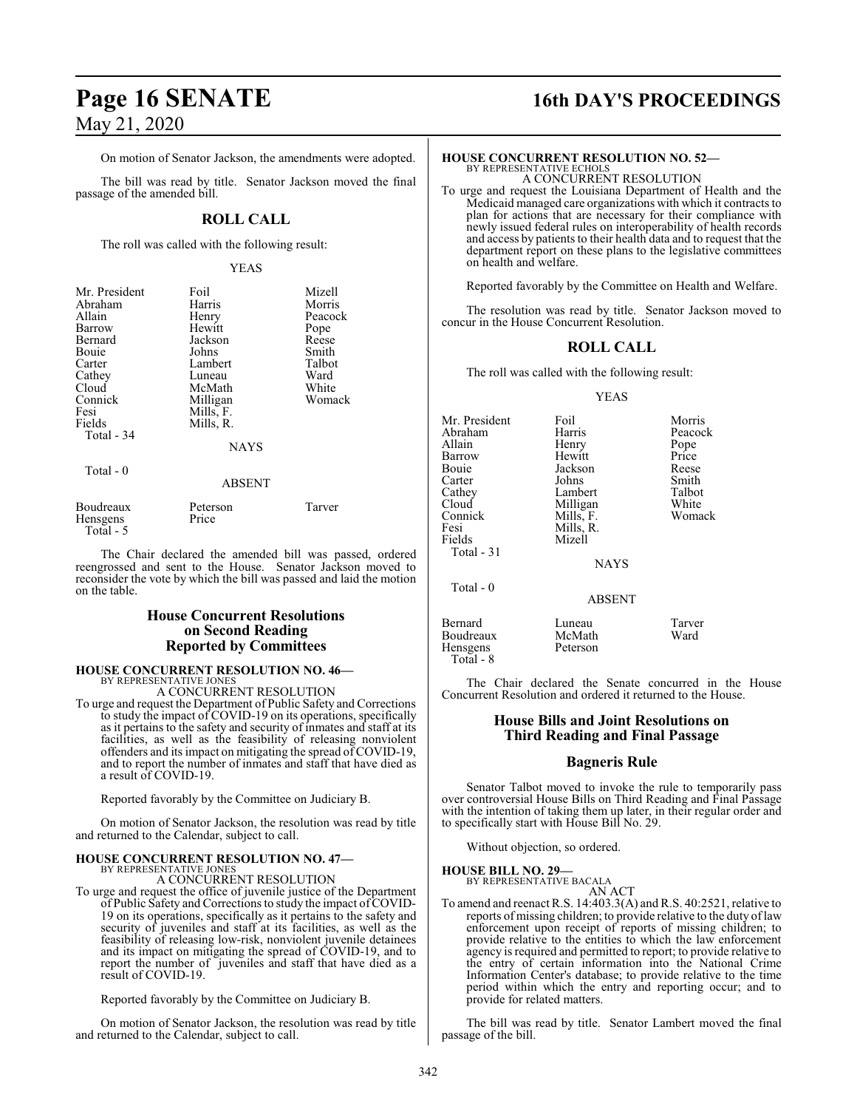### On motion of Senator Jackson, the amendments were adopted.

The bill was read by title. Senator Jackson moved the final passage of the amended bill.

### **ROLL CALL**

The roll was called with the following result:

#### YEAS

| Mr. President<br>Abraham                  | Foil<br>Harris    | Mizell<br>Morris |
|-------------------------------------------|-------------------|------------------|
| Allain                                    | Henry             | Peacock          |
| Barrow                                    | Hewitt            | Pope             |
| Bernard                                   | Jackson           | Reese            |
| Bouie                                     | Johns             | Smith            |
| Carter                                    | Lambert           | Talbot           |
| Cathey                                    | Luneau            | Ward             |
| Cloud                                     | McMath            | White            |
| Connick                                   | Milligan          | Womack           |
| Fesi                                      | Mills, F.         |                  |
| Fields                                    | Mills, R.         |                  |
| Total - 34                                |                   |                  |
|                                           | <b>NAYS</b>       |                  |
| Total - 0                                 |                   |                  |
|                                           | <b>ABSENT</b>     |                  |
| Boudreaux<br><b>Hensgens</b><br>Total - 5 | Peterson<br>Price | Tarver           |

The Chair declared the amended bill was passed, ordered reengrossed and sent to the House. Senator Jackson moved to reconsider the vote by which the bill was passed and laid the motion on the table.

#### **House Concurrent Resolutions on Second Reading Reported by Committees**

### **HOUSE CONCURRENT RESOLUTION NO. 46—** BY REPRESENTATIVE JONES

A CONCURRENT RESOLUTION

To urge and request the Department of Public Safety and Corrections to study the impact of COVID-19 on its operations, specifically as it pertains to the safety and security of inmates and staff at its facilities, as well as the feasibility of releasing nonviolent offenders and its impact on mitigating the spread of COVID-19, and to report the number of inmates and staff that have died as a result of COVID-19.

Reported favorably by the Committee on Judiciary B.

On motion of Senator Jackson, the resolution was read by title and returned to the Calendar, subject to call.

### **HOUSE CONCURRENT RESOLUTION NO. 47—** BY REPRESENTATIVE JONES

A CONCURRENT RESOLUTION

To urge and request the office of juvenile justice of the Department of Public Safety and Corrections to study the impact of COVID-19 on its operations, specifically as it pertains to the safety and security of juveniles and staff at its facilities, as well as the feasibility of releasing low-risk, nonviolent juvenile detainees and its impact on mitigating the spread of COVID-19, and to report the number of juveniles and staff that have died as a result of COVID-19.

Reported favorably by the Committee on Judiciary B.

On motion of Senator Jackson, the resolution was read by title and returned to the Calendar, subject to call.

### **Page 16 SENATE 16th DAY'S PROCEEDINGS**

#### **HOUSE CONCURRENT RESOLUTION NO. 52—**

BY REPRESENTATIVE ECHOLS A CONCURRENT RESOLUTION

To urge and request the Louisiana Department of Health and the Medicaid managed care organizations with which it contracts to plan for actions that are necessary for their compliance with newly issued federal rules on interoperability of health records and access by patients to their health data and to request that the department report on these plans to the legislative committees on health and welfare.

Reported favorably by the Committee on Health and Welfare.

The resolution was read by title. Senator Jackson moved to concur in the House Concurrent Resolution.

#### **ROLL CALL**

The roll was called with the following result:

#### YEAS

Mr. President Foil Morris<br>Abraham Harris Peacock Abraham Harris Peacock<br>Allain Henry Pope Allain Henry Pope<br>
Barrow Hewitt Price Barrow Hewitt Price Jackson Reese<br>Johns Smith Carter Johns Smith<br>Cathey Lambert Talbot Cathey Lambert Talbot Cloud Milligan White<br>
Connick Mills, F. Womack Connick Mills, F.<br>Fesi Mills, R. Fesi Mills, R.<br>Fields Mizell Mizell Total - 31 NAYS Total - 0 ABSENT Bernard Luneau Tarver Boudreaux<br>Hensgens

Peterson

The Chair declared the Senate concurred in the House Concurrent Resolution and ordered it returned to the House.

#### **House Bills and Joint Resolutions on Third Reading and Final Passage**

#### **Bagneris Rule**

Senator Talbot moved to invoke the rule to temporarily pass over controversial House Bills on Third Reading and Final Passage with the intention of taking them up later, in their regular order and to specifically start with House Bill No. 29.

Without objection, so ordered.

#### **HOUSE BILL NO. 29—**

Total - 8

BY REPRESENTATIVE BACALA AN ACT

To amend and reenact R.S. 14:403.3(A) and R.S. 40:2521, relative to reports of missing children; to provide relative to the duty oflaw enforcement upon receipt of reports of missing children; to provide relative to the entities to which the law enforcement agency is required and permitted to report; to provide relative to the entry of certain information into the National Crime Information Center's database; to provide relative to the time period within which the entry and reporting occur; and to provide for related matters.

The bill was read by title. Senator Lambert moved the final passage of the bill.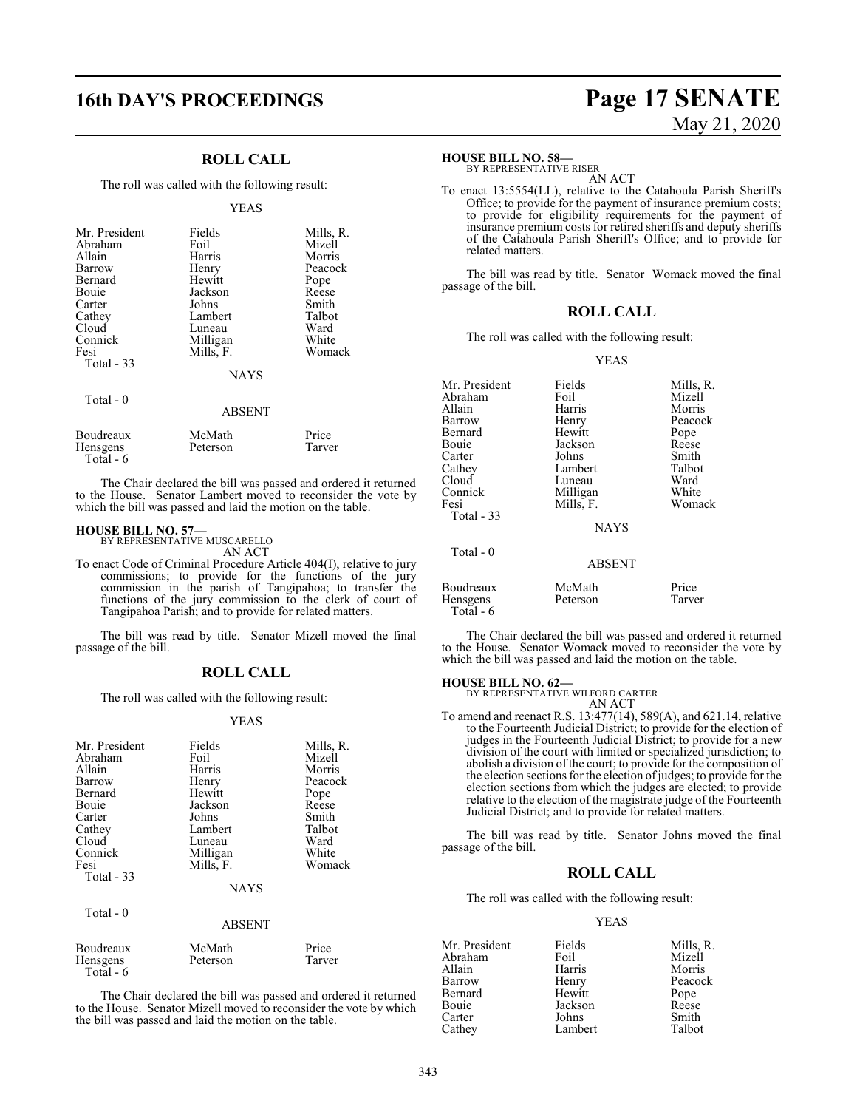### **16th DAY'S PROCEEDINGS Page 17 SENATE**

### **ROLL CALL**

The roll was called with the following result:

#### YEAS

| Mr. President<br>Abraham<br>Allain<br>Barrow<br>Bernard<br>Bouie<br>Carter<br>Cathey<br>Cloud<br>Connick<br>Fesi<br>Total $-33$ | Fields<br>Foil<br>Harris<br>Henry<br>Hewitt<br>Jackson<br>Johns<br>Lambert<br>Luneau<br>Milligan<br>Mills, F.<br><b>NAYS</b> | Mills, R.<br>Mizell<br>Morris<br>Peacock<br>Pope<br>Reese<br>Smith<br>Talbot<br>Ward<br>White<br>Womack |
|---------------------------------------------------------------------------------------------------------------------------------|------------------------------------------------------------------------------------------------------------------------------|---------------------------------------------------------------------------------------------------------|
| Total $-0$                                                                                                                      | <b>ABSENT</b>                                                                                                                |                                                                                                         |
| Boudreaux<br>Hensgens                                                                                                           | McMath<br>Peterson                                                                                                           | Price<br>Tarver                                                                                         |

Hensgens Total - 6 The Chair declared the bill was passed and ordered it returned to the House. Senator Lambert moved to reconsider the vote by

which the bill was passed and laid the motion on the table.

### **HOUSE BILL NO. 57—**

BY REPRESENTATIVE MUSCARELLO AN ACT

To enact Code of Criminal Procedure Article 404(I), relative to jury commissions; to provide for the functions of the jury commission in the parish of Tangipahoa; to transfer the functions of the jury commission to the clerk of court of Tangipahoa Parish; and to provide for related matters.

The bill was read by title. Senator Mizell moved the final passage of the bill.

#### **ROLL CALL**

The roll was called with the following result:

#### YEAS

| Mr. President<br>Abraham<br>Allain<br>Barrow<br>Bernard<br>Bouie<br>Carter<br>Cathey<br>Cloud<br>Connick<br>Fesi<br>Total $-33$<br>Total - 0 | Fields<br>Foil<br>Harris<br>Henry<br>Hewitt<br>Jackson<br>Johns<br>Lambert<br>Luneau<br>Milligan<br>Mills, F.<br><b>NAYS</b> | Mills, R.<br>Mizell<br>Morris<br>Peacock<br>Pope<br>Reese<br>Smith<br>Talbot<br>Ward<br>White<br>Womack |
|----------------------------------------------------------------------------------------------------------------------------------------------|------------------------------------------------------------------------------------------------------------------------------|---------------------------------------------------------------------------------------------------------|
|                                                                                                                                              | <b>ABSENT</b>                                                                                                                |                                                                                                         |
| Boudreaux<br><b>Hensgens</b><br>Total - 6                                                                                                    | McMath<br>Peterson                                                                                                           | Price<br>Tarver                                                                                         |

The Chair declared the bill was passed and ordered it returned to the House. Senator Mizell moved to reconsider the vote by which the bill was passed and laid the motion on the table.

# May 21, 2020

#### **HOUSE BILL NO. 58—**

BY REPRESENTATIVE RISER AN ACT

To enact 13:5554(LL), relative to the Catahoula Parish Sheriff's Office; to provide for the payment of insurance premium costs; to provide for eligibility requirements for the payment of insurance premium costs for retired sheriffs and deputy sheriffs of the Catahoula Parish Sheriff's Office; and to provide for related matters.

The bill was read by title. Senator Womack moved the final passage of the bill.

### **ROLL CALL**

The roll was called with the following result:

YEAS

| Mr. President<br>Abraham<br>Allain<br>Barrow<br>Bernard<br>Bouie<br>Carter | Fields<br>Foil<br>Harris<br>Henry<br>Hewitt<br>Jackson<br>Johns | Mills, R.<br>Mizell<br>Morris<br>Peacock<br>Pope<br>Reese<br>Smith |
|----------------------------------------------------------------------------|-----------------------------------------------------------------|--------------------------------------------------------------------|
| Cathey                                                                     | Lambert                                                         | Talbot                                                             |
| Cloud                                                                      | Luneau                                                          | Ward                                                               |
| Connick                                                                    | Milligan                                                        | White                                                              |
| Fesi                                                                       | Mills, F.                                                       | Womack                                                             |
| Total $-33$                                                                |                                                                 |                                                                    |
|                                                                            | <b>NAYS</b>                                                     |                                                                    |
| Total $-0$                                                                 |                                                                 |                                                                    |
|                                                                            | <b>ABSENT</b>                                                   |                                                                    |
| Boudreaux<br>Hensgens<br>Total - 6                                         | McMath<br>Peterson                                              | Price<br>Tarver                                                    |

The Chair declared the bill was passed and ordered it returned to the House. Senator Womack moved to reconsider the vote by which the bill was passed and laid the motion on the table.

#### **HOUSE BILL NO. 62—**

BY REPRESENTATIVE WILFORD CARTER

AN ACT To amend and reenact R.S. 13:477(14), 589(A), and 621.14, relative to the Fourteenth Judicial District; to provide for the election of judges in the Fourteenth Judicial District; to provide for a new division of the court with limited or specialized jurisdiction; to abolish a division of the court; to provide for the composition of the election sections for the election of judges; to provide for the election sections from which the judges are elected; to provide relative to the election of the magistrate judge of the Fourteenth Judicial District; and to provide for related matters.

The bill was read by title. Senator Johns moved the final passage of the bill.

#### **ROLL CALL**

The roll was called with the following result:

#### YEAS

| Fields  | Mills, R. |
|---------|-----------|
| Foil    | Mizell    |
| Harris  | Morris    |
| Henry   | Peacock   |
| Hewitt  | Pope      |
| Jackson | Reese     |
| Johns   | Smith     |
| Lambert | Talbot    |
|         |           |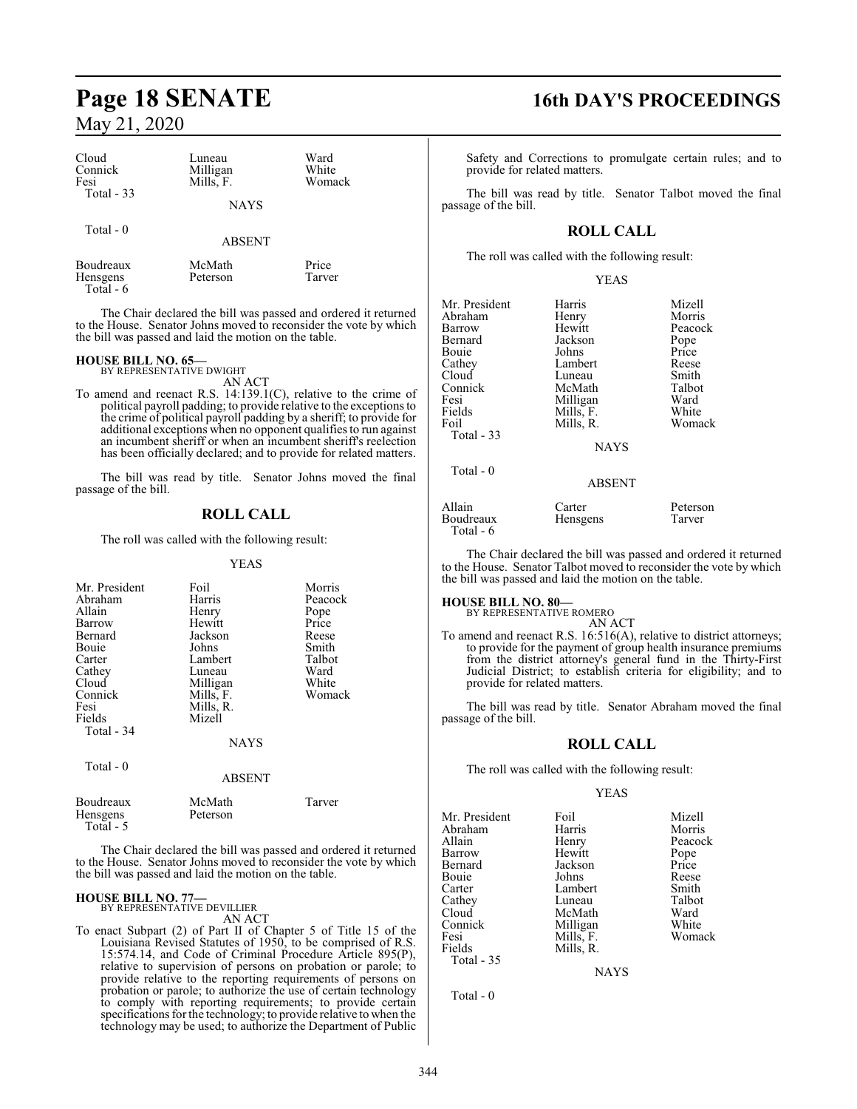| Cloud<br>Connick<br>Fesi             | Luneau<br>Milligan<br>Mills, F. | Ward<br>White<br>Womack |
|--------------------------------------|---------------------------------|-------------------------|
| Total $-33$                          | <b>NAYS</b>                     |                         |
| Total $-0$                           | <b>ABSENT</b>                   |                         |
| Boudreaux<br>Hensgens<br>$Total - 6$ | McMath<br>Peterson              | Price<br>Tarver         |

The Chair declared the bill was passed and ordered it returned to the House. Senator Johns moved to reconsider the vote by which the bill was passed and laid the motion on the table.

### **HOUSE BILL NO. 65—** BY REPRESENTATIVE DWIGHT

AN ACT

To amend and reenact R.S. 14:139.1(C), relative to the crime of political payroll padding; to provide relative to the exceptions to the crime of political payroll padding by a sheriff; to provide for additional exceptions when no opponent qualifies to run against an incumbent sheriff or when an incumbent sheriff's reelection has been officially declared; and to provide for related matters.

The bill was read by title. Senator Johns moved the final passage of the bill.

### **ROLL CALL**

The roll was called with the following result:

#### YEAS

| Mr. President<br>Abraham<br>Allain<br>Barrow<br>Bernard<br>Bouie<br>Carter<br>Cathey<br>Cloud<br>Connick<br>Fesi<br>Fields<br>Total - 34 | Foil<br>Harris<br>Henry<br>Hewitt<br>Jackson<br>Johns<br>Lambert<br>Luneau<br>Milligan<br>Mills, F.<br>Mills, R.<br>Mizell<br><b>NAYS</b> | Morris<br>Peacock<br>Pope<br>Price<br>Reese<br>Smith<br>Talbot<br>Ward<br>White<br>Womack |
|------------------------------------------------------------------------------------------------------------------------------------------|-------------------------------------------------------------------------------------------------------------------------------------------|-------------------------------------------------------------------------------------------|
| Total $-0$                                                                                                                               | <b>ABSENT</b>                                                                                                                             |                                                                                           |
| Boudreaux                                                                                                                                | McMath                                                                                                                                    | Tarver                                                                                    |

Hensgens Peterson Total - 5

The Chair declared the bill was passed and ordered it returned to the House. Senator Johns moved to reconsider the vote by which the bill was passed and laid the motion on the table.

#### **HOUSE BILL NO. 77—**

BY REPRESENTATIVE DEVILLIER AN ACT

To enact Subpart (2) of Part II of Chapter 5 of Title 15 of the Louisiana Revised Statutes of 1950, to be comprised of R.S. 15:574.14, and Code of Criminal Procedure Article 895(P), relative to supervision of persons on probation or parole; to provide relative to the reporting requirements of persons on probation or parole; to authorize the use of certain technology to comply with reporting requirements; to provide certain specifications for the technology; to provide relative to when the technology may be used; to authorize the Department of Public

## **Page 18 SENATE 16th DAY'S PROCEEDINGS**

Safety and Corrections to promulgate certain rules; and to provide for related matters.

The bill was read by title. Senator Talbot moved the final passage of the bill.

### **ROLL CALL**

The roll was called with the following result:

|--|

| Mr. President | Harris        | Mizell   |
|---------------|---------------|----------|
| Abraham       | Henry         | Morris   |
| Barrow        | Hewitt        | Peacock  |
| Bernard       | Jackson       | Pope     |
| Bouie         | Johns         | Price    |
| Cathey        | Lambert       | Reese    |
| Cloud         | Luneau        | Smith    |
| Connick       | McMath        | Talbot   |
| Fesi          | Milligan      | Ward     |
| Fields        | Mills, F.     | White    |
| Foil          | Mills, R.     | Womack   |
| Total - 33    |               |          |
|               | <b>NAYS</b>   |          |
| Total - 0     |               |          |
|               | <b>ABSENT</b> |          |
| Allain        | Carter        | Peterson |
| Boudreaux     | Hensgens      | Tarver   |
|               |               |          |

 Total - 6 The Chair declared the bill was passed and ordered it returned

to the House. Senator Talbot moved to reconsider the vote by which the bill was passed and laid the motion on the table.

#### **HOUSE BILL NO. 80—**

BY REPRESENTATIVE ROMERO

AN ACT To amend and reenact R.S. 16:516(A), relative to district attorneys; to provide for the payment of group health insurance premiums from the district attorney's general fund in the Thirty-First Judicial District; to establish criteria for eligibility; and to provide for related matters.

The bill was read by title. Senator Abraham moved the final passage of the bill.

### **ROLL CALL**

The roll was called with the following result:

#### YEAS

| Mr. President<br>Abraham<br>Allain<br>Barrow<br>Bernard<br>Bouie<br>Carter<br>Cathey<br>Cloud | Foil<br>Harris<br>Henry<br>Hewitt<br>Jackson<br>Johns<br>Lambert<br>Luneau<br>McMath | Mizell<br>Morris<br>Peacock<br>Pope<br>Price<br>Reese<br>Smith<br>Talbot<br>Ward |
|-----------------------------------------------------------------------------------------------|--------------------------------------------------------------------------------------|----------------------------------------------------------------------------------|
|                                                                                               |                                                                                      |                                                                                  |
|                                                                                               |                                                                                      |                                                                                  |
|                                                                                               |                                                                                      |                                                                                  |
|                                                                                               |                                                                                      |                                                                                  |
|                                                                                               |                                                                                      |                                                                                  |
| Connick                                                                                       | Milligan                                                                             | White                                                                            |
| Fesi                                                                                          | Mills, F.                                                                            | Womack                                                                           |
| Fields                                                                                        | Mills, R.                                                                            |                                                                                  |
| Total - 35                                                                                    |                                                                                      |                                                                                  |

Total - 0

NAYS

344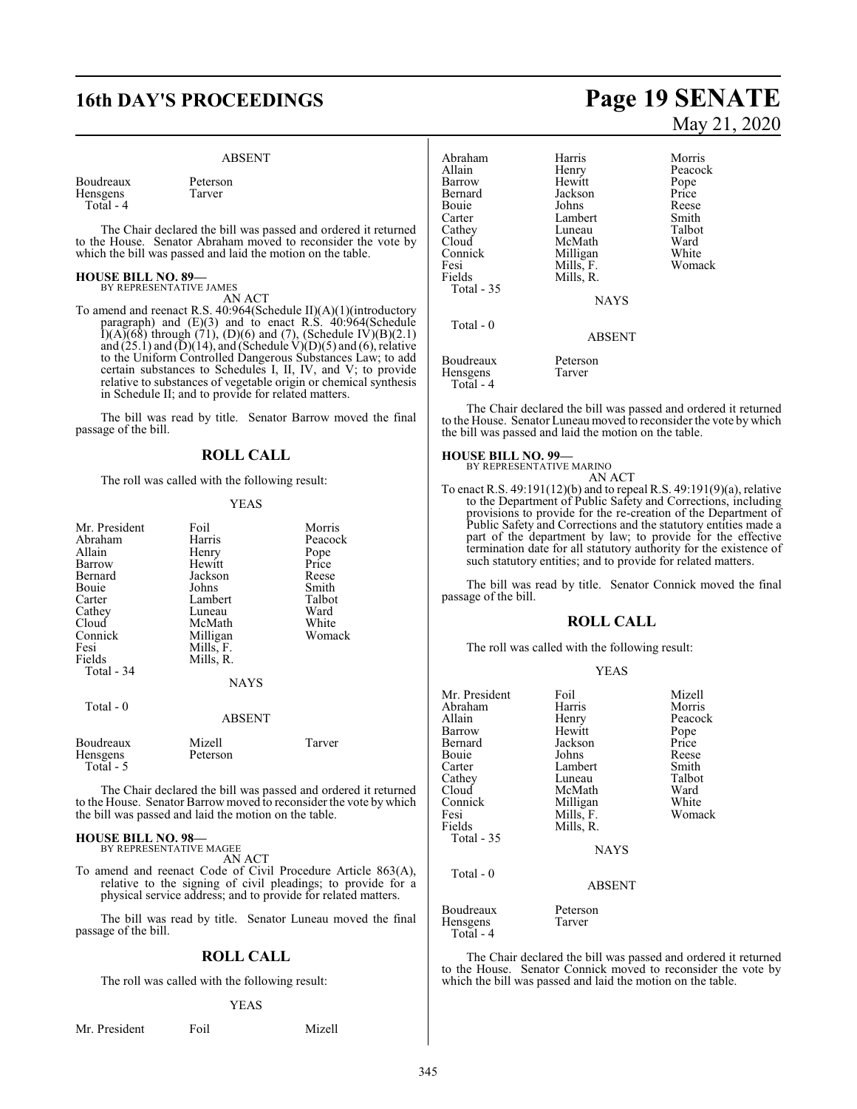#### ABSENT

Boudreaux Peterson<br>Hensgens Tarver Hensgens Total - 4

The Chair declared the bill was passed and ordered it returned to the House. Senator Abraham moved to reconsider the vote by which the bill was passed and laid the motion on the table.

#### **HOUSE BILL NO. 89—** BY REPRESENTATIVE JAMES

AN ACT

To amend and reenact R.S. 40:964(Schedule II)(A)(1)(introductory paragraph) and (E)(3) and to enact R.S. 40:964(Schedule  $I(A)(68)$  through (71), (D)(6) and (7), (Schedule IV)(B)(2.1) and  $(25.1)$  and  $(D)(14)$ , and (Schedule V) $(D)(5)$  and  $(6)$ , relative to the Uniform Controlled Dangerous Substances Law; to add certain substances to Schedules I, II, IV, and V; to provide relative to substances of vegetable origin or chemical synthesis in Schedule II; and to provide for related matters.

The bill was read by title. Senator Barrow moved the final passage of the bill.

### **ROLL CALL**

The roll was called with the following result:

#### YEAS

| Mr. President         | Foil               | Morris  |
|-----------------------|--------------------|---------|
| Abraham               | Harris             | Peacock |
| Allain                | Henry              | Pope    |
| Barrow                | Hewitt             | Price   |
| Bernard               | Jackson            | Reese   |
| Bouie                 | Johns              | Smith   |
| Carter                | Lambert            | Talbot  |
| Cathey                | Luneau             | Ward    |
| Cloud                 | McMath             | White   |
| Connick               | Milligan           | Womack  |
| Fesi                  | Mills, F.          |         |
| Fields                | Mills, R.          |         |
| Total - 34            |                    |         |
|                       | <b>NAYS</b>        |         |
| Total - 0             |                    |         |
|                       | <b>ABSENT</b>      |         |
| Boudreaux<br>Hensgens | Mizell<br>Peterson | Tarver  |
| Total - 5             |                    |         |

The Chair declared the bill was passed and ordered it returned to the House. Senator Barrow moved to reconsider the vote by which the bill was passed and laid the motion on the table.

### **HOUSE BILL NO. 98—** BY REPRESENTATIVE MAGEE

AN ACT

To amend and reenact Code of Civil Procedure Article 863(A), relative to the signing of civil pleadings; to provide for a physical service address; and to provide for related matters.

The bill was read by title. Senator Luneau moved the final passage of the bill.

### **ROLL CALL**

The roll was called with the following result:

#### YEAS

|  | Mr. President | Foil | Mizell |
|--|---------------|------|--------|
|--|---------------|------|--------|

# **16th DAY'S PROCEEDINGS Page 19 SENATE** May 21, 2020

Abraham Harris Morris Henry Peacock<br>
Hewitt Pope Barrow Hewitt<br>Bernard Iackson Bernard Jackson Price<br>Bouie Johns Reese Bouie Johns Reese<br>Carter Lambert Smith Carter Lambert Smith<br>Cathey Luneau Talbot Cathey Luneau Talbo<br>Cloud McMath Ward Cloud McMath Ward<br>
Connick Milligan White Connick Milligan White<br>
Fesi Mills, F. Womack Fesi Mills, F.<br>Fields Mills, R. Mills, R. Total - 35 NAYS Total - 0 ABSENT Boudreaux Peterson<br>Hensgens Tarver Hensgens Total - 4

The Chair declared the bill was passed and ordered it returned to the House. Senator Luneau moved to reconsider the vote by which the bill was passed and laid the motion on the table.

#### **HOUSE BILL NO. 99—**

BY REPRESENTATIVE MARINO AN ACT

To enact R.S. 49:191(12)(b) and to repeal R.S. 49:191(9)(a), relative to the Department of Public Safety and Corrections, including provisions to provide for the re-creation of the Department of Public Safety and Corrections and the statutory entities made a part of the department by law; to provide for the effective termination date for all statutory authority for the existence of such statutory entities; and to provide for related matters.

The bill was read by title. Senator Connick moved the final passage of the bill.

#### **ROLL CALL**

The roll was called with the following result:

| Mr. President<br>Abraham<br>Allain<br>Barrow<br>Bernard<br>Bouie<br>Carter<br>Cathey<br>Cloud<br>Connick<br>Fesi<br>Fields | Foil<br>Harris<br>Henry<br>Hewitt<br>Jackson<br>Johns<br>Lambert<br>Luneau<br>McMath<br>Milligan<br>Mills, F.<br>Mills, R. | Mizell<br>Morris<br>Peacock<br>Pope<br>Price<br>Reese<br>Smith<br>Talbot<br>Ward<br>White<br>Womack |
|----------------------------------------------------------------------------------------------------------------------------|----------------------------------------------------------------------------------------------------------------------------|-----------------------------------------------------------------------------------------------------|
| Total $-35$                                                                                                                | <b>NAYS</b>                                                                                                                |                                                                                                     |
| Total - 0                                                                                                                  | <b>ABSENT</b>                                                                                                              |                                                                                                     |
| Boudreaux<br>Hensgens                                                                                                      | Peterson<br>Tarver                                                                                                         |                                                                                                     |

The Chair declared the bill was passed and ordered it returned to the House. Senator Connick moved to reconsider the vote by which the bill was passed and laid the motion on the table.

Total - 4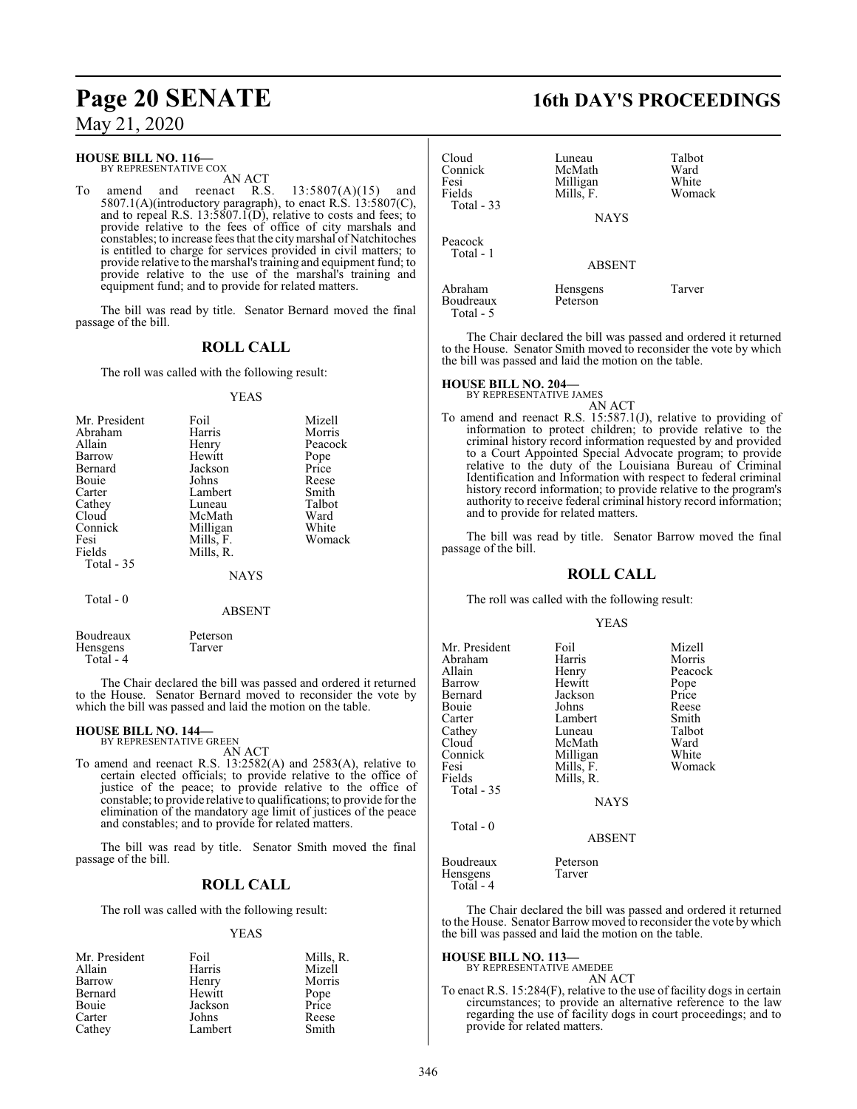#### **HOUSE BILL NO. 116—**

BY REPRESENTATIVE COX

AN ACT<br>reenact R.S. To amend and reenact R.S.  $13:5807(A)(15)$  and 5807.1(A)(introductory paragraph), to enact R.S.  $13:5807(C)$ , and to repeal R.S. 13:5807.1(D), relative to costs and fees; to provide relative to the fees of office of city marshals and constables; to increase fees that the citymarshal of Natchitoches is entitled to charge for services provided in civil matters; to provide relative to the marshal's training and equipment fund; to provide relative to the use of the marshal's training and equipment fund; and to provide for related matters.

The bill was read by title. Senator Bernard moved the final passage of the bill.

### **ROLL CALL**

The roll was called with the following result:

#### YEAS

| Mr. President | Foil        | Mizell  |
|---------------|-------------|---------|
| Abraham       | Harris      | Morris  |
| Allain        | Henry       | Peacock |
| Barrow        | Hewitt      | Pope    |
| Bernard       | Jackson     | Price   |
| <b>Bouje</b>  | Johns       | Reese   |
| Carter        | Lambert     | Smith   |
| Cathey        | Luneau      | Talbot  |
| Cloud         | McMath      | Ward    |
| Connick       | Milligan    | White   |
| Fesi          | Mills, F.   | Womack  |
| Fields        | Mills, R.   |         |
| Total - 35    |             |         |
|               | <b>NAYS</b> |         |
| Total - 0     |             |         |

Boudreaux Peterson<br>Hensgens Tarver Hensgens Total - 4

The Chair declared the bill was passed and ordered it returned to the House. Senator Bernard moved to reconsider the vote by which the bill was passed and laid the motion on the table.

ABSENT

## **HOUSE BILL NO. 144—** BY REPRESENTATIVE GREEN

AN ACT

To amend and reenact R.S. 13:2582(A) and 2583(A), relative to certain elected officials; to provide relative to the office of justice of the peace; to provide relative to the office of constable; to provide relative to qualifications; to provide for the elimination of the mandatory age limit of justices of the peace and constables; and to provide for related matters.

The bill was read by title. Senator Smith moved the final passage of the bill.

### **ROLL CALL**

The roll was called with the following result:

### YEAS

| Mr. President | Foil    | Mills, R.     |
|---------------|---------|---------------|
| Allain        | Harris  | Mizell        |
| Barrow        | Henry   | Morris        |
| Bernard       | Hewitt  | Pope<br>Price |
| Bouie         | Jackson |               |
| Carter        | Johns   | Reese         |
| Cathey        | Lambert | Smith         |

# **Page 20 SENATE 16th DAY'S PROCEEDINGS**

| Cloud<br>Connick<br>Fesi<br>Fields<br>Total - 33 | Luneau<br>McMath<br>Milligan<br>Mills, F.<br><b>NAYS</b> | Talbot<br>Ward<br>White<br>Womack |
|--------------------------------------------------|----------------------------------------------------------|-----------------------------------|
| Peacock<br>Total - 1                             | <b>ABSENT</b>                                            |                                   |
| Abraham<br>Boudreaux<br>Total - 5                | Hensgens<br>Peterson                                     | Tarver                            |

The Chair declared the bill was passed and ordered it returned to the House. Senator Smith moved to reconsider the vote by which the bill was passed and laid the motion on the table.

#### **HOUSE BILL NO. 204—**

BY REPRESENTATIVE JAMES AN ACT

To amend and reenact R.S. 15:587.1(J), relative to providing of information to protect children; to provide relative to the criminal history record information requested by and provided to a Court Appointed Special Advocate program; to provide relative to the duty of the Louisiana Bureau of Criminal Identification and Information with respect to federal criminal history record information; to provide relative to the program's authority to receive federal criminal history record information; and to provide for related matters.

The bill was read by title. Senator Barrow moved the final passage of the bill.

### **ROLL CALL**

The roll was called with the following result:

#### YEAS

| Mr. President<br>Abraham<br>Allain<br>Barrow<br>Bernard<br>Bouie<br>Carter<br>Cathey<br>Cloud<br>Connick<br>Fesi<br>Fields<br>Total $-35$ | Foil<br>Harris<br>Henry<br>Hewitt<br>Jackson<br>Johns<br>Lambert<br>Luneau<br>McMath<br>Milligan<br>Mills, F.<br>Mills, R.<br><b>NAYS</b> | Mizell<br>Morris<br>Peacock<br>Pope<br>Price<br>Reese<br>Smith<br>Talbot<br>Ward<br>White<br>Womack |
|-------------------------------------------------------------------------------------------------------------------------------------------|-------------------------------------------------------------------------------------------------------------------------------------------|-----------------------------------------------------------------------------------------------------|
| Total $-0$                                                                                                                                | <b>ABSENT</b>                                                                                                                             |                                                                                                     |
| Boudreaux<br><b>Hensgens</b><br>Total - 4                                                                                                 | Peterson<br>Tarver                                                                                                                        |                                                                                                     |

The Chair declared the bill was passed and ordered it returned to the House. Senator Barrow moved to reconsider the vote by which the bill was passed and laid the motion on the table.

#### **HOUSE BILL NO. 113—** BY REPRESENTATIVE AMEDEE

AN ACT

To enact R.S. 15:284(F), relative to the use of facility dogs in certain circumstances; to provide an alternative reference to the law regarding the use of facility dogs in court proceedings; and to provide for related matters.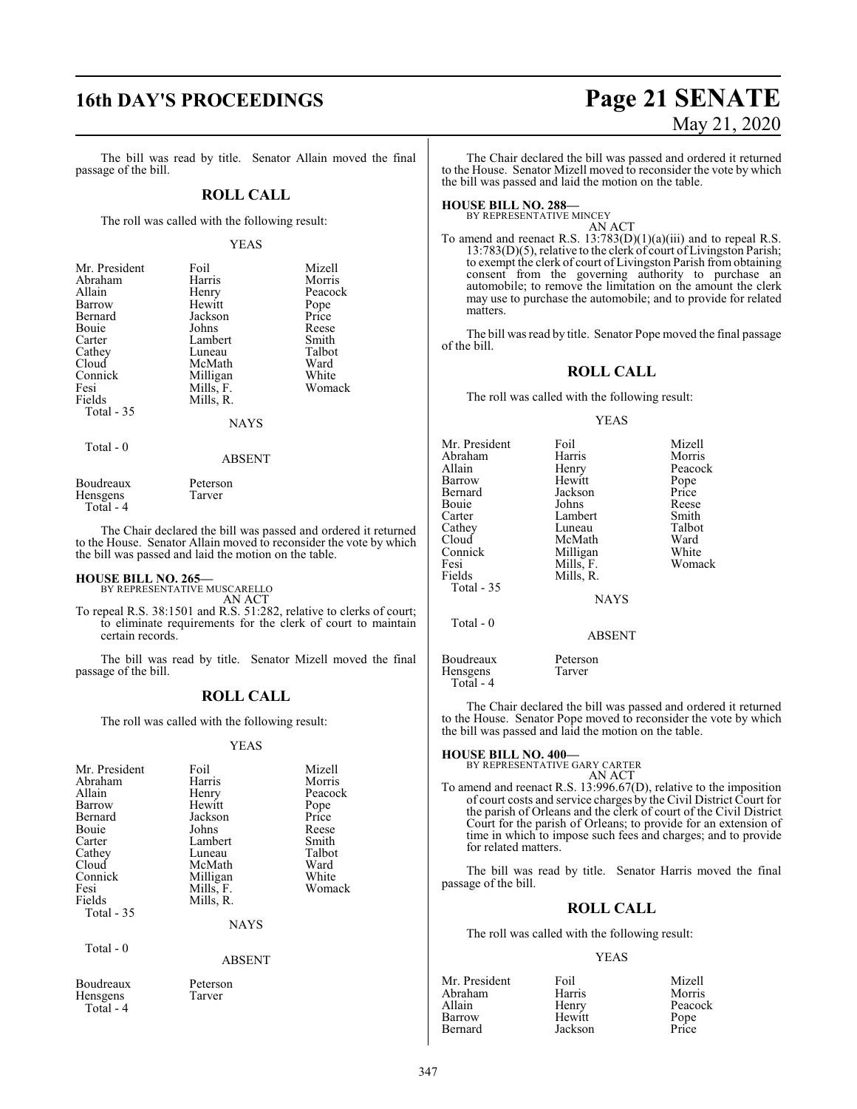The bill was read by title. Senator Allain moved the final passage of the bill.

#### **ROLL CALL**

The roll was called with the following result:

#### YEAS

| Mr. President | Foil        | Mizell  |
|---------------|-------------|---------|
| Abraham       | Harris      | Morris  |
| Allain        | Henry       | Peacock |
| Barrow        | Hewitt      | Pope    |
| Bernard       | Jackson     | Price   |
| Bouie         | Johns       | Reese   |
| Carter        | Lambert     | Smith   |
| Cathey        | Luneau      | Talbot  |
| Cloud         | McMath      | Ward    |
| Connick       | Milligan    | White   |
| Fesi          | Mills, F.   | Womack  |
| Fields        | Mills, R.   |         |
| Total - 35    |             |         |
|               | <b>NAYS</b> |         |
|               |             |         |

Total - 0

ABSENT

| Boudreaux  | Peterson |
|------------|----------|
| Hensgens   | Tarver   |
| Total $-4$ |          |

The Chair declared the bill was passed and ordered it returned to the House. Senator Allain moved to reconsider the vote by which the bill was passed and laid the motion on the table.

### **HOUSE BILL NO. 265—** BY REPRESENTATIVE MUSCARELLO

AN ACT

To repeal R.S. 38:1501 and R.S. 51:282, relative to clerks of court; to eliminate requirements for the clerk of court to maintain certain records.

The bill was read by title. Senator Mizell moved the final passage of the bill.

#### **ROLL CALL**

The roll was called with the following result:

#### YEAS

| Mr. President<br>Abraham<br>Allain<br>Barrow<br>Bernard<br>Bouie<br>Carter<br>Cathey<br>Cloud<br>Connick<br>Fesi | Foil<br>Harris<br>Henry<br>Hewitt<br>Jackson<br>Johns<br>Lambert<br>Luneau<br>McMath<br>Milligan<br>Mills, F. | Mizell<br>Morris<br>Peacock<br>Pope<br>Price<br>Reese<br>Smith<br>Talbot<br>Ward<br>White<br>Womack |
|------------------------------------------------------------------------------------------------------------------|---------------------------------------------------------------------------------------------------------------|-----------------------------------------------------------------------------------------------------|
| Fields<br>Total $-35$<br>Total $-0$                                                                              | Mills, R.<br><b>NAYS</b>                                                                                      |                                                                                                     |
| Boudreaux<br>Hensgens                                                                                            | <b>ABSENT</b><br>Peterson<br>Tarver                                                                           |                                                                                                     |

Total - 4

# **16th DAY'S PROCEEDINGS Page 21 SENATE** May 21, 2020

The Chair declared the bill was passed and ordered it returned to the House. Senator Mizell moved to reconsider the vote by which the bill was passed and laid the motion on the table.

#### **HOUSE BILL NO. 288—**

BY REPRESENTATIVE MINCEY

AN ACT To amend and reenact R.S.  $13:783(D)(1)(a)(iii)$  and to repeal R.S. 13:783(D)(5), relative to the clerk of court of Livingston Parish; to exempt the clerk of court of Livingston Parish from obtaining consent from the governing authority to purchase an automobile; to remove the limitation on the amount the clerk may use to purchase the automobile; and to provide for related matters.

The bill was read by title. Senator Pope moved the final passage of the bill.

#### **ROLL CALL**

The roll was called with the following result:

#### YEAS

| Mr. President<br>Abraham<br>Allain<br>Barrow<br>Bernard<br>Bouie<br>Carter<br>Cathey<br>Cloud<br>Connick<br>Fesi | Foil<br>Harris<br>Henry<br>Hewitt<br>Jackson<br>Johns<br>Lambert<br>Luneau<br>McMath<br>Milligan<br>Mills, F. | Mizell<br>Morris<br>Peacock<br>Pope<br>Price<br>Reese<br>Smith<br>Talbot<br>Ward<br>White<br>Womack |
|------------------------------------------------------------------------------------------------------------------|---------------------------------------------------------------------------------------------------------------|-----------------------------------------------------------------------------------------------------|
| Fields<br>Total $-35$                                                                                            | Mills, R.<br><b>NAYS</b>                                                                                      |                                                                                                     |
| Total - 0                                                                                                        | <b>ABSENT</b>                                                                                                 |                                                                                                     |
| Boudreaux<br>Hensgens                                                                                            | Peterson<br>Tarver                                                                                            |                                                                                                     |

The Chair declared the bill was passed and ordered it returned to the House. Senator Pope moved to reconsider the vote by which the bill was passed and laid the motion on the table.

### **HOUSE BILL NO. 400—** BY REPRESENTATIVE GARY CARTER

Total - 4

AN ACT

To amend and reenact R.S. 13:996.67(D), relative to the imposition of court costs and service charges by the Civil District Court for the parish of Orleans and the clerk of court of the Civil District Court for the parish of Orleans; to provide for an extension of time in which to impose such fees and charges; and to provide for related matters.

The bill was read by title. Senator Harris moved the final passage of the bill.

#### **ROLL CALL**

The roll was called with the following result:

#### YEAS

| Mr. President | Foil    | Mizell        |
|---------------|---------|---------------|
| Abraham       | Harris  | Morris        |
| Allain        | Henry   | Peacock       |
| Barrow        | Hewitt  |               |
| Bernard       | Jackson | Pope<br>Price |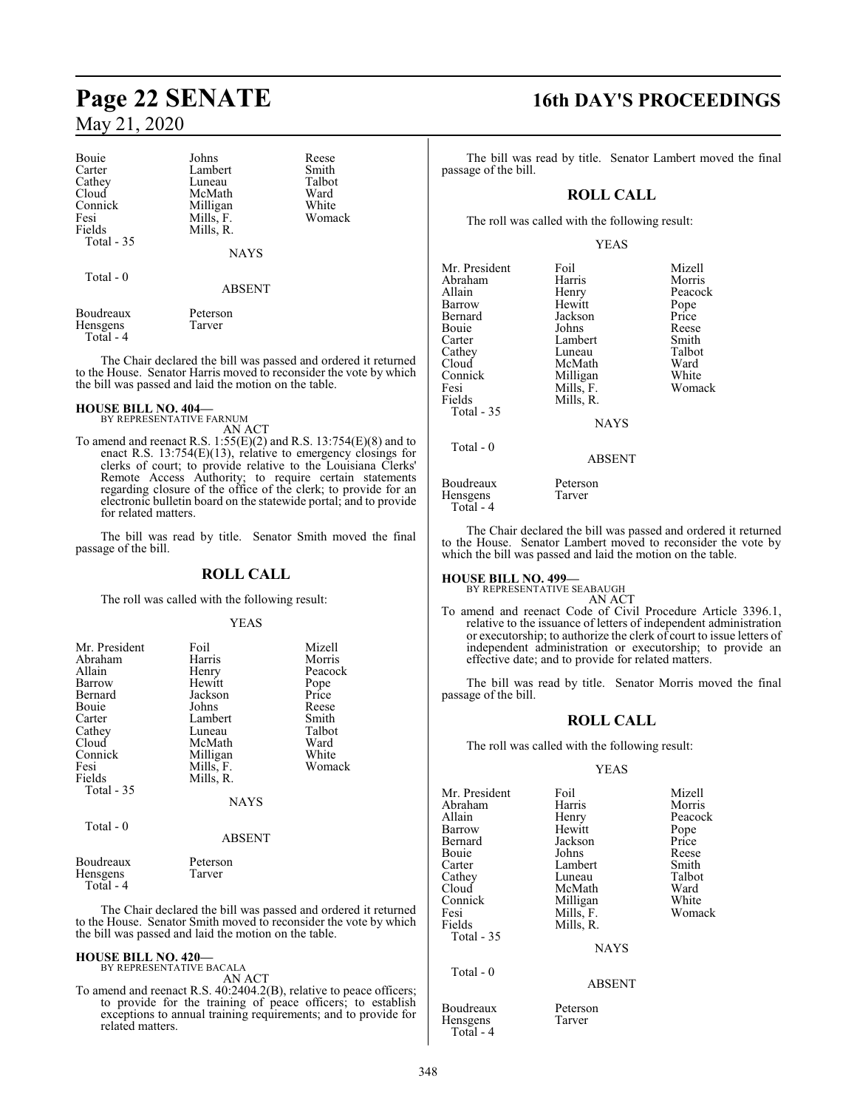| Bouie                 | Johns              | Reese  |  |
|-----------------------|--------------------|--------|--|
| Carter                | Lambert            | Smith  |  |
| Cathey                | Luneau             | Talbot |  |
| Cloud                 | McMath             | Ward   |  |
| Connick               | Milligan           | White  |  |
| Fesi                  | Mills, F.          | Womack |  |
| Fields                | Mills, R.          |        |  |
| Total - 35            |                    |        |  |
|                       | <b>NAYS</b>        |        |  |
| Total - 0             |                    |        |  |
|                       | <b>ABSENT</b>      |        |  |
| Boudreaux<br>Hensgens | Peterson<br>Tarver |        |  |

The Chair declared the bill was passed and ordered it returned to the House. Senator Harris moved to reconsider the vote by which the bill was passed and laid the motion on the table.

### **HOUSE BILL NO. 404—** BY REPRESENTATIVE FARNUM

Total - 4

- AN ACT
- To amend and reenact R.S. 1:55(E)(2) and R.S. 13:754(E)(8) and to enact R.S. 13:754(E)(13), relative to emergency closings for clerks of court; to provide relative to the Louisiana Clerks' Remote Access Authority; to require certain statements regarding closure of the office of the clerk; to provide for an electronic bulletin board on the statewide portal; and to provide for related matters.

The bill was read by title. Senator Smith moved the final passage of the bill.

#### **ROLL CALL**

The roll was called with the following result:

#### YEAS

| Mr. President<br>Abraham<br>Allain<br>Barrow<br>Bernard<br>Bouie<br>Carter<br>Cathey<br>Cloud<br>Connick<br>Fesi<br>Fields<br><b>Total - 35</b> | Foil<br>Harris<br>Henry<br>Hewitt<br>Jackson<br>Johns<br>Lambert<br>Luneau<br>McMath<br>Milligan<br>Mills, F.<br>Mills, R. | Mizell<br>Morris<br>Peacock<br>Pope<br>Price<br>Reese<br>Smith<br>Talbot<br>Ward<br>White<br>Womack |
|-------------------------------------------------------------------------------------------------------------------------------------------------|----------------------------------------------------------------------------------------------------------------------------|-----------------------------------------------------------------------------------------------------|
|                                                                                                                                                 | <b>NAYS</b>                                                                                                                |                                                                                                     |
| Total - 0                                                                                                                                       | <b>ABSENT</b>                                                                                                              |                                                                                                     |
| $\sim$                                                                                                                                          |                                                                                                                            |                                                                                                     |

| Boudreaux  | Peterson                                   |
|------------|--------------------------------------------|
| Hensgens   | Tarver                                     |
| Total $-4$ |                                            |
|            | The Chair declared the hill was nassed and |

In Chair declared the bill was passed and ordered it returned to the House. Senator Smith moved to reconsider the vote by which the bill was passed and laid the motion on the table.

#### **HOUSE BILL NO. 420—** BY REPRESENTATIVE BACALA

AN ACT

To amend and reenact R.S. 40:2404.2(B), relative to peace officers; to provide for the training of peace officers; to establish exceptions to annual training requirements; and to provide for related matters.

### **Page 22 SENATE 16th DAY'S PROCEEDINGS**

The bill was read by title. Senator Lambert moved the final passage of the bill.

### **ROLL CALL**

The roll was called with the following result:

#### YEAS

| Mr. President | Foil          | Mizell  |
|---------------|---------------|---------|
| Abraham       | Harris        | Morris  |
| Allain        | Henry         | Peacock |
|               | Hewitt        |         |
| Barrow        |               | Pope    |
| Bernard       | Jackson       | Price   |
| Bouie         | Johns         | Reese   |
| Carter        | Lambert       | Smith   |
| Cathey        | Luneau        | Talbot  |
| Cloud         | McMath        | Ward    |
| Connick       | Milligan      | White   |
| Fesi          | Mills, F.     | Womack  |
| Fields        | Mills, R.     |         |
| Total - 35    |               |         |
|               | <b>NAYS</b>   |         |
| Total $-0$    |               |         |
|               | <b>ABSENT</b> |         |
| Boudreaux     | Peterson      |         |
| Hensgens      | Tarver        |         |

Total - 4

The Chair declared the bill was passed and ordered it returned to the House. Senator Lambert moved to reconsider the vote by which the bill was passed and laid the motion on the table.

# **HOUSE BILL NO. 499—** BY REPRESENTATIVE SEABAUGH

AN ACT

To amend and reenact Code of Civil Procedure Article 3396.1, relative to the issuance of letters of independent administration or executorship; to authorize the clerk of court to issue letters of independent administration or executorship; to provide an effective date; and to provide for related matters.

The bill was read by title. Senator Morris moved the final passage of the bill.

#### **ROLL CALL**

The roll was called with the following result:

#### YEAS

| Mr. President<br>Abraham | Foil<br>Harris     | Mizell<br>Morris |
|--------------------------|--------------------|------------------|
| Allain                   | Henry              | Peacock          |
| Barrow                   | Hewitt             | Pope             |
| Bernard                  | Jackson            | Price            |
| Bouie                    | Johns              | Reese            |
| Carter                   | Lambert            | Smith            |
| Cathey                   | Luneau             | Talbot           |
| Cloud                    | McMath             | Ward             |
| Connick                  | Milligan           | White            |
| Fesi                     | Mills, F.          | Womack           |
| Fields                   | Mills, R.          |                  |
| Total $-35$              |                    |                  |
|                          | <b>NAYS</b>        |                  |
| Total $-0$               |                    |                  |
|                          | <b>ABSENT</b>      |                  |
| Boudreaux<br>Hensgens    | Peterson<br>Tarver |                  |

Total - 4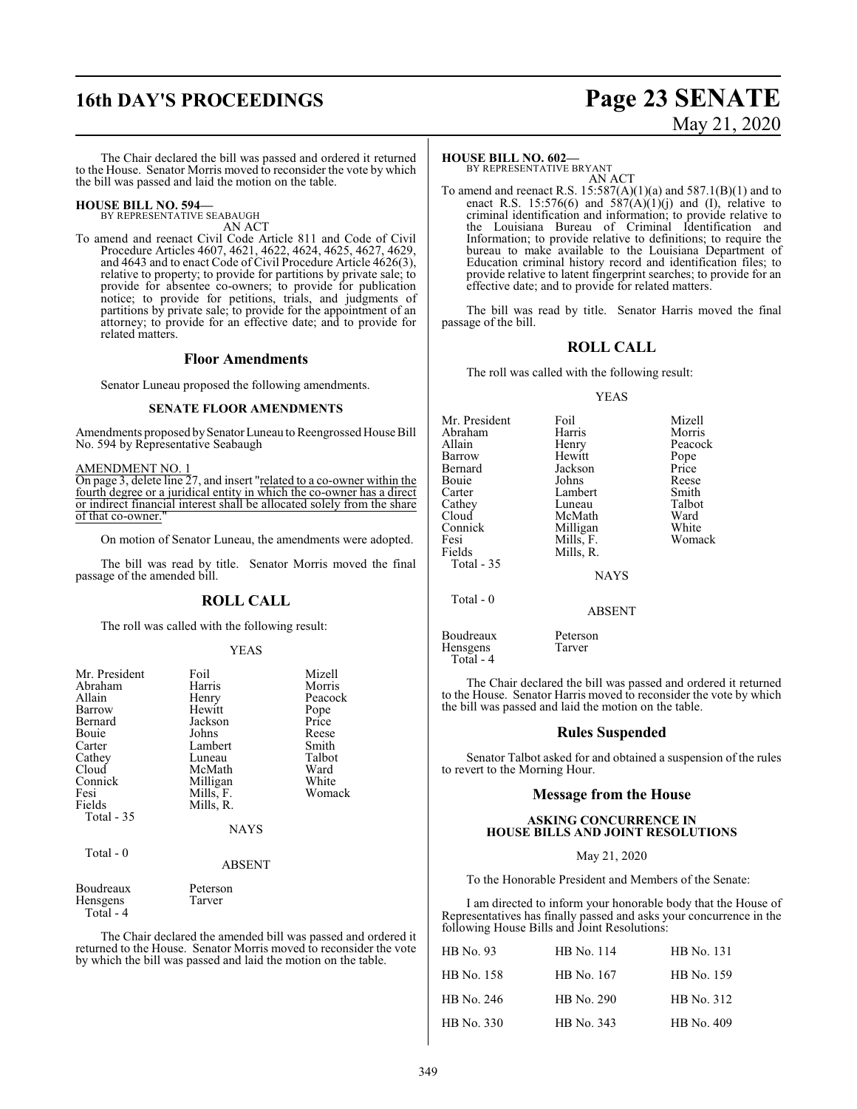## **16th DAY'S PROCEEDINGS Page 23 SENATE**

# May 21, 2020

The Chair declared the bill was passed and ordered it returned to the House. Senator Morris moved to reconsider the vote by which the bill was passed and laid the motion on the table.

#### **HOUSE BILL NO. 594—** BY REPRESENTATIVE SEABAUGH

AN ACT

To amend and reenact Civil Code Article 811 and Code of Civil Procedure Articles 4607, 4621, 4622, 4624, 4625, 4627, 4629, and 4643 and to enact Code of Civil Procedure Article 4626(3), relative to property; to provide for partitions by private sale; to provide for absentee co-owners; to provide for publication notice; to provide for petitions, trials, and judgments of partitions by private sale; to provide for the appointment of an attorney; to provide for an effective date; and to provide for related matters.

#### **Floor Amendments**

Senator Luneau proposed the following amendments.

#### **SENATE FLOOR AMENDMENTS**

Amendments proposed by Senator Luneau to Reengrossed House Bill No. 594 by Representative Seabaugh

AMENDMENT NO. 1

Total - 4

On page 3, delete line 27, and insert "related to a co-owner within the fourth degree or a juridical entity in which the co-owner has a direct or indirect financial interest shall be allocated solely from the share of that co-owner."

On motion of Senator Luneau, the amendments were adopted.

The bill was read by title. Senator Morris moved the final passage of the amended bill.

### **ROLL CALL**

The roll was called with the following result:

#### YEAS

| Mr. President<br>Abraham<br>Allain<br>Barrow<br>Bernard<br>Bouie<br>Carter<br>Cathey<br>Cloud<br>Connick<br>Fesi<br>Fields<br>Total - 35 | Foil<br>Harris<br>Henry<br>Hewitt<br>Jackson<br>Johns<br>Lambert<br>Luneau<br>McMath<br>Milligan<br>Mills, F.<br>Mills, R.<br><b>NAYS</b> | Mizell<br>Morris<br>Peacock<br>Pope<br>Price<br>Reese<br>Smith<br>Talbot<br>Ward<br>White<br>Womack |
|------------------------------------------------------------------------------------------------------------------------------------------|-------------------------------------------------------------------------------------------------------------------------------------------|-----------------------------------------------------------------------------------------------------|
| Total $-0$                                                                                                                               | <b>ABSENT</b>                                                                                                                             |                                                                                                     |
| Boudreaux<br>Hensgens                                                                                                                    | Peterson<br>Tarver                                                                                                                        |                                                                                                     |

The Chair declared the amended bill was passed and ordered it returned to the House. Senator Morris moved to reconsider the vote by which the bill was passed and laid the motion on the table.

#### **HOUSE BILL NO. 602—**

BY REPRESENTATIVE BRYANT AN ACT

To amend and reenact R.S.  $15:587(A)(1)(a)$  and  $587.1(B)(1)$  and to enact R.S. 15:576(6) and  $587(A)(1)(j)$  and (I), relative to criminal identification and information; to provide relative to the Louisiana Bureau of Criminal Identification and Information; to provide relative to definitions; to require the bureau to make available to the Louisiana Department of Education criminal history record and identification files; to provide relative to latent fingerprint searches; to provide for an effective date; and to provide for related matters.

The bill was read by title. Senator Harris moved the final passage of the bill.

#### **ROLL CALL**

The roll was called with the following result:

#### YEAS

| Mr. President | Foil          | Mizell  |
|---------------|---------------|---------|
| Abraham       | Harris        | Morris  |
| Allain        | Henry         | Peacock |
| Barrow        | Hewitt        | Pope    |
| Bernard       | Jackson       | Price   |
| Bouie         | Johns         | Reese   |
| Carter        | Lambert       | Smith   |
| Cathey        | Luneau        | Talbot  |
| Cloud         | McMath        | Ward    |
| Connick       | Milligan      | White   |
| Fesi          | Mills, F.     | Womack  |
| Fields        | Mills, R.     |         |
| Total $-35$   |               |         |
|               | <b>NAYS</b>   |         |
| Total - 0     | <b>ABSENT</b> |         |
|               |               |         |

Boudreaux Peterson<br>Hensgens Tarver

Hensgens Total - 4

The Chair declared the bill was passed and ordered it returned to the House. Senator Harris moved to reconsider the vote by which the bill was passed and laid the motion on the table.

#### **Rules Suspended**

Senator Talbot asked for and obtained a suspension of the rules to revert to the Morning Hour.

#### **Message from the House**

#### **ASKING CONCURRENCE IN HOUSE BILLS AND JOINT RESOLUTIONS**

#### May 21, 2020

To the Honorable President and Members of the Senate:

I am directed to inform your honorable body that the House of Representatives has finally passed and asks your concurrence in the following House Bills and Joint Resolutions:

| HB No. 93  | HB No. 114 | HB No. 131 |
|------------|------------|------------|
| HB No. 158 | HB No. 167 | HB No. 159 |
| HB No. 246 | HB No. 290 | HB No. 312 |
| HB No. 330 | HB No. 343 | HB No. 409 |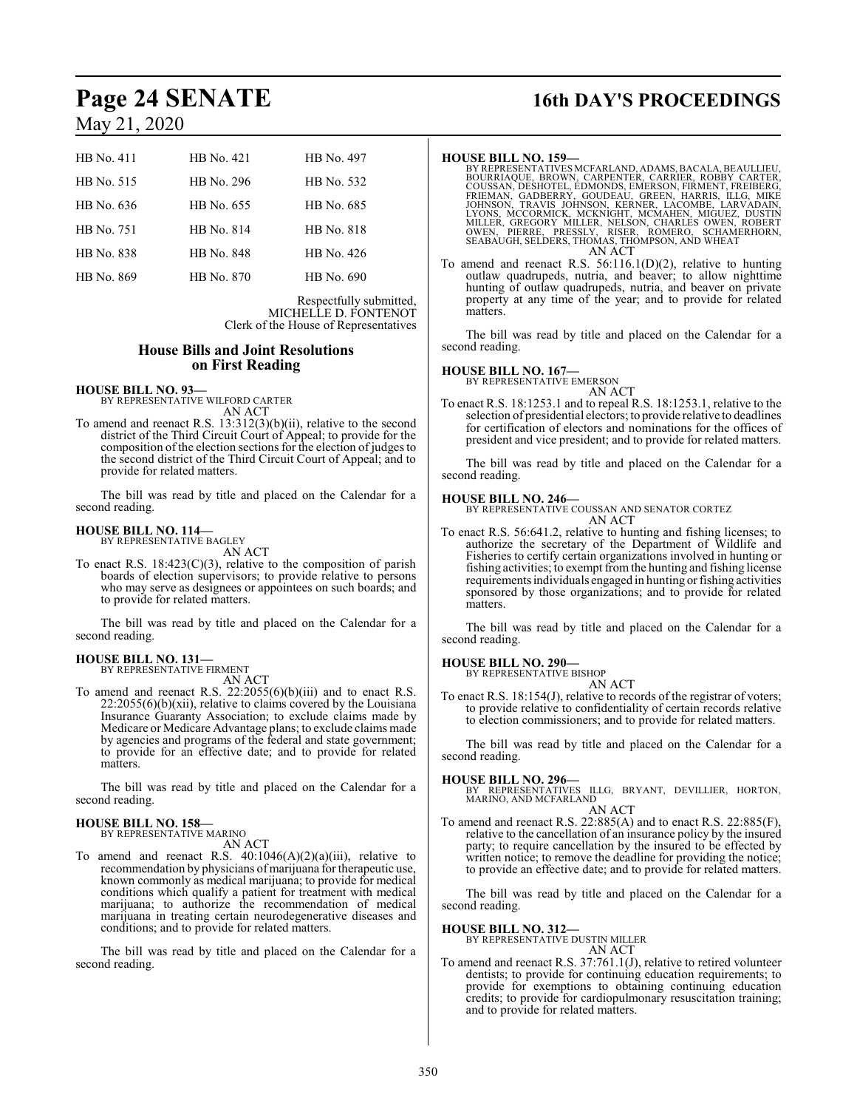| HB No. 411        | HB No. 421 | HB No. 497 |
|-------------------|------------|------------|
| HB No. 515        | HB No. 296 | HB No. 532 |
| HB No. 636        | HB No. 655 | HB No. 685 |
| HB No. 751        | HB No. 814 | HB No. 818 |
| <b>HB</b> No. 838 | HB No. 848 | HB No. 426 |
| HB No. 869        | HB No. 870 | HB No. 690 |

Respectfully submitted, MICHELLE D. FONTENOT Clerk of the House of Representatives

#### **House Bills and Joint Resolutions on First Reading**

**HOUSE BILL NO. 93—** BY REPRESENTATIVE WILFORD CARTER

AN ACT To amend and reenact R.S. 13:312(3)(b)(ii), relative to the second district of the Third Circuit Court of Appeal; to provide for the composition of the election sections for the election of judges to the second district of the Third Circuit Court of Appeal; and to provide for related matters.

The bill was read by title and placed on the Calendar for a second reading.

#### **HOUSE BILL NO. 114—**

BY REPRESENTATIVE BAGLEY AN ACT

To enact R.S.  $18:423(C)(3)$ , relative to the composition of parish boards of election supervisors; to provide relative to persons who may serve as designees or appointees on such boards; and to provide for related matters.

The bill was read by title and placed on the Calendar for a second reading.

### **HOUSE BILL NO. 131—** BY REPRESENTATIVE FIRMENT

AN ACT

To amend and reenact R.S.  $22:2055(6)(b)(iii)$  and to enact R.S.  $22:2055(6)(b)(xii)$ , relative to claims covered by the Louisiana Insurance Guaranty Association; to exclude claims made by Medicare or Medicare Advantage plans; to exclude claims made by agencies and programs of the federal and state government; to provide for an effective date; and to provide for related matters.

The bill was read by title and placed on the Calendar for a second reading.

### **HOUSE BILL NO. 158—**

BY REPRESENTATIVE MARINO AN ACT

To amend and reenact R.S.  $40:1046(A)(2)(a)(iii)$ , relative to recommendation by physicians of marijuana for therapeutic use, known commonly as medical marijuana; to provide for medical conditions which qualify a patient for treatment with medical marijuana; to authorize the recommendation of medical marijuana in treating certain neurodegenerative diseases and conditions; and to provide for related matters.

The bill was read by title and placed on the Calendar for a second reading.

# **Page 24 SENATE 16th DAY'S PROCEEDINGS**

#### **HOUSE BILL NO. 159—**

- BY REPRESENTATIVES MCFARLAND, ADAMS, BACALA, BEAULLIEU,<br>BOURRIAQUE, BROWN, CARPENTER, CARRIER, ROBBY CARTER,<br>COUSSAN, DESHOTEL, EDMONDS, EMERSON, FIRMENT, FREIBERG,<br>FRIEMAN, GADBERRY, GOUDEAU, GREEN, HARRIS, ILLG, MIKE<br>JOH LYONS, MCCORMICK, MCKNIGHT, MCMAHEN, MIGUEZ, DUSTIN<br>MILLER, GREGORY MILLER, NELSON, CHARLES OWEN, ROBERT<br>OWEN, PIERRE, PRESSLY, RISER, ROMERO, SCHAMERHORN,<br>SEABAUGH, SELDERS, THOMAS, THOMPSON, AND WHEAT AN ACT
- To amend and reenact R.S. 56:116.1(D)(2), relative to hunting outlaw quadrupeds, nutria, and beaver; to allow nighttime hunting of outlaw quadrupeds, nutria, and beaver on private property at any time of the year; and to provide for related matters.

The bill was read by title and placed on the Calendar for a second reading.

# **HOUSE BILL NO. 167—** BY REPRESENTATIVE EMERSON

AN ACT

To enact R.S. 18:1253.1 and to repeal R.S. 18:1253.1, relative to the selection of presidential electors; to provide relative to deadlines for certification of electors and nominations for the offices of president and vice president; and to provide for related matters.

The bill was read by title and placed on the Calendar for a second reading.

#### **HOUSE BILL NO. 246—**

BY REPRESENTATIVE COUSSAN AND SENATOR CORTEZ AN ACT

To enact R.S. 56:641.2, relative to hunting and fishing licenses; to authorize the secretary of the Department of Wildlife and Fisheries to certify certain organizations involved in hunting or fishing activities; to exempt fromthe hunting and fishing license requirementsindividuals engaged in hunting or fishing activities sponsored by those organizations; and to provide for related matters.

The bill was read by title and placed on the Calendar for a second reading.

### **HOUSE BILL NO. 290—** BY REPRESENTATIVE BISHOP

AN ACT

To enact R.S. 18:154(J), relative to records of the registrar of voters; to provide relative to confidentiality of certain records relative to election commissioners; and to provide for related matters.

The bill was read by title and placed on the Calendar for a second reading.

#### **HOUSE BILL NO. 296—**

BY REPRESENTATIVES ILLG, BRYANT, DEVILLIER, HORTON, MARINO, AND MCFARLAND

### AN ACT

To amend and reenact R.S. 22:885(A) and to enact R.S. 22:885(F), relative to the cancellation of an insurance policy by the insured party; to require cancellation by the insured to be effected by written notice; to remove the deadline for providing the notice; to provide an effective date; and to provide for related matters.

The bill was read by title and placed on the Calendar for a second reading.

**HOUSE BILL NO. 312—** BY REPRESENTATIVE DUSTIN MILLER

- AN ACT
- To amend and reenact R.S. 37:761.1(J), relative to retired volunteer dentists; to provide for continuing education requirements; to provide for exemptions to obtaining continuing education credits; to provide for cardiopulmonary resuscitation training; and to provide for related matters.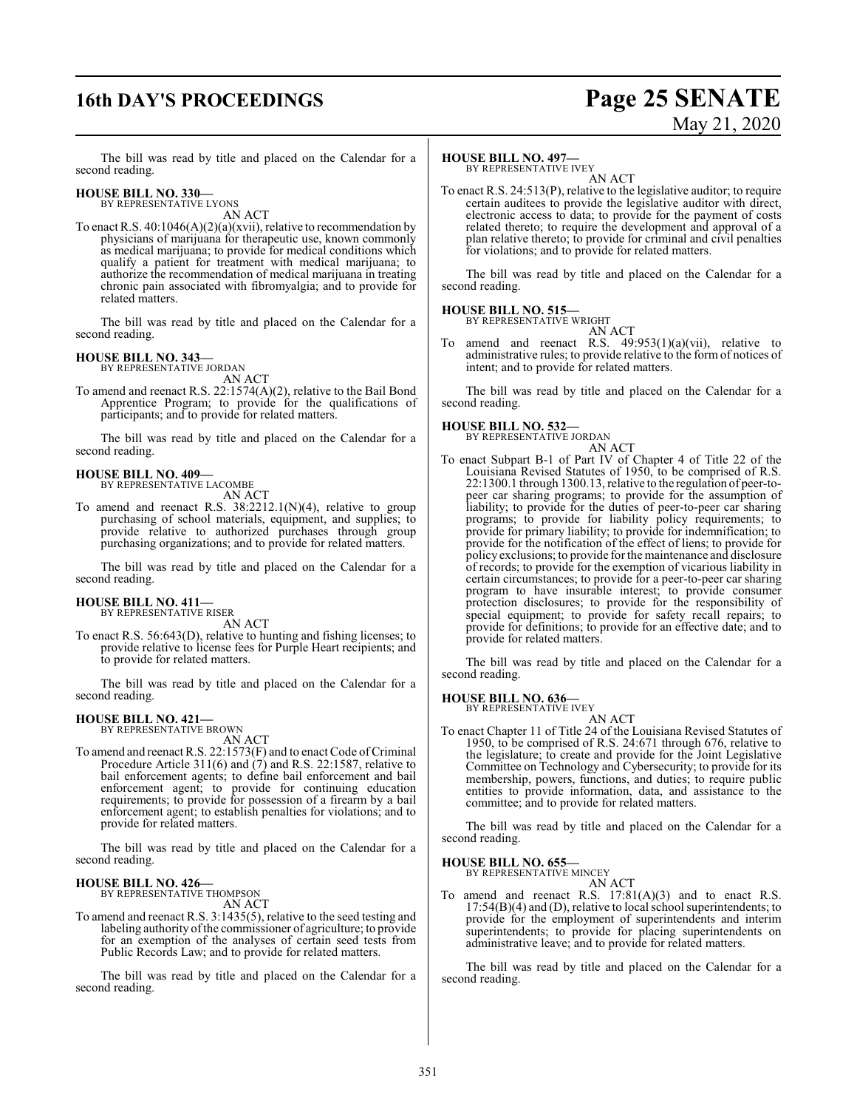## **16th DAY'S PROCEEDINGS Page 25 SENATE**

# May 21, 2020

The bill was read by title and placed on the Calendar for a second reading.

#### **HOUSE BILL NO. 330—**

BY REPRESENTATIVE LYONS AN ACT

To enact R.S.  $40:1046(A)(2)(a)(xvi)$ , relative to recommendation by physicians of marijuana for therapeutic use, known commonly as medical marijuana; to provide for medical conditions which qualify a patient for treatment with medical marijuana; to authorize the recommendation of medical marijuana in treating chronic pain associated with fibromyalgia; and to provide for related matters.

The bill was read by title and placed on the Calendar for a second reading.

#### **HOUSE BILL NO. 343—**

BY REPRESENTATIVE JORDAN AN ACT

To amend and reenact R.S. 22:1574(A)(2), relative to the Bail Bond Apprentice Program; to provide for the qualifications of participants; and to provide for related matters.

The bill was read by title and placed on the Calendar for a second reading.

### **HOUSE BILL NO. 409—** BY REPRESENTATIVE LACOMBE

AN ACT

To amend and reenact R.S. 38:2212.1(N)(4), relative to group purchasing of school materials, equipment, and supplies; to provide relative to authorized purchases through group purchasing organizations; and to provide for related matters.

The bill was read by title and placed on the Calendar for a second reading.

#### **HOUSE BILL NO. 411—** BY REPRESENTATIVE RISER

AN ACT

To enact R.S. 56:643(D), relative to hunting and fishing licenses; to provide relative to license fees for Purple Heart recipients; and to provide for related matters.

The bill was read by title and placed on the Calendar for a second reading.

#### **HOUSE BILL NO. 421—**

BY REPRESENTATIVE BROWN

- AN ACT
- To amend and reenact R.S. 22:1573(F) and to enact Code of Criminal Procedure Article 311(6) and (7) and R.S. 22:1587, relative to bail enforcement agents; to define bail enforcement and bail enforcement agent; to provide for continuing education requirements; to provide for possession of a firearm by a bail enforcement agent; to establish penalties for violations; and to provide for related matters.

The bill was read by title and placed on the Calendar for a second reading.

#### **HOUSE BILL NO. 426—**

BY REPRESENTATIVE THOMPSON

AN ACT To amend and reenact R.S. 3:1435(5), relative to the seed testing and labeling authority of the commissioner of agriculture; to provide for an exemption of the analyses of certain seed tests from Public Records Law; and to provide for related matters.

The bill was read by title and placed on the Calendar for a second reading.

#### **HOUSE BILL NO. 497—**

BY REPRESENTATIVE IVEY AN ACT

To enact R.S. 24:513(P), relative to the legislative auditor; to require certain auditees to provide the legislative auditor with direct, electronic access to data; to provide for the payment of costs related thereto; to require the development and approval of a plan relative thereto; to provide for criminal and civil penalties for violations; and to provide for related matters.

The bill was read by title and placed on the Calendar for a second reading.

#### **HOUSE BILL NO. 515—** BY REPRESENTATIVE WRIGHT

AN ACT

To amend and reenact R.S. 49:953(1)(a)(vii), relative to administrative rules; to provide relative to the form of notices of intent; and to provide for related matters.

The bill was read by title and placed on the Calendar for a second reading.

## **HOUSE BILL NO. 532—** BY REPRESENTATIVE JORDAN

AN ACT To enact Subpart B-1 of Part IV of Chapter 4 of Title 22 of the Louisiana Revised Statutes of 1950, to be comprised of R.S. 22:1300.1 through 1300.13, relative to the regulation of peer-topeer car sharing programs; to provide for the assumption of liability; to provide for the duties of peer-to-peer car sharing programs; to provide for liability policy requirements; to provide for primary liability; to provide for indemnification; to provide for the notification of the effect of liens; to provide for policy exclusions; to provide for the maintenance and disclosure of records; to provide for the exemption of vicarious liability in certain circumstances; to provide for a peer-to-peer car sharing program to have insurable interest; to provide consumer protection disclosures; to provide for the responsibility of special equipment; to provide for safety recall repairs; to provide for definitions; to provide for an effective date; and to provide for related matters.

The bill was read by title and placed on the Calendar for a second reading.

**HOUSE BILL NO. 636—**

BY REPRESENTATIVE IVEY AN ACT

To enact Chapter 11 of Title 24 of the Louisiana Revised Statutes of 1950, to be comprised of R.S. 24:671 through 676, relative to the legislature; to create and provide for the Joint Legislative Committee on Technology and Cybersecurity; to provide for its membership, powers, functions, and duties; to require public entities to provide information, data, and assistance to the committee; and to provide for related matters.

The bill was read by title and placed on the Calendar for a second reading.

#### **HOUSE BILL NO. 655—**

BY REPRESENTATIVE MINCEY

AN ACT To amend and reenact R.S.  $17:81(A)(3)$  and to enact R.S. 17:54(B)(4) and (D), relative to local school superintendents; to provide for the employment of superintendents and interim superintendents; to provide for placing superintendents on administrative leave; and to provide for related matters.

The bill was read by title and placed on the Calendar for a second reading.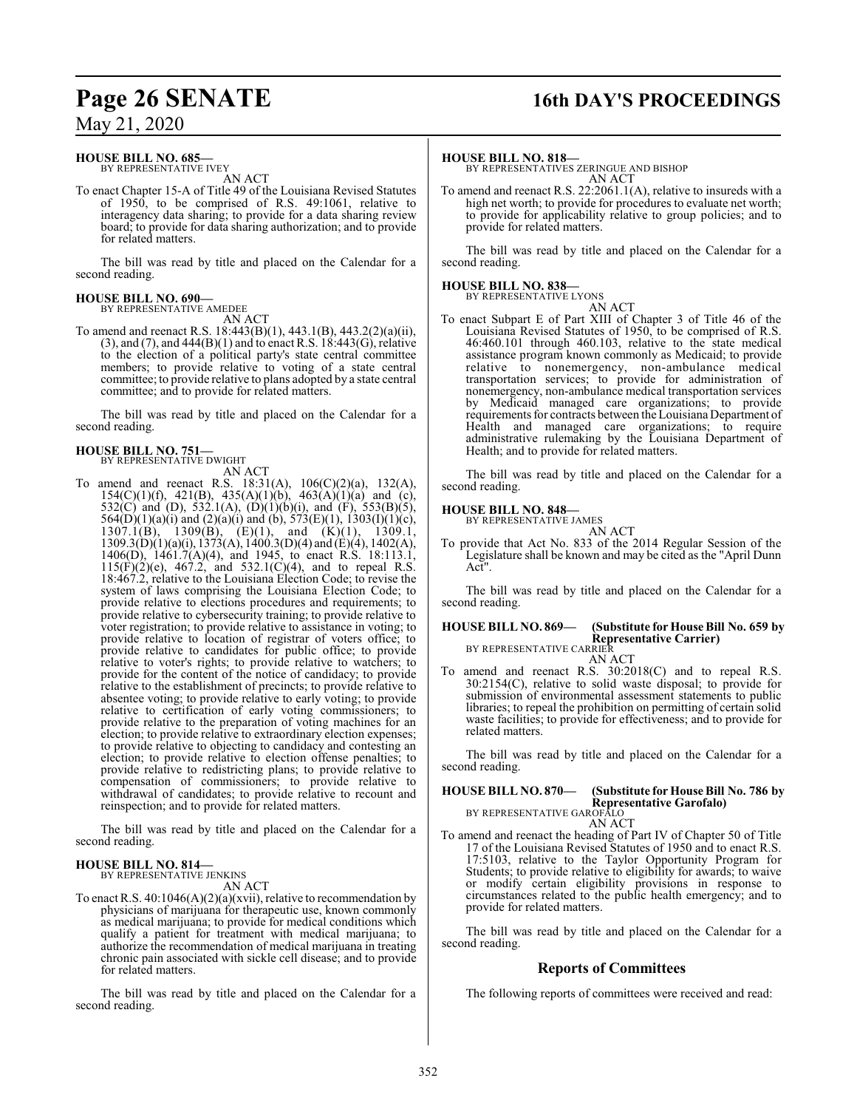## **Page 26 SENATE 16th DAY'S PROCEEDINGS**

### May 21, 2020

#### **HOUSE BILL NO. 685—**

BY REPRESENTATIVE IVEY AN ACT

To enact Chapter 15-A of Title 49 of the Louisiana Revised Statutes of 1950, to be comprised of R.S. 49:1061, relative to interagency data sharing; to provide for a data sharing review board; to provide for data sharing authorization; and to provide for related matters.

The bill was read by title and placed on the Calendar for a second reading.

#### **HOUSE BILL NO. 690—** BY REPRESENTATIVE AMEDEE

AN ACT

To amend and reenact R.S. 18:443(B)(1), 443.1(B), 443.2(2)(a)(ii), (3), and (7), and 444(B)(1) and to enact R.S. 18:443(G), relative to the election of a political party's state central committee members; to provide relative to voting of a state central committee; to provide relative to plans adopted by a state central committee; and to provide for related matters.

The bill was read by title and placed on the Calendar for a second reading.

#### **HOUSE BILL NO. 751—** BY REPRESENTATIVE DWIGHT

AN ACT

To amend and reenact R.S. 18:31(A), 106(C)(2)(a), 132(A), 154(C)(1)(f), 421(B), 435(A)(1)(b), 463(A)(1)(a) and (c), 532(C) and (D), 532.1(A), (D)(1)(b)(i), and (F), 553(B)(5), 564(D)(1)(a)(i) and (2)(a)(i) and (b), 573(E)(1), 1303(I)(1)(c), 1307.1(B), 1309(B),  $(E)(1)$ , and  $(K)(1)$ , 1309.1,  $1309.3(D)(1)(a)(i)$ ,  $1373(A)$ ,  $1400.3(D)(4)$  and  $(E)(4)$ ,  $1402(A)$ , 1406(D), 1461.7(A)(4), and 1945, to enact R.S. 18:113.1,  $115(F)(2)(e)$ , 467.2, and 532.1(C)(4), and to repeal R.S. 18:467.2, relative to the Louisiana Election Code; to revise the system of laws comprising the Louisiana Election Code; to provide relative to elections procedures and requirements; to provide relative to cybersecurity training; to provide relative to voter registration; to provide relative to assistance in voting; to provide relative to location of registrar of voters office; to provide relative to candidates for public office; to provide relative to voter's rights; to provide relative to watchers; to provide for the content of the notice of candidacy; to provide relative to the establishment of precincts; to provide relative to absentee voting; to provide relative to early voting; to provide relative to certification of early voting commissioners; to provide relative to the preparation of voting machines for an election; to provide relative to extraordinary election expenses; to provide relative to objecting to candidacy and contesting an election; to provide relative to election offense penalties; to provide relative to redistricting plans; to provide relative to compensation of commissioners; to provide relative to withdrawal of candidates; to provide relative to recount and reinspection; and to provide for related matters.

The bill was read by title and placed on the Calendar for a second reading.

#### **HOUSE BILL NO. 814—** BY REPRESENTATIVE JENKINS

AN ACT

To enact R.S. 40:1046(A)(2)(a)(xvii), relative to recommendation by physicians of marijuana for therapeutic use, known commonly as medical marijuana; to provide for medical conditions which qualify a patient for treatment with medical marijuana; to authorize the recommendation of medical marijuana in treating chronic pain associated with sickle cell disease; and to provide for related matters.

The bill was read by title and placed on the Calendar for a second reading.

#### **HOUSE BILL NO. 818—**

BY REPRESENTATIVES ZERINGUE AND BISHOP AN ACT

To amend and reenact R.S. 22:2061.1(A), relative to insureds with a high net worth; to provide for procedures to evaluate net worth; to provide for applicability relative to group policies; and to provide for related matters.

The bill was read by title and placed on the Calendar for a second reading.

#### **HOUSE BILL NO. 838—**

BY REPRESENTATIVE LYONS

AN ACT To enact Subpart E of Part XIII of Chapter 3 of Title 46 of the Louisiana Revised Statutes of 1950, to be comprised of R.S. 46:460.101 through 460.103, relative to the state medical assistance program known commonly as Medicaid; to provide relative to nonemergency, non-ambulance medical transportation services; to provide for administration of nonemergency, non-ambulance medical transportation services by Medicaid managed care organizations; to provide requirements for contracts between the Louisiana Department of Health and managed care organizations; to require administrative rulemaking by the Louisiana Department of Health; and to provide for related matters.

The bill was read by title and placed on the Calendar for a second reading.

#### **HOUSE BILL NO. 848—**

BY REPRESENTATIVE JAMES AN ACT

To provide that Act No. 833 of the 2014 Regular Session of the Legislature shall be known and may be cited as the "April Dunn Act".

The bill was read by title and placed on the Calendar for a second reading.

#### **HOUSE BILL NO. 869— (Substitute for House Bill No. 659 by Representative Carrier)** BY REPRESENTATIVE CARRIER

AN ACT

To amend and reenact R.S. 30:2018(C) and to repeal R.S. 30:2154(C), relative to solid waste disposal; to provide for submission of environmental assessment statements to public libraries; to repeal the prohibition on permitting of certain solid waste facilities; to provide for effectiveness; and to provide for related matters.

The bill was read by title and placed on the Calendar for a second reading.

### **HOUSE BILL NO. 870— (Substitute for House Bill No. 786 by Representative Garofalo)** BY REPRESENTATIVE GAROFALO

AN ACT

To amend and reenact the heading of Part IV of Chapter 50 of Title 17 of the Louisiana Revised Statutes of 1950 and to enact R.S. 17:5103, relative to the Taylor Opportunity Program for Students; to provide relative to eligibility for awards; to waive or modify certain eligibility provisions in response to circumstances related to the public health emergency; and to provide for related matters.

The bill was read by title and placed on the Calendar for a second reading.

### **Reports of Committees**

The following reports of committees were received and read: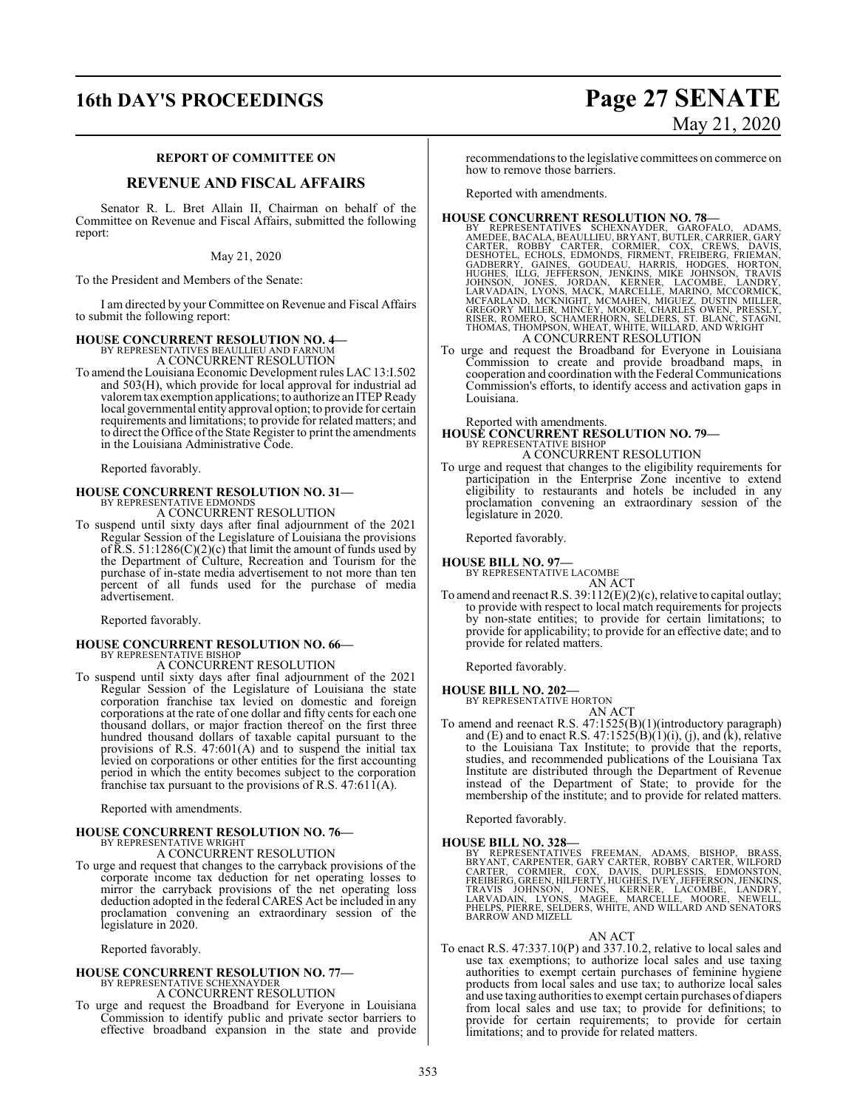### **16th DAY'S PROCEEDINGS Page 27 SENATE**

#### **REPORT OF COMMITTEE ON**

#### **REVENUE AND FISCAL AFFAIRS**

Senator R. L. Bret Allain II, Chairman on behalf of the Committee on Revenue and Fiscal Affairs, submitted the following report:

#### May 21, 2020

To the President and Members of the Senate:

I am directed by your Committee on Revenue and Fiscal Affairs to submit the following report:

### **HOUSE CONCURRENT RESOLUTION NO. 4—** BY REPRESENTATIVES BEAULLIEU AND FARNUM

A CONCURRENT RESOLUTION

To amend the Louisiana Economic Development rules LAC 13:I.502 and 503(H), which provide for local approval for industrial ad valorem tax exemption applications; to authorize an ITEP Ready local governmental entity approval option; to provide for certain requirements and limitations; to provide for related matters; and to direct the Office of the State Register to print the amendments in the Louisiana Administrative Code.

Reported favorably.

# **HOUSE CONCURRENT RESOLUTION NO. 31—** BY REPRESENTATIVE EDMONDS

A CONCURRENT RESOLUTION

To suspend until sixty days after final adjournment of the 2021 Regular Session of the Legislature of Louisiana the provisions of  $\overline{R}$ .S. 51:1286(C)(2)(c) that limit the amount of funds used by the Department of Culture, Recreation and Tourism for the purchase of in-state media advertisement to not more than ten percent of all funds used for the purchase of media advertisement.

Reported favorably.

### **HOUSE CONCURRENT RESOLUTION NO. 66—** BY REPRESENTATIVE BISHOP A CONCURRENT RESOLUTION

To suspend until sixty days after final adjournment of the 2021

Regular Session of the Legislature of Louisiana the state corporation franchise tax levied on domestic and foreign corporations at the rate of one dollar and fifty cents for each one thousand dollars, or major fraction thereof on the first three hundred thousand dollars of taxable capital pursuant to the provisions of R.S. 47:601(A) and to suspend the initial tax levied on corporations or other entities for the first accounting period in which the entity becomes subject to the corporation franchise tax pursuant to the provisions of R.S.  $47:61 \text{ f(A)}$ .

Reported with amendments.

# **HOUSE CONCURRENT RESOLUTION NO. 76—** BY REPRESENTATIVE WRIGHT

A CONCURRENT RESOLUTION

To urge and request that changes to the carryback provisions of the corporate income tax deduction for net operating losses to mirror the carryback provisions of the net operating loss deduction adopted in the federal CARES Act be included in any proclamation convening an extraordinary session of the legislature in 2020.

Reported favorably.

#### **HOUSE CONCURRENT RESOLUTION NO. 77—** BY REPRESENTATIVE SCHEXNAYDER

A CONCURRENT RESOLUTION

To urge and request the Broadband for Everyone in Louisiana Commission to identify public and private sector barriers to effective broadband expansion in the state and provide

recommendations to the legislative committees on commerce on how to remove those barriers.

Reported with amendments.

- **HOUSE CONCURRENT RESOLUTION NO. 78**<br>BY REPRESENTATIVES SCHEXNAYDER, GAROFALO, ADAMS, AMEDEE, BACALA, BEAULIEU, BRYANT, BUTLER, CARRIER, GARY<br>CARTER, ROBBY CARTER, CORMIER, COX, CREWS, DAVIS,<br>DESHOTEL, ECHOLS, EDMONDS, FIR
- To urge and request the Broadband for Everyone in Louisiana Commission to create and provide broadband maps, in cooperation and coordination with the Federal Communications Commission's efforts, to identify access and activation gaps in Louisiana.

Reported with amendments.

**HOUSE CONCURRENT RESOLUTION NO. 79—** BY REPRESENTATIVE BISHOP

### A CONCURRENT RESOLUTION

To urge and request that changes to the eligibility requirements for participation in the Enterprise Zone incentive to extend eligibility to restaurants and hotels be included in any proclamation convening an extraordinary session of the legislature in 2020.

Reported favorably.

#### **HOUSE BILL NO. 97—**

BY REPRESENTATIVE LACOMBE

AN ACT To amend and reenact R.S. 39:112(E)(2)(c), relative to capital outlay; to provide with respect to local match requirements for projects by non-state entities; to provide for certain limitations; to provide for applicability; to provide for an effective date; and to provide for related matters.

Reported favorably.

#### **HOUSE BILL NO. 202—** BY REPRESENTATIVE HORTON

AN ACT

To amend and reenact R.S. 47:1525(B)(1)(introductory paragraph) and (E) and to enact R.S.  $47:1525(B)(1)(i)$ , (j), and (k), relative to the Louisiana Tax Institute; to provide that the reports, studies, and recommended publications of the Louisiana Tax Institute are distributed through the Department of Revenue instead of the Department of State; to provide for the membership of the institute; and to provide for related matters.

Reported favorably.

#### **HOUSE BILL NO. 328—**

BY REPRESENTATIVES FREEMAN, ADAMS, BISHOP, BRASS, BISPOR, BRASS, CARTER, CARTER, CARTER, CARTER, WILFORD<br>CARTER, CORMIER, CARY CARTER, ROBBY CARTER, WILFORD<br>CARTER, CORMIER, COX, DAVIS, DUPLESSIS, EDMONSTON,<br>FRAVIS JOHNSON

#### AN ACT

To enact R.S. 47:337.10(P) and 337.10.2, relative to local sales and use tax exemptions; to authorize local sales and use taxing authorities to exempt certain purchases of feminine hygiene products from local sales and use tax; to authorize local sales and use taxing authorities to exempt certain purchases of diapers from local sales and use tax; to provide for definitions; to provide for certain requirements; to provide for certain limitations; and to provide for related matters.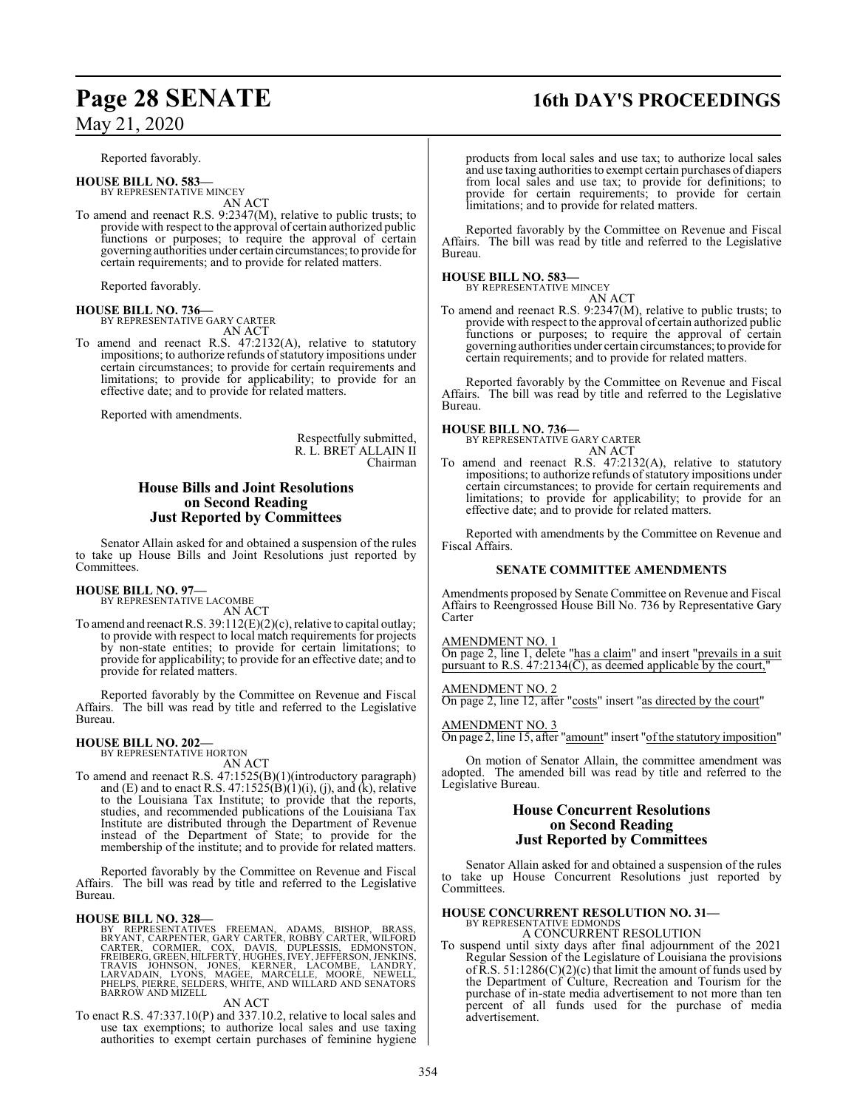Reported favorably.

**HOUSE BILL NO. 583—** BY REPRESENTATIVE MINCEY AN ACT

To amend and reenact R.S. 9:2347(M), relative to public trusts; to provide with respect to the approval of certain authorized public functions or purposes; to require the approval of certain governing authorities under certain circumstances;to provide for certain requirements; and to provide for related matters.

Reported favorably.

**HOUSE BILL NO. 736—** BY REPRESENTATIVE GARY CARTER AN ACT

To amend and reenact R.S. 47:2132(A), relative to statutory impositions; to authorize refunds of statutory impositions under certain circumstances; to provide for certain requirements and limitations; to provide for applicability; to provide for an effective date; and to provide for related matters.

Reported with amendments.

Respectfully submitted, R. L. BRET ALLAIN II Chairman

### **House Bills and Joint Resolutions on Second Reading Just Reported by Committees**

Senator Allain asked for and obtained a suspension of the rules to take up House Bills and Joint Resolutions just reported by Committees.

#### **HOUSE BILL NO. 97—**

BY REPRESENTATIVE LACOMBE AN ACT

To amend and reenact R.S. 39:112(E)(2)(c), relative to capital outlay; to provide with respect to local match requirements for projects by non-state entities; to provide for certain limitations; to provide for applicability; to provide for an effective date; and to provide for related matters.

Reported favorably by the Committee on Revenue and Fiscal Affairs. The bill was read by title and referred to the Legislative Bureau.

#### **HOUSE BILL NO. 202—**

BY REPRESENTATIVE HORTON

AN ACT To amend and reenact R.S. 47:1525(B)(1)(introductory paragraph) and (E) and to enact R.S.  $47:1525(B)(1)(i)$ , (j), and (k), relative to the Louisiana Tax Institute; to provide that the reports, studies, and recommended publications of the Louisiana Tax Institute are distributed through the Department of Revenue instead of the Department of State; to provide for the membership of the institute; and to provide for related matters.

Reported favorably by the Committee on Revenue and Fiscal Affairs. The bill was read by title and referred to the Legislative Bureau.

HOUSE BILL NO. 328—<br>BY REPRESENTATIVES FREEMAN, ADAMS, BISHOP, BRASS, BRYANT, CARPENTER, GARY CARTER, ROBBY CARTER, WILFORD<br>CARTER, CORMIER, COX, DAVIS, DUPLESSIS, EDMONSTON, FREIBERG, GREEN, HILFERTY, HUGHES, IVEY, JEFTER

#### AN ACT

To enact R.S. 47:337.10(P) and 337.10.2, relative to local sales and use tax exemptions; to authorize local sales and use taxing authorities to exempt certain purchases of feminine hygiene

# **Page 28 SENATE 16th DAY'S PROCEEDINGS**

products from local sales and use tax; to authorize local sales and use taxing authorities to exempt certain purchases of diapers from local sales and use tax; to provide for definitions; to provide for certain requirements; to provide for certain limitations; and to provide for related matters.

Reported favorably by the Committee on Revenue and Fiscal Affairs. The bill was read by title and referred to the Legislative Bureau.

#### **HOUSE BILL NO. 583—**

BY REPRESENTATIVE MINCEY

AN ACT To amend and reenact R.S. 9:2347(M), relative to public trusts; to provide with respect to the approval of certain authorized public functions or purposes; to require the approval of certain governing authorities under certain circumstances;to provide for certain requirements; and to provide for related matters.

Reported favorably by the Committee on Revenue and Fiscal Affairs. The bill was read by title and referred to the Legislative Bureau.

### **HOUSE BILL NO. 736—**

BY REPRESENTATIVE GARY CARTER AN ACT

To amend and reenact R.S. 47:2132(A), relative to statutory impositions; to authorize refunds of statutory impositions under certain circumstances; to provide for certain requirements and limitations; to provide for applicability; to provide for an effective date; and to provide for related matters.

Reported with amendments by the Committee on Revenue and Fiscal Affairs.

#### **SENATE COMMITTEE AMENDMENTS**

Amendments proposed by Senate Committee on Revenue and Fiscal Affairs to Reengrossed House Bill No. 736 by Representative Gary Carter

AMENDMENT NO. 1

On page 2, line 1, delete "has a claim" and insert "prevails in a suit pursuant to R.S.  $47:2134(\overline{C})$ , as deemed applicable by the court,

#### AMENDMENT NO. 2

On page 2, line 12, after "costs" insert "as directed by the court"

#### AMENDMENT NO. 3

On page 2, line 15, after "amount" insert "ofthe statutory imposition"

On motion of Senator Allain, the committee amendment was adopted. The amended bill was read by title and referred to the Legislative Bureau.

#### **House Concurrent Resolutions on Second Reading Just Reported by Committees**

Senator Allain asked for and obtained a suspension of the rules to take up House Concurrent Resolutions just reported by Committees.

#### **HOUSE CONCURRENT RESOLUTION NO. 31—**

BY REPRESENTATIVE EDMONDS A CONCURRENT RESOLUTION

To suspend until sixty days after final adjournment of the 2021 Regular Session of the Legislature of Louisiana the provisions of R.S.  $51:1286(C)(2)(c)$  that limit the amount of funds used by the Department of Culture, Recreation and Tourism for the purchase of in-state media advertisement to not more than ten percent of all funds used for the purchase of media advertisement.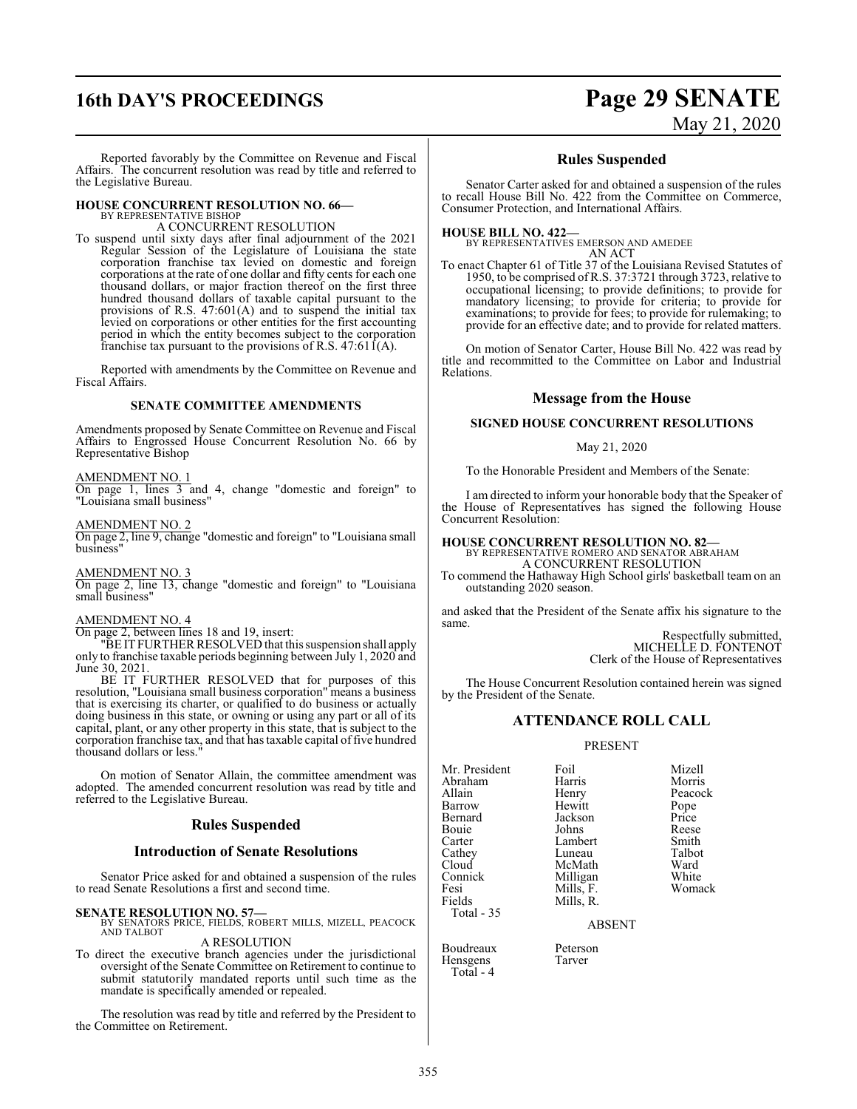## **16th DAY'S PROCEEDINGS Page 29 SENATE** May 21, 2020

Reported favorably by the Committee on Revenue and Fiscal Affairs. The concurrent resolution was read by title and referred to the Legislative Bureau.

#### **HOUSE CONCURRENT RESOLUTION NO. 66—**

BY REPRESENTATIVE BISHOP A CONCURRENT RESOLUTION

To suspend until sixty days after final adjournment of the 2021 Regular Session of the Legislature of Louisiana the state corporation franchise tax levied on domestic and foreign corporations at the rate of one dollar and fifty cents for each one thousand dollars, or major fraction thereof on the first three hundred thousand dollars of taxable capital pursuant to the provisions of R.S. 47:601(A) and to suspend the initial tax levied on corporations or other entities for the first accounting period in which the entity becomes subject to the corporation franchise tax pursuant to the provisions of R.S.  $47:61\bar{1}(A)$ .

Reported with amendments by the Committee on Revenue and Fiscal Affairs.

#### **SENATE COMMITTEE AMENDMENTS**

Amendments proposed by Senate Committee on Revenue and Fiscal Affairs to Engrossed House Concurrent Resolution No. 66 by Representative Bishop

#### AMENDMENT NO. 1

On page 1, lines 3 and 4, change "domestic and foreign" to "Louisiana small business"

AMENDMENT NO. 2 On page 2, line 9, change "domestic and foreign" to "Louisiana small

business"

AMENDMENT NO. 3

On page 2, line 13, change "domestic and foreign" to "Louisiana small business"

#### AMENDMENT NO. 4

On page 2, between lines 18 and 19, insert:

"BE ITFURTHER RESOLVED that this suspension shall apply only to franchise taxable periods beginning between July 1, 2020 and June 30, 2021.

BE IT FURTHER RESOLVED that for purposes of this resolution, "Louisiana small business corporation" means a business that is exercising its charter, or qualified to do business or actually doing business in this state, or owning or using any part or all of its capital, plant, or any other property in this state, that is subject to the corporation franchise tax, and that has taxable capital offive hundred thousand dollars or less."

On motion of Senator Allain, the committee amendment was adopted. The amended concurrent resolution was read by title and referred to the Legislative Bureau.

#### **Rules Suspended**

#### **Introduction of Senate Resolutions**

Senator Price asked for and obtained a suspension of the rules to read Senate Resolutions a first and second time.

#### **SENATE RESOLUTION NO. 57—**

BY SENATORS PRICE, FIELDS, ROBERT MILLS, MIZELL, PEACOCK AND TALBOT A RESOLUTION

To direct the executive branch agencies under the jurisdictional oversight of the Senate Committee on Retirement to continue to submit statutorily mandated reports until such time as the mandate is specifically amended or repealed.

The resolution was read by title and referred by the President to the Committee on Retirement.

#### **Rules Suspended**

Senator Carter asked for and obtained a suspension of the rules to recall House Bill No. 422 from the Committee on Commerce, Consumer Protection, and International Affairs.

**HOUSE BILL NO. 422—**

BY REPRESENTATIVES EMERSON AND AMEDEE AN ACT

To enact Chapter 61 of Title 37 of the Louisiana Revised Statutes of 1950, to be comprised of R.S. 37:3721 through 3723, relative to occupational licensing; to provide definitions; to provide for mandatory licensing; to provide for criteria; to provide for examinations; to provide for fees; to provide for rulemaking; to provide for an effective date; and to provide for related matters.

On motion of Senator Carter, House Bill No. 422 was read by title and recommitted to the Committee on Labor and Industrial Relations.

#### **Message from the House**

#### **SIGNED HOUSE CONCURRENT RESOLUTIONS**

#### May 21, 2020

To the Honorable President and Members of the Senate:

I am directed to inform your honorable body that the Speaker of the House of Representatives has signed the following House Concurrent Resolution:

#### **HOUSE CONCURRENT RESOLUTION NO. 82—**

BY REPRESENTATIVE ROMERO AND SENATOR ABRAHAM A CONCURRENT RESOLUTION

To commend the Hathaway High School girls' basketball team on an outstanding 2020 season.

and asked that the President of the Senate affix his signature to the same.

> Respectfully submitted, MICHELLE D. FONTENOT Clerk of the House of Representatives

The House Concurrent Resolution contained herein was signed by the President of the Senate.

#### **ATTENDANCE ROLL CALL**

#### PRESENT

Mr. President Foil Mizell Abraham Harris<br>Allain Henry Allain **Henry** Peacock<br>
Barrow Hewitt Pope Barrow Hewitt Pope<br>Bernard Jackson Price Bernard Jackson Price Bouie Johns Reese Carter Lambert Smith<br>Cathey Luneau Talbot Cathey Luneau Talbot Cloud McMath Ward Fesi Mills, F.<br>Fields Mills, R. Total - 35

Hensgens Total - 4 Milligan White<br>
Mills, F. Womack Mills, R.

ABSENT

Boudreaux Peterson<br>Hensgens Tarver